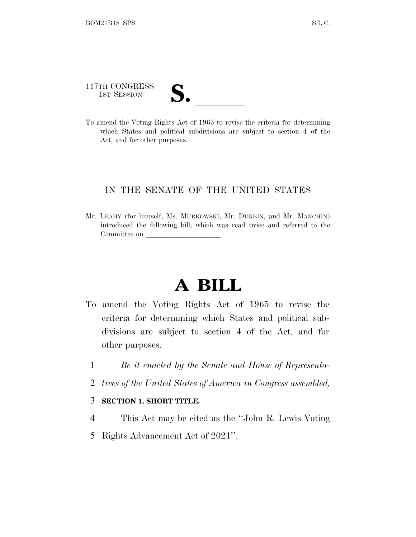117TH CONGRESS 117TH CONGRESS<br>
1ST SESSION<br>
To amend the Voting Rights Act of 1965 to revise the criteria for determining

which States and political subdivisions are subject to section 4 of the Act, and for other purposes.

#### IN THE SENATE OF THE UNITED STATES

Mr. LEAHY (for himself, Ms. MURKOWSKI, Mr. DURBIN, and Mr. MANCHIN) introduced the following bill; which was read twice and referred to the Committee on

## **A BILL**

- To amend the Voting Rights Act of 1965 to revise the criteria for determining which States and political subdivisions are subject to section 4 of the Act, and for other purposes.
	- 1 *Be it enacted by the Senate and House of Representa-*
	- 2 *tives of the United States of America in Congress assembled,*

#### 3 **SECTION 1. SHORT TITLE.**

- 4 This Act may be cited as the ''John R. Lewis Voting
- 5 Rights Advancement Act of 2021''.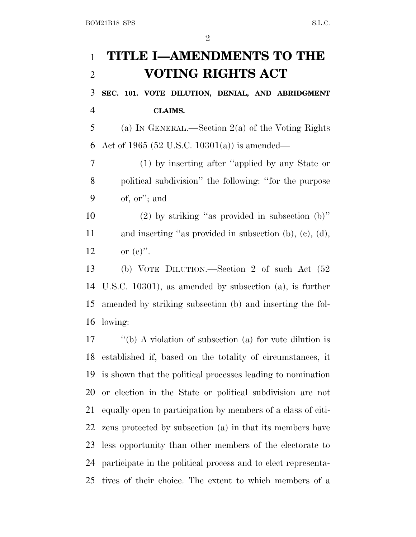## **TITLE I—AMENDMENTS TO THE VOTING RIGHTS ACT SEC. 101. VOTE DILUTION, DENIAL, AND ABRIDGMENT CLAIMS.** (a) I<sup>N</sup> GENERAL.—Section 2(a) of the Voting Rights Act of 1965 (52 U.S.C. 10301(a)) is amended— (1) by inserting after ''applied by any State or political subdivision'' the following: ''for the purpose of, or''; and

 (2) by striking ''as provided in subsection (b)'' and inserting ''as provided in subsection (b), (c), (d), 12 or  $(e)$ ".

 (b) VOTE DILUTION.—Section 2 of such Act (52 U.S.C. 10301), as amended by subsection (a), is further amended by striking subsection (b) and inserting the fol-lowing:

 ''(b) A violation of subsection (a) for vote dilution is established if, based on the totality of circumstances, it is shown that the political processes leading to nomination or election in the State or political subdivision are not equally open to participation by members of a class of citi- zens protected by subsection (a) in that its members have less opportunity than other members of the electorate to participate in the political process and to elect representa-tives of their choice. The extent to which members of a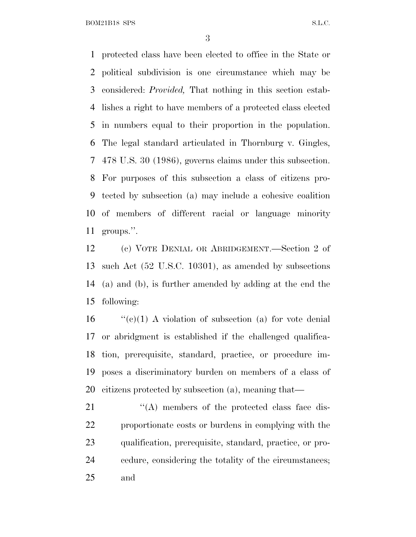protected class have been elected to office in the State or political subdivision is one circumstance which may be considered: *Provided,* That nothing in this section estab- lishes a right to have members of a protected class elected in numbers equal to their proportion in the population. The legal standard articulated in Thornburg v. Gingles, 478 U.S. 30 (1986), governs claims under this subsection. For purposes of this subsection a class of citizens pro- tected by subsection (a) may include a cohesive coalition of members of different racial or language minority groups.''.

 (c) VOTE DENIAL OR ABRIDGEMENT.—Section 2 of such Act (52 U.S.C. 10301), as amended by subsections (a) and (b), is further amended by adding at the end the following:

 "'(c)(1) A violation of subsection (a) for vote denial or abridgment is established if the challenged qualifica- tion, prerequisite, standard, practice, or procedure im- poses a discriminatory burden on members of a class of citizens protected by subsection (a), meaning that—

21 ''(A) members of the protected class face dis- proportionate costs or burdens in complying with the qualification, prerequisite, standard, practice, or pro- cedure, considering the totality of the circumstances; and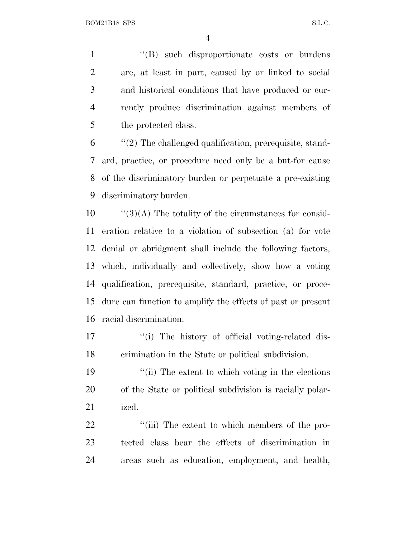1 "(B) such disproportionate costs or burdens are, at least in part, caused by or linked to social and historical conditions that have produced or cur- rently produce discrimination against members of 5 the protected class.

 ''(2) The challenged qualification, prerequisite, stand- ard, practice, or procedure need only be a but-for cause of the discriminatory burden or perpetuate a pre-existing discriminatory burden.

 ''(3)(A) The totality of the circumstances for consid- eration relative to a violation of subsection (a) for vote denial or abridgment shall include the following factors, which, individually and collectively, show how a voting qualification, prerequisite, standard, practice, or proce- dure can function to amplify the effects of past or present racial discrimination:

17  $\frac{1}{2}$  The history of official voting-related dis-crimination in the State or political subdivision.

19 ''(ii) The extent to which voting in the elections of the State or political subdivision is racially polar-ized.

22  $\frac{1}{2}$  (iii) The extent to which members of the pro- tected class bear the effects of discrimination in areas such as education, employment, and health,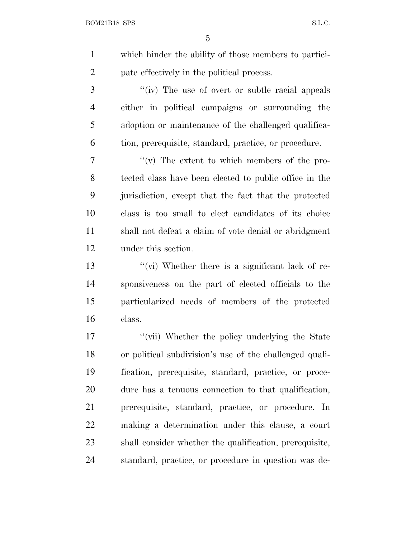which hinder the ability of those members to partici-pate effectively in the political process.

3 ''(iv) The use of overt or subtle racial appeals either in political campaigns or surrounding the adoption or maintenance of the challenged qualifica-tion, prerequisite, standard, practice, or procedure.

 $\gamma$   $''(v)$  The extent to which members of the pro- tected class have been elected to public office in the jurisdiction, except that the fact that the protected class is too small to elect candidates of its choice shall not defeat a claim of vote denial or abridgment under this section.

 ''(vi) Whether there is a significant lack of re- sponsiveness on the part of elected officials to the particularized needs of members of the protected class.

 ''(vii) Whether the policy underlying the State or political subdivision's use of the challenged quali- fication, prerequisite, standard, practice, or proce- dure has a tenuous connection to that qualification, prerequisite, standard, practice, or procedure. In making a determination under this clause, a court shall consider whether the qualification, prerequisite, standard, practice, or procedure in question was de-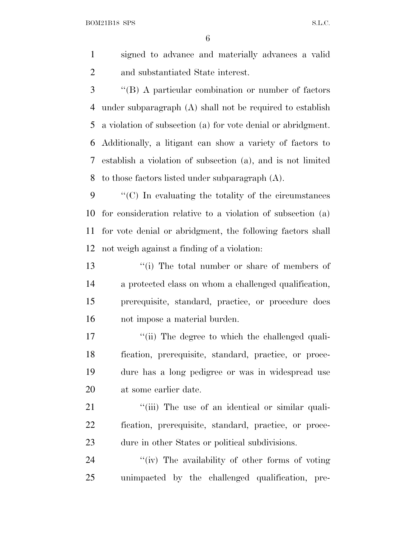signed to advance and materially advances a valid and substantiated State interest.

 ''(B) A particular combination or number of factors under subparagraph (A) shall not be required to establish a violation of subsection (a) for vote denial or abridgment. Additionally, a litigant can show a variety of factors to establish a violation of subsection (a), and is not limited to those factors listed under subparagraph (A).

 ''(C) In evaluating the totality of the circumstances for consideration relative to a violation of subsection (a) for vote denial or abridgment, the following factors shall not weigh against a finding of a violation:

 ''(i) The total number or share of members of a protected class on whom a challenged qualification, prerequisite, standard, practice, or procedure does not impose a material burden.

17 ''(ii) The degree to which the challenged quali- fication, prerequisite, standard, practice, or proce- dure has a long pedigree or was in widespread use at some earlier date.

21 ''(iii) The use of an identical or similar quali- fication, prerequisite, standard, practice, or proce-dure in other States or political subdivisions.

24  $\langle \hat{i} \rangle$  The availability of other forms of voting unimpacted by the challenged qualification, pre-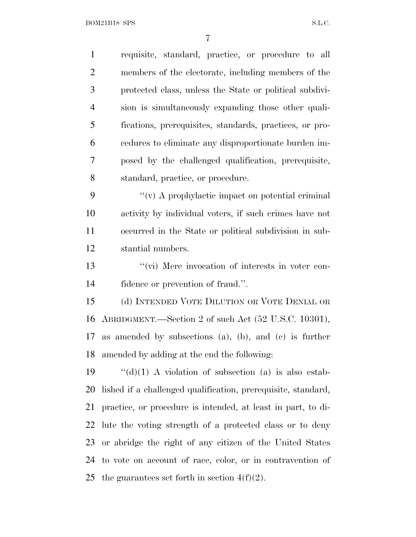requisite, standard, practice, or procedure to all members of the electorate, including members of the protected class, unless the State or political subdivi- sion is simultaneously expanding those other quali- fications, prerequisites, standards, practices, or pro- cedures to eliminate any disproportionate burden im- posed by the challenged qualification, prerequisite, standard, practice, or procedure.  $\langle \langle v \rangle$  A prophylactic impact on potential criminal activity by individual voters, if such crimes have not occurred in the State or political subdivision in sub- stantial numbers. ''(vi) Mere invocation of interests in voter con- fidence or prevention of fraud.''. (d) INTENDED VOTE DILUTION OR VOTE DENIAL OR ABRIDGMENT.—Section 2 of such Act (52 U.S.C. 10301), as amended by subsections (a), (b), and (c) is further amended by adding at the end the following:  $\frac{1}{2}$   $\frac{1}{2}$   $\frac{1}{2}$   $\frac{1}{2}$   $\frac{1}{2}$   $\frac{1}{2}$   $\frac{1}{2}$   $\frac{1}{2}$   $\frac{1}{2}$   $\frac{1}{2}$   $\frac{1}{2}$   $\frac{1}{2}$   $\frac{1}{2}$   $\frac{1}{2}$   $\frac{1}{2}$   $\frac{1}{2}$   $\frac{1}{2}$   $\frac{1}{2}$   $\frac{1}{2}$   $\frac{1}{2}$   $\frac{1}{2}$   $\frac{1}{2}$  lished if a challenged qualification, prerequisite, standard, practice, or procedure is intended, at least in part, to di- lute the voting strength of a protected class or to deny or abridge the right of any citizen of the United States to vote on account of race, color, or in contravention of 25 the guarantees set forth in section  $4(f)(2)$ .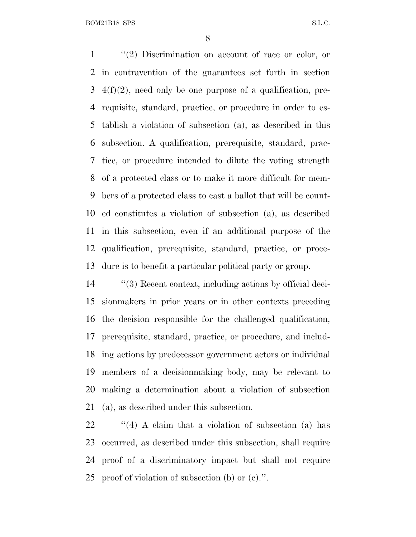''(2) Discrimination on account of race or color, or in contravention of the guarantees set forth in section  $3\text{ }4(f)(2)$ , need only be one purpose of a qualification, pre- requisite, standard, practice, or procedure in order to es- tablish a violation of subsection (a), as described in this subsection. A qualification, prerequisite, standard, prac- tice, or procedure intended to dilute the voting strength of a protected class or to make it more difficult for mem- bers of a protected class to cast a ballot that will be count- ed constitutes a violation of subsection (a), as described in this subsection, even if an additional purpose of the qualification, prerequisite, standard, practice, or proce-dure is to benefit a particular political party or group.

 ''(3) Recent context, including actions by official deci- sionmakers in prior years or in other contexts preceding the decision responsible for the challenged qualification, prerequisite, standard, practice, or procedure, and includ- ing actions by predecessor government actors or individual members of a decisionmaking body, may be relevant to making a determination about a violation of subsection (a), as described under this subsection.

22 ''(4) A claim that a violation of subsection (a) has occurred, as described under this subsection, shall require proof of a discriminatory impact but shall not require proof of violation of subsection (b) or (c).''.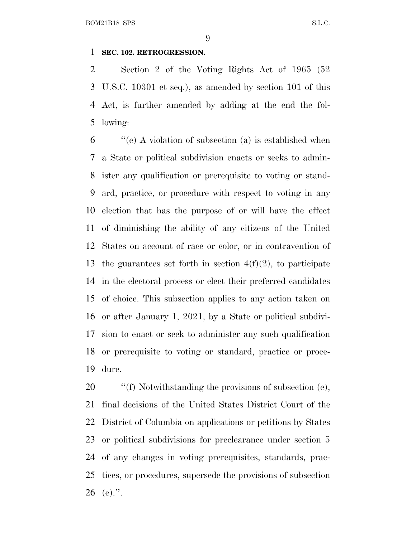#### **SEC. 102. RETROGRESSION.**

 Section 2 of the Voting Rights Act of 1965 (52 U.S.C. 10301 et seq.), as amended by section 101 of this Act, is further amended by adding at the end the fol-lowing:

 ''(e) A violation of subsection (a) is established when a State or political subdivision enacts or seeks to admin- ister any qualification or prerequisite to voting or stand- ard, practice, or procedure with respect to voting in any election that has the purpose of or will have the effect of diminishing the ability of any citizens of the United States on account of race or color, or in contravention of 13 the guarantees set forth in section  $4(f)(2)$ , to participate in the electoral process or elect their preferred candidates of choice. This subsection applies to any action taken on or after January 1, 2021, by a State or political subdivi- sion to enact or seek to administer any such qualification or prerequisite to voting or standard, practice or proce-dure.

 $\qquad$  "(f) Notwithstanding the provisions of subsection (e), final decisions of the United States District Court of the District of Columbia on applications or petitions by States or political subdivisions for preclearance under section 5 of any changes in voting prerequisites, standards, prac- tices, or procedures, supersede the provisions of subsection 26 (e).".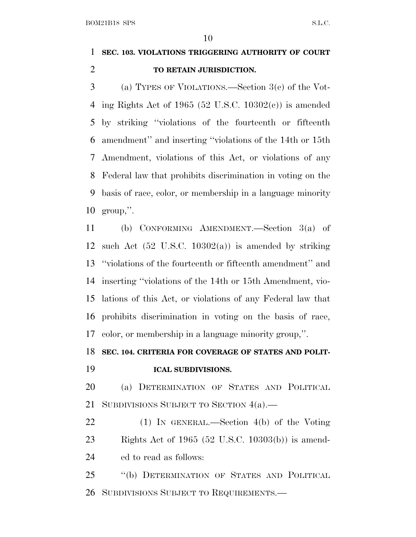### **SEC. 103. VIOLATIONS TRIGGERING AUTHORITY OF COURT TO RETAIN JURISDICTION.**

 (a) TYPES OF VIOLATIONS.—Section 3(c) of the Vot-4 ing Rights Act of 1965 (52 U.S.C. 10302 $(e)$ ) is amended by striking ''violations of the fourteenth or fifteenth amendment'' and inserting ''violations of the 14th or 15th Amendment, violations of this Act, or violations of any Federal law that prohibits discrimination in voting on the basis of race, color, or membership in a language minority group,''.

 (b) CONFORMING AMENDMENT.—Section 3(a) of 12 such Act  $(52 \text{ U.S.C. } 10302(a))$  is amended by striking ''violations of the fourteenth or fifteenth amendment'' and inserting ''violations of the 14th or 15th Amendment, vio- lations of this Act, or violations of any Federal law that prohibits discrimination in voting on the basis of race, color, or membership in a language minority group,''.

#### **SEC. 104. CRITERIA FOR COVERAGE OF STATES AND POLIT-**

**ICAL SUBDIVISIONS.**

### (a) DETERMINATION OF STATES AND POLITICAL 21 SUBDIVISIONS SUBJECT TO SECTION 4(a).

 (1) IN GENERAL.—Section 4(b) of the Voting Rights Act of 1965 (52 U.S.C. 10303(b)) is amend-ed to read as follows:

 ''(b) DETERMINATION OF STATES AND POLITICAL SUBDIVISIONS SUBJECT TO REQUIREMENTS.—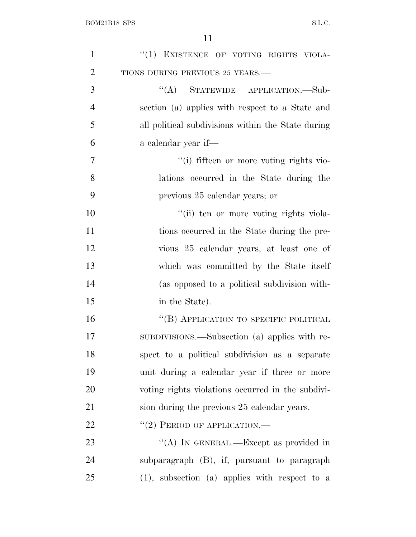| $\mathbf{1}$   | "(1) EXISTENCE OF VOTING RIGHTS VIOLA-             |
|----------------|----------------------------------------------------|
| $\overline{2}$ | TIONS DURING PREVIOUS 25 YEARS.-                   |
| 3              | "(A) STATEWIDE APPLICATION.—Sub-                   |
| $\overline{4}$ | section (a) applies with respect to a State and    |
| 5              | all political subdivisions within the State during |
| 6              | a calendar year if—                                |
| $\overline{7}$ | "(i) fifteen or more voting rights vio-            |
| 8              | lations occurred in the State during the           |
| 9              | previous 25 calendar years; or                     |
| 10             | "(ii) ten or more voting rights viola-             |
| 11             | tions occurred in the State during the pre-        |
| 12             | vious 25 calendar years, at least one of           |
| 13             | which was committed by the State itself            |
| 14             | (as opposed to a political subdivision with-       |
| 15             | in the State).                                     |
| 16             | "(B) APPLICATION TO SPECIFIC POLITICAL             |
| 17             | SUBDIVISIONS.—Subsection (a) applies with re-      |
| 18             | spect to a political subdivision as a separate     |
| 19             | unit during a calendar year if three or more       |
| 20             | voting rights violations occurred in the subdivi-  |
| 21             | sion during the previous 25 calendar years.        |
| 22             | $``(2)$ PERIOD OF APPLICATION.—                    |
| 23             | "(A) IN GENERAL.—Except as provided in             |
| 24             | subparagraph (B), if, pursuant to paragraph        |
| 25             | $(1)$ , subsection $(a)$ applies with respect to a |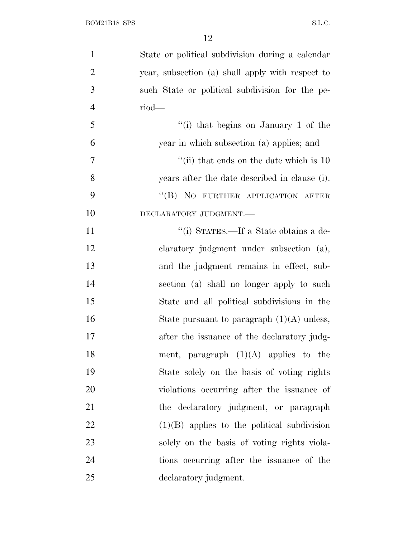| $\mathbf{1}$   | State or political subdivision during a calendar |
|----------------|--------------------------------------------------|
| $\overline{2}$ | year, subsection (a) shall apply with respect to |
| 3              | such State or political subdivision for the pe-  |
| $\overline{4}$ | $riod$ —                                         |
| 5              | "(i) that begins on January 1 of the             |
| 6              | year in which subsection (a) applies; and        |
| 7              | "(ii) that ends on the date which is $10$        |
| 8              | years after the date described in clause (i).    |
| 9              | "(B) NO FURTHER APPLICATION AFTER                |
| 10             | DECLARATORY JUDGMENT.                            |
| 11             | "(i) STATES.—If a State obtains a de-            |
| 12             | claratory judgment under subsection (a),         |
| 13             | and the judgment remains in effect, sub-         |
| 14             | section (a) shall no longer apply to such        |
| 15             | State and all political subdivisions in the      |
| 16             | State pursuant to paragraph $(1)(A)$ unless,     |
| 17             | after the issuance of the declaratory judg-      |
| 18             | ment, paragraph $(1)(A)$ applies to the          |
| 19             | State solely on the basis of voting rights       |
| 20             | violations occurring after the issuance of       |
| 21             | the declaratory judgment, or paragraph           |
| 22             | $(1)(B)$ applies to the political subdivision    |
| 23             | solely on the basis of voting rights viola-      |
| 24             | tions occurring after the issuance of the        |
| 25             | declaratory judgment.                            |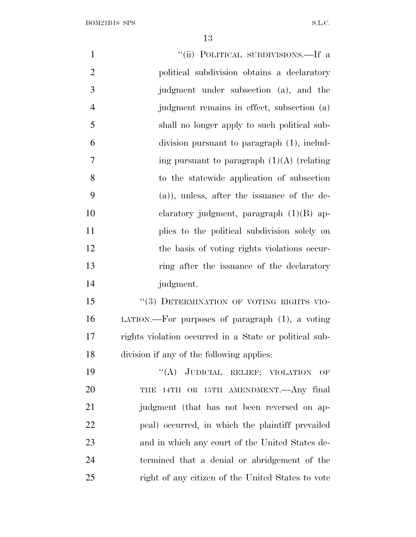| $\mathbf{1}$   | "(ii) POLITICAL SUBDIVISIONS.—If a                     |
|----------------|--------------------------------------------------------|
| $\mathbf{2}$   | political subdivision obtains a declaratory            |
| 3              | judgment under subsection (a), and the                 |
| $\overline{4}$ | judgment remains in effect, subsection (a)             |
| 5              | shall no longer apply to such political sub-           |
| 6              | division pursuant to paragraph (1), includ-            |
| 7              | ing pursuant to paragraph $(1)(A)$ (relating           |
| 8              | to the statewide application of subsection             |
| 9              | (a)), unless, after the issuance of the de-            |
| 10             | claratory judgment, paragraph $(1)(B)$ ap-             |
| 11             | plies to the political subdivision solely on           |
| 12             | the basis of voting rights violations occur-           |
| 13             | ring after the issuance of the declaratory             |
| 14             | judgment.                                              |
| 15             | "(3) DETERMINATION OF VOTING RIGHTS VIO-               |
| 16             | LATION.—For purposes of paragraph $(1)$ , a voting     |
| 17             | rights violation occurred in a State or political sub- |
| 18             | division if any of the following applies:              |
| 19             | "(A) JUDICIAL RELIEF; VIOLATION OF                     |
| 20             | 14TH OR 15TH AMENDMENT. Any final<br>THE               |
| 21             | judgment (that has not been reversed on ap-            |
| 22             | peal) occurred, in which the plaintiff prevailed       |
| 23             | and in which any court of the United States de-        |
| 24             | termined that a denial or abridgement of the           |
| 25             | right of any citizen of the United States to vote      |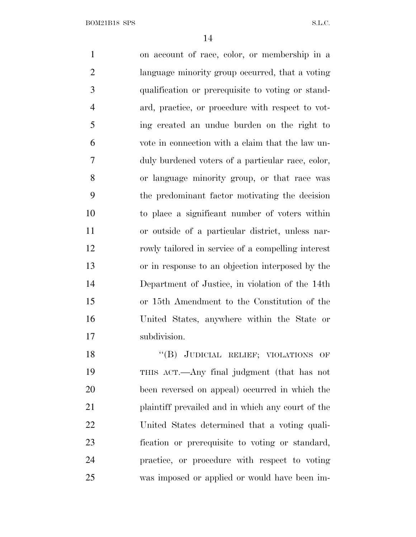on account of race, color, or membership in a language minority group occurred, that a voting qualification or prerequisite to voting or stand- ard, practice, or procedure with respect to vot- ing created an undue burden on the right to vote in connection with a claim that the law un- duly burdened voters of a particular race, color, or language minority group, or that race was the predominant factor motivating the decision to place a significant number of voters within or outside of a particular district, unless nar- rowly tailored in service of a compelling interest or in response to an objection interposed by the Department of Justice, in violation of the 14th or 15th Amendment to the Constitution of the United States, anywhere within the State or subdivision. 18 "(B) JUDICIAL RELIEF; VIOLATIONS OF THIS ACT.—Any final judgment (that has not

 been reversed on appeal) occurred in which the plaintiff prevailed and in which any court of the United States determined that a voting quali- fication or prerequisite to voting or standard, practice, or procedure with respect to voting was imposed or applied or would have been im-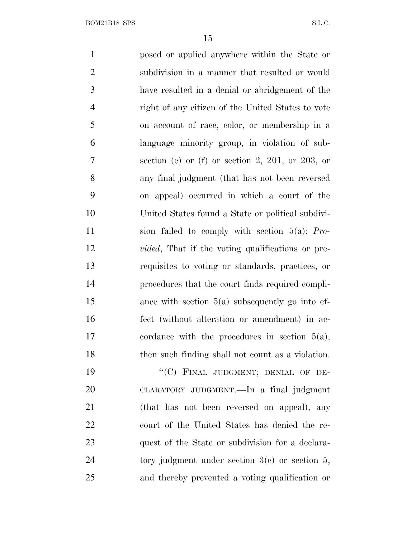posed or applied anywhere within the State or subdivision in a manner that resulted or would have resulted in a denial or abridgement of the right of any citizen of the United States to vote on account of race, color, or membership in a language minority group, in violation of sub- section (e) or (f) or section 2, 201, or 203, or any final judgment (that has not been reversed on appeal) occurred in which a court of the United States found a State or political subdivi- sion failed to comply with section 5(a): *Pro- vided*, That if the voting qualifications or pre- requisites to voting or standards, practices, or procedures that the court finds required compli- ance with section 5(a) subsequently go into ef- fect (without alteration or amendment) in ac- cordance with the procedures in section 5(a), then such finding shall not count as a violation. 19 "'(C) FINAL JUDGMENT; DENIAL OF DE- CLARATORY JUDGMENT.—In a final judgment (that has not been reversed on appeal), any court of the United States has denied the re- quest of the State or subdivision for a declara-24 tory judgment under section 3(c) or section 5,

and thereby prevented a voting qualification or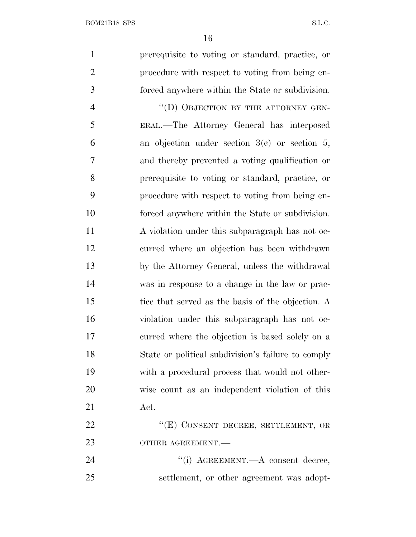| $\mathbf{1}$   | prerequisite to voting or standard, practice, or   |
|----------------|----------------------------------------------------|
| $\overline{2}$ | procedure with respect to voting from being en-    |
| 3              | forced anywhere within the State or subdivision.   |
| $\overline{4}$ | "(D) OBJECTION BY THE ATTORNEY GEN-                |
| 5              | ERAL.—The Attorney General has interposed          |
| 6              | an objection under section $3(c)$ or section 5,    |
| 7              | and thereby prevented a voting qualification or    |
| 8              | prerequisite to voting or standard, practice, or   |
| 9              | procedure with respect to voting from being en-    |
| 10             | forced anywhere within the State or subdivision.   |
| 11             | A violation under this subparagraph has not oc-    |
| 12             | curred where an objection has been withdrawn       |
| 13             | by the Attorney General, unless the withdrawal     |
| 14             | was in response to a change in the law or prac-    |
| 15             | tice that served as the basis of the objection. A  |
| 16             | violation under this subparagraph has not oc-      |
| 17             | curred where the objection is based solely on a    |
| 18             | State or political subdivision's failure to comply |
| 19             | with a procedural process that would not other-    |
| 20             | wise count as an independent violation of this     |
| 21             | Act.                                               |
| 22             | "(E) CONSENT DECREE, SETTLEMENT, OR                |
| 23             | OTHER AGREEMENT.-                                  |
| 24             | "(i) AGREEMENT.—A consent decree,                  |
| 25             | settlement, or other agreement was adopt-          |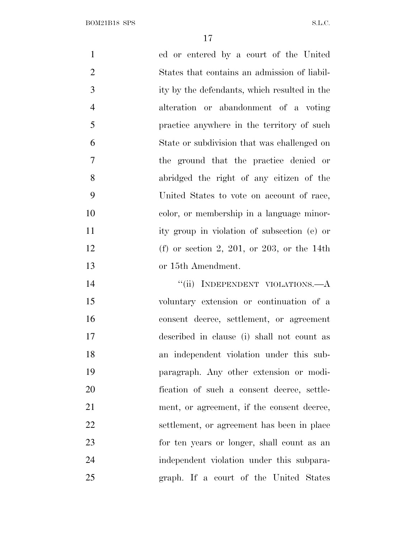| $\mathbf{1}$   | ed or entered by a court of the United       |
|----------------|----------------------------------------------|
| $\overline{2}$ | States that contains an admission of liabil- |
| 3              | ity by the defendants, which resulted in the |
| $\overline{4}$ | alteration or abandonment of a voting        |
| 5              | practice anywhere in the territory of such   |
| 6              | State or subdivision that was challenged on  |
| $\overline{7}$ | the ground that the practice denied or       |
| 8              | abridged the right of any citizen of the     |
| 9              | United States to vote on account of race,    |
| 10             | color, or membership in a language minor-    |
| 11             | ity group in violation of subsection (e) or  |
| 12             | (f) or section 2, 201, or 203, or the 14th   |
| 13             | or 15th Amendment.                           |
| 14             | "(ii) INDEPENDENT VIOLATIONS.—A              |
| 15             | voluntary extension or continuation of a     |
| 16             | consent decree, settlement, or agreement     |
| 17             | described in clause (i) shall not count as   |
| 18             | an independent violation under this sub-     |
| 19             | paragraph. Any other extension or modi-      |
| 20             | fication of such a consent decree, settle-   |
| 21             | ment, or agreement, if the consent decree,   |
| 22             | settlement, or agreement has been in place   |
| 23             | for ten years or longer, shall count as an   |

independent violation under this subpara-

graph. If a court of the United States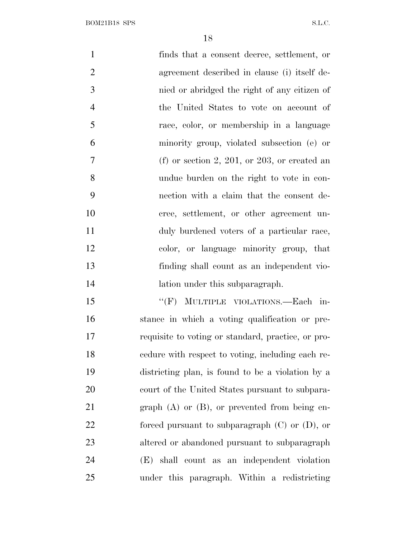| $\mathbf{1}$   | finds that a consent decree, settlement, or         |
|----------------|-----------------------------------------------------|
| $\overline{2}$ | agreement described in clause (i) itself de-        |
| 3              | nied or abridged the right of any citizen of        |
| $\overline{4}$ | the United States to vote on account of             |
| 5              | race, color, or membership in a language            |
| 6              | minority group, violated subsection (e) or          |
| $\tau$         | (f) or section 2, 201, or 203, or created an        |
| 8              | undue burden on the right to vote in con-           |
| 9              | nection with a claim that the consent de-           |
| 10             | cree, settlement, or other agreement un-            |
| 11             | duly burdened voters of a particular race,          |
| 12             | color, or language minority group, that             |
| 13             | finding shall count as an independent vio-          |
| 14             | lation under this subparagraph.                     |
| 15             | "(F) MULTIPLE VIOLATIONS.—Each in-                  |
| 16             | stance in which a voting qualification or pre-      |
| 17             | requisite to voting or standard, practice, or pro-  |
| 18             | edure with respect to voting, including each re-    |
| 19             | districting plan, is found to be a violation by a   |
| 20             | court of the United States pursuant to subpara-     |
| 21             | graph $(A)$ or $(B)$ , or prevented from being en-  |
| 22             | forced pursuant to subparagraph $(C)$ or $(D)$ , or |
| 23             | altered or abandoned pursuant to subparagraph       |
| 24             | (E)<br>shall count as an independent violation      |

under this paragraph. Within a redistricting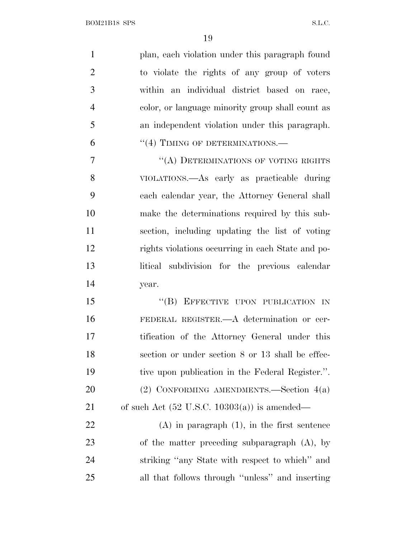| $\mathbf{1}$   | plan, each violation under this paragraph found         |
|----------------|---------------------------------------------------------|
| $\overline{2}$ | to violate the rights of any group of voters            |
| 3              | within an individual district based on race,            |
| $\overline{4}$ | color, or language minority group shall count as        |
| 5              | an independent violation under this paragraph.          |
| 6              | "(4) TIMING OF DETERMINATIONS.—                         |
| 7              | "(A) DETERMINATIONS OF VOTING RIGHTS                    |
| 8              | VIOLATIONS.—As early as practicable during              |
| 9              | each calendar year, the Attorney General shall          |
| 10             | make the determinations required by this sub-           |
| 11             | section, including updating the list of voting          |
| 12             | rights violations occurring in each State and po-       |
| 13             | litical subdivision for the previous calendar           |
| 14             | year.                                                   |
| 15             | "(B) EFFECTIVE UPON PUBLICATION IN                      |
| 16             | FEDERAL REGISTER.—A determination or cer-               |
| 17             | tification of the Attorney General under this           |
| 18             | section or under section 8 or 13 shall be effec-        |
| 19             | tive upon publication in the Federal Register.".        |
| 20             | (2) CONFORMING AMENDMENTS.—Section $4(a)$               |
| 21             | of such Act $(52 \text{ U.S.C. } 10303(a))$ is amended— |
| 22             | $(A)$ in paragraph $(1)$ , in the first sentence        |
| 23             | of the matter preceding subparagraph $(A)$ , by         |
| 24             | striking "any State with respect to which" and          |
| 25             | all that follows through "unless" and inserting         |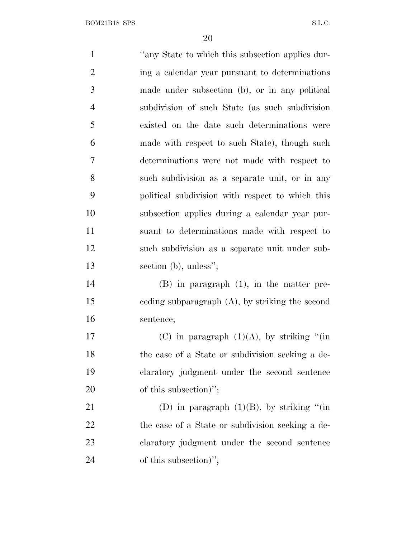1 "any State to which this subsection applies dur- ing a calendar year pursuant to determinations made under subsection (b), or in any political subdivision of such State (as such subdivision existed on the date such determinations were made with respect to such State), though such determinations were not made with respect to such subdivision as a separate unit, or in any political subdivision with respect to which this subsection applies during a calendar year pur- suant to determinations made with respect to such subdivision as a separate unit under sub-13 section (b), unless"; (B) in paragraph (1), in the matter pre- ceding subparagraph (A), by striking the second sentence; 17 (C) in paragraph  $(1)(A)$ , by striking "(in the case of a State or subdivision seeking a de- claratory judgment under the second sentence 20 of this subsection)"; 21 (D) in paragraph  $(1)(B)$ , by striking "(in 22 the case of a State or subdivision seeking a de- claratory judgment under the second sentence 24 of this subsection)";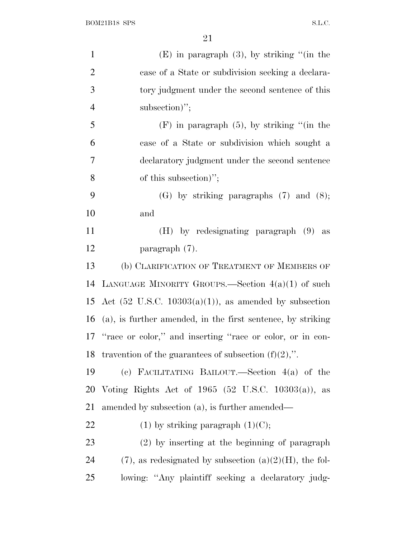| $\mathbf{1}$   | $(E)$ in paragraph $(3)$ , by striking "(in the                   |
|----------------|-------------------------------------------------------------------|
| $\overline{2}$ | case of a State or subdivision seeking a declara-                 |
| 3              | tory judgment under the second sentence of this                   |
| $\overline{4}$ | subsection)";                                                     |
| 5              | $(F)$ in paragraph $(5)$ , by striking "(in the                   |
| 6              | case of a State or subdivision which sought a                     |
| 7              | declaratory judgment under the second sentence                    |
| 8              | of this subsection)";                                             |
| 9              | $(G)$ by striking paragraphs $(7)$ and $(8)$ ;                    |
| 10             | and                                                               |
| 11             | $(H)$ by redesignating paragraph $(9)$<br>as                      |
| 12             | paragraph (7).                                                    |
| 13             | (b) CLARIFICATION OF TREATMENT OF MEMBERS OF                      |
| 14             | LANGUAGE MINORITY GROUPS.—Section $4(a)(1)$ of such               |
| 15             | Act $(52 \text{ U.S.C. } 10303(a)(1))$ , as amended by subsection |
| 16             | (a), is further amended, in the first sentence, by striking       |
|                | 17 "race or color," and inserting "race or color, or in con-      |
|                | 18 travention of the guarantees of subsection $(f)(2)$ ,".        |
| 19             | (c) FACILITATING BAILOUT.—Section $4(a)$ of the                   |
| 20             | Voting Rights Act of $1965$ (52 U.S.C. 10303(a)),<br>as           |
| 21             | amended by subsection (a), is further amended—                    |
| 22             | $(1)$ by striking paragraph $(1)(C)$ ;                            |
| 23             | (2) by inserting at the beginning of paragraph                    |
| 24             | $(7)$ , as redesignated by subsection $(a)(2)(H)$ , the fol-      |
| 25             | lowing: "Any plaintiff seeking a declaratory judg-                |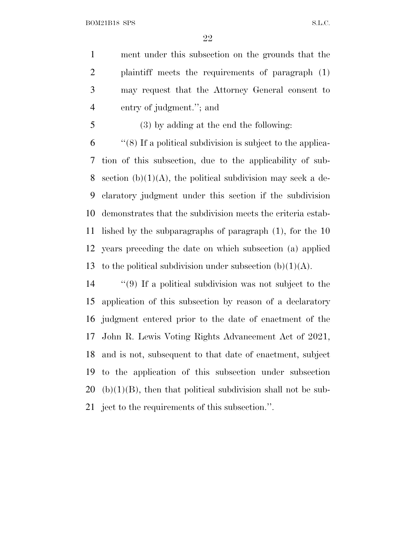ment under this subsection on the grounds that the plaintiff meets the requirements of paragraph (1) may request that the Attorney General consent to entry of judgment.''; and

(3) by adding at the end the following:

 ''(8) If a political subdivision is subject to the applica- tion of this subsection, due to the applicability of sub-8 section  $(b)(1)(A)$ , the political subdivision may seek a de- claratory judgment under this section if the subdivision demonstrates that the subdivision meets the criteria estab- lished by the subparagraphs of paragraph (1), for the 10 years preceding the date on which subsection (a) applied 13 to the political subdivision under subsection  $(b)(1)(A)$ .

 ''(9) If a political subdivision was not subject to the application of this subsection by reason of a declaratory judgment entered prior to the date of enactment of the John R. Lewis Voting Rights Advancement Act of 2021, and is not, subsequent to that date of enactment, subject to the application of this subsection under subsection (b)(1)(B), then that political subdivision shall not be sub-ject to the requirements of this subsection.''.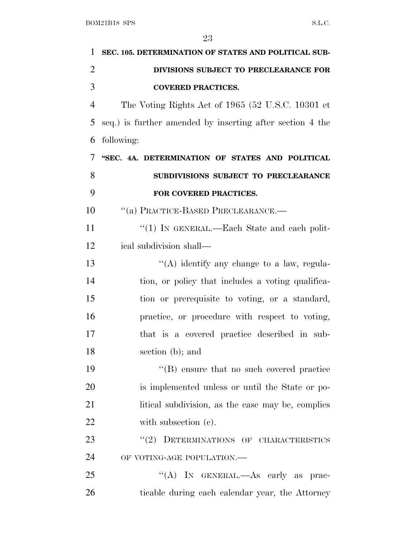| 1              | SEC. 105. DETERMINATION OF STATES AND POLITICAL SUB-      |
|----------------|-----------------------------------------------------------|
| $\overline{2}$ | DIVISIONS SUBJECT TO PRECLEARANCE FOR                     |
| 3              | <b>COVERED PRACTICES.</b>                                 |
| $\overline{4}$ | The Voting Rights Act of 1965 (52 U.S.C. 10301 et         |
| 5              | seq.) is further amended by inserting after section 4 the |
| 6              | following:                                                |
| 7              | "SEC. 4A. DETERMINATION OF STATES AND POLITICAL           |
| 8              | SUBDIVISIONS SUBJECT TO PRECLEARANCE                      |
| 9              | FOR COVERED PRACTICES.                                    |
| 10             | "(a) PRACTICE-BASED PRECLEARANCE.-                        |
| 11             | "(1) IN GENERAL.—Each State and each polit-               |
| 12             | ical subdivision shall—                                   |
| 13             | $\lq\lq$ identify any change to a law, regula-            |
| 14             | tion, or policy that includes a voting qualifica-         |
| 15             | tion or prerequisite to voting, or a standard,            |
| 16             | practice, or procedure with respect to voting,            |
| 17             | that is a covered practice described in sub-              |
| 18             | section $(b)$ ; and                                       |
| 19             | $\lq\lq$ (B) ensure that no such covered practice         |
| 20             | is implemented unless or until the State or po-           |
| 21             | litical subdivision, as the case may be, complies         |
| 22             | with subsection (c).                                      |
| 23             | "(2) DETERMINATIONS OF CHARACTERISTICS                    |
| 24             | OF VOTING-AGE POPULATION.-                                |
| 25             | "(A) IN GENERAL.—As early as prac-                        |
| 26             | ticable during each calendar year, the Attorney           |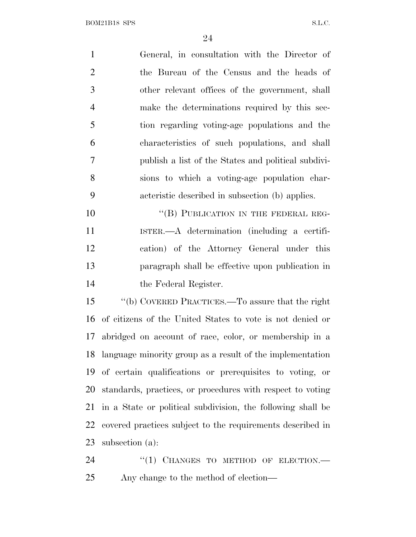General, in consultation with the Director of the Bureau of the Census and the heads of other relevant offices of the government, shall make the determinations required by this sec- tion regarding voting-age populations and the characteristics of such populations, and shall publish a list of the States and political subdivi- sions to which a voting-age population char- acteristic described in subsection (b) applies. 10 "(B) PUBLICATION IN THE FEDERAL REG-

 ISTER.—A determination (including a certifi- cation) of the Attorney General under this paragraph shall be effective upon publication in the Federal Register.

 ''(b) COVERED PRACTICES.—To assure that the right of citizens of the United States to vote is not denied or abridged on account of race, color, or membership in a language minority group as a result of the implementation of certain qualifications or prerequisites to voting, or standards, practices, or procedures with respect to voting in a State or political subdivision, the following shall be covered practices subject to the requirements described in subsection (a):

24 "(1) CHANGES TO METHOD OF ELECTION.— Any change to the method of election—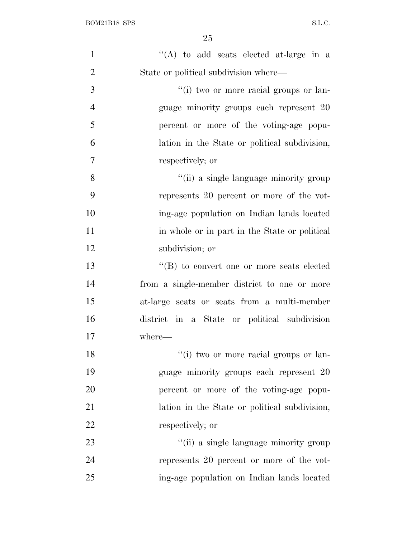| $\mathbf{1}$   | "(A) to add seats elected at-large in a       |
|----------------|-----------------------------------------------|
| $\overline{2}$ | State or political subdivision where—         |
| 3              | "(i) two or more racial groups or lan-        |
| $\overline{4}$ | guage minority groups each represent 20       |
| 5              | percent or more of the voting-age popu-       |
| 6              | lation in the State or political subdivision, |
| $\overline{7}$ | respectively; or                              |
| 8              | "(ii) a single language minority group        |
| 9              | represents 20 percent or more of the vot-     |
| 10             | ing-age population on Indian lands located    |
| 11             | in whole or in part in the State or political |
| 12             | subdivision; or                               |
| 13             | "(B) to convert one or more seats elected     |
| 14             | from a single-member district to one or more  |
| 15             | at-large seats or seats from a multi-member   |
| 16             | district in a State or political subdivision  |
| 17             | where-                                        |
| 18             | "(i) two or more racial groups or lan-        |
| 19             | guage minority groups each represent 20       |
| 20             | percent or more of the voting-age popu-       |
| 21             | lation in the State or political subdivision, |
| 22             | respectively; or                              |
| 23             | "(ii) a single language minority group        |
| 24             | represents 20 percent or more of the vot-     |
| 25             | ing-age population on Indian lands located    |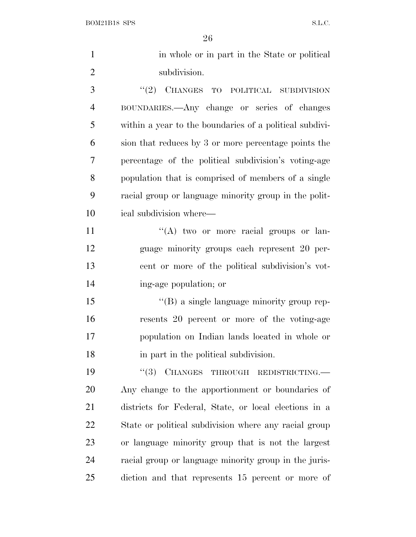$\begin{minipage}{.4\linewidth} \textbf{BOM21B18} \textbf{SPS} \end{minipage}$ 

| $\mathbf{1}$   | in whole or in part in the State or political           |
|----------------|---------------------------------------------------------|
| $\overline{c}$ | subdivision.                                            |
| 3              | (2)<br>CHANGES TO POLITICAL SUBDIVISION                 |
| $\overline{4}$ | BOUNDARIES.—Any change or series of changes             |
| 5              | within a year to the boundaries of a political subdivi- |
| 6              | sion that reduces by 3 or more percentage points the    |
| $\overline{7}$ | percentage of the political subdivision's voting-age    |
| 8              | population that is comprised of members of a single     |
| 9              | racial group or language minority group in the polit-   |
| 10             | ical subdivision where—                                 |
| 11             | "(A) two or more racial groups or lan-                  |
| 12             | guage minority groups each represent 20 per-            |
| 13             | cent or more of the political subdivision's vot-        |
| 14             | ing-age population; or                                  |
| 15             | "(B) a single language minority group rep-              |
| 16             | resents 20 percent or more of the voting-age            |
| 17             | population on Indian lands located in whole or          |
| 18             | in part in the political subdivision.                   |
| 19             | CHANGES THROUGH REDISTRICTING.<br>(3)                   |
| 20             | Any change to the apportionment or boundaries of        |
| 21             | districts for Federal, State, or local elections in a   |
| 22             | State or political subdivision where any racial group   |
| 23             | or language minority group that is not the largest      |
| 24             | racial group or language minority group in the juris-   |
| 25             | diction and that represents 15 percent or more of       |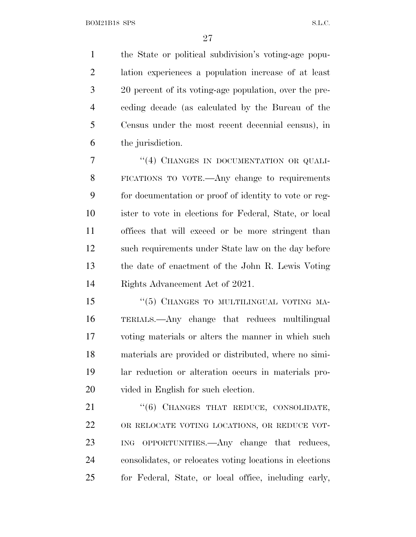the State or political subdivision's voting-age popu- lation experiences a population increase of at least 20 percent of its voting-age population, over the pre- ceding decade (as calculated by the Bureau of the Census under the most recent decennial census), in the jurisdiction.

7 "(4) CHANGES IN DOCUMENTATION OR QUALI- FICATIONS TO VOTE.—Any change to requirements for documentation or proof of identity to vote or reg- ister to vote in elections for Federal, State, or local offices that will exceed or be more stringent than such requirements under State law on the day before the date of enactment of the John R. Lewis Voting Rights Advancement Act of 2021.

15 "(5) CHANGES TO MULTILINGUAL VOTING MA- TERIALS.—Any change that reduces multilingual voting materials or alters the manner in which such materials are provided or distributed, where no simi- lar reduction or alteration occurs in materials pro-vided in English for such election.

21 "(6) CHANGES THAT REDUCE, CONSOLIDATE, OR RELOCATE VOTING LOCATIONS, OR REDUCE VOT- ING OPPORTUNITIES.—Any change that reduces, consolidates, or relocates voting locations in elections for Federal, State, or local office, including early,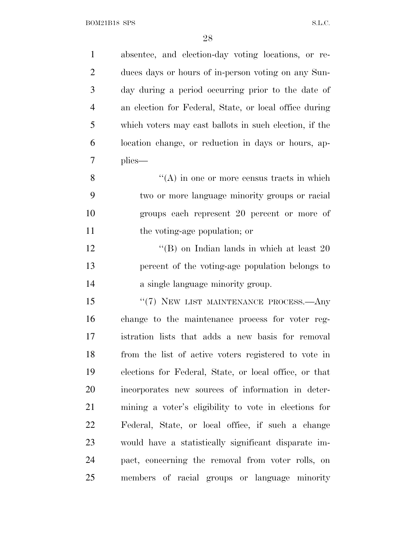| $\mathbf{1}$   | absentee, and election-day voting locations, or re-    |
|----------------|--------------------------------------------------------|
| $\overline{2}$ | duces days or hours of in-person voting on any Sun-    |
| 3              | day during a period occurring prior to the date of     |
| $\overline{4}$ | an election for Federal, State, or local office during |
| 5              | which voters may cast ballots in such election, if the |
| 6              | location change, or reduction in days or hours, ap-    |
| 7              | plies—                                                 |
| 8              | $\lq\lq$ in one or more census tracts in which         |
| 9              | two or more language minority groups or racial         |
| 10             | groups each represent 20 percent or more of            |
| 11             | the voting-age population; or                          |
| 12             | "(B) on Indian lands in which at least $20$            |
| 13             | percent of the voting-age population belongs to        |
| 14             | a single language minority group.                      |
| 15             | "(7) NEW LIST MAINTENANCE PROCESS.—Any                 |
| 16             | change to the maintenance process for voter reg-       |
| 17             | istration lists that adds a new basis for removal      |
| 18             | from the list of active voters registered to vote in   |
| 19             | elections for Federal, State, or local office, or that |
| 20             | incorporates new sources of information in deter-      |
| 21             | mining a voter's eligibility to vote in elections for  |
| 22             | Federal, State, or local office, if such a change      |
| 23             | would have a statistically significant disparate im-   |
| 24             | pact, concerning the removal from voter rolls, on      |
| 25             | members of racial groups or language minority          |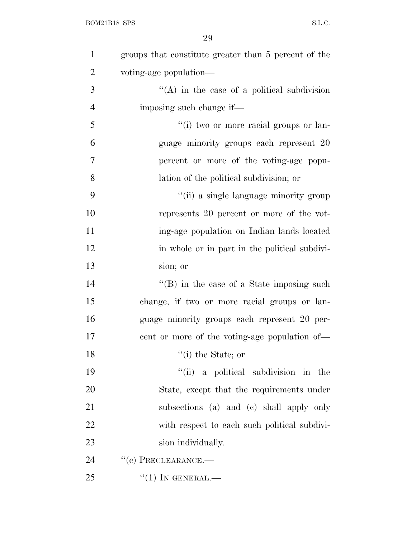| $\mathbf{1}$   | groups that constitute greater than 5 percent of the |
|----------------|------------------------------------------------------|
| $\overline{2}$ | voting-age population—                               |
| 3              | $\lq\lq$ in the case of a political subdivision      |
| $\overline{4}$ | imposing such change if—                             |
| 5              | "(i) two or more racial groups or lan-               |
| 6              | guage minority groups each represent 20              |
| 7              | percent or more of the voting-age popu-              |
| 8              | lation of the political subdivision; or              |
| 9              | "(ii) a single language minority group               |
| 10             | represents 20 percent or more of the vot-            |
| 11             | ing-age population on Indian lands located           |
| 12             | in whole or in part in the political subdivi-        |
| 13             | sion; or                                             |
| 14             | $\lq\lq (B)$ in the case of a State imposing such    |
| 15             | change, if two or more racial groups or lan-         |
| 16             | guage minority groups each represent 20 per-         |
| 17             | eent or more of the voting-age population of—        |
| 18             | $"$ (i) the State; or                                |
| 19             | "(ii) a political subdivision in the                 |
| 20             | State, except that the requirements under            |
| 21             | subsections (a) and (c) shall apply only             |
| 22             | with respect to each such political subdivi-         |
| 23             | sion individually.                                   |
| 24             | $``(e)$ PRECLEARANCE.—                               |
| 25             | $``(1)$ IN GENERAL.—                                 |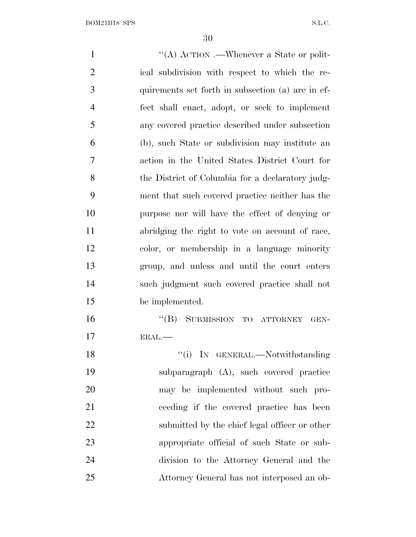$\frac{d}{dA}$  ACTION .—Whenever a State or polit- ical subdivision with respect to which the re- quirements set forth in subsection (a) are in ef- fect shall enact, adopt, or seek to implement any covered practice described under subsection (b), such State or subdivision may institute an action in the United States District Court for 8 the District of Columbia for a declaratory judg- ment that such covered practice neither has the purpose nor will have the effect of denying or abridging the right to vote on account of race, color, or membership in a language minority group, and unless and until the court enters such judgment such covered practice shall not be implemented. ''(B) SUBMISSION TO ATTORNEY GEN- ERAL.— 18 ''(i) IN GENERAL.—Notwithstanding subparagraph (A), such covered practice may be implemented without such pro- ceeding if the covered practice has been 22 submitted by the chief legal officer or other appropriate official of such State or sub- division to the Attorney General and the Attorney General has not interposed an ob-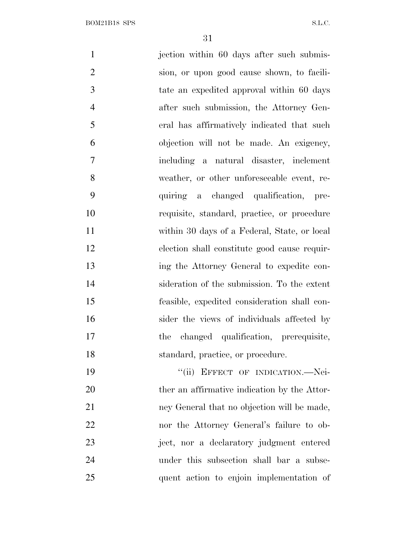1 jection within 60 days after such submis- sion, or upon good cause shown, to facili- tate an expedited approval within 60 days after such submission, the Attorney Gen- eral has affirmatively indicated that such objection will not be made. An exigency, including a natural disaster, inclement weather, or other unforeseeable event, re- quiring a changed qualification, pre- requisite, standard, practice, or procedure within 30 days of a Federal, State, or local election shall constitute good cause requir- ing the Attorney General to expedite con- sideration of the submission. To the extent feasible, expedited consideration shall con- sider the views of individuals affected by the changed qualification, prerequisite, 18 standard, practice, or procedure. 19 "(ii) EFFECT OF INDICATION.—Nei-20 ther an affirmative indication by the Attor- ney General that no objection will be made, nor the Attorney General's failure to ob- ject, nor a declaratory judgment entered under this subsection shall bar a subse-quent action to enjoin implementation of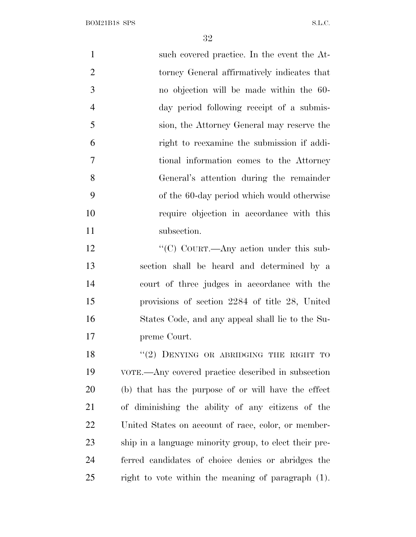$\begin{minipage}{.4\linewidth} \textbf{BOM21B18} \textbf{SPS} \end{minipage}$ 

| $\mathbf{1}$   | such covered practice. In the event the At-            |
|----------------|--------------------------------------------------------|
| $\overline{2}$ | torney General affirmatively indicates that            |
| 3              | no objection will be made within the 60-               |
| 4              | day period following receipt of a submis-              |
| 5              | sion, the Attorney General may reserve the             |
| 6              | right to reexamine the submission if addi-             |
| 7              | tional information comes to the Attorney               |
| 8              | General's attention during the remainder               |
| 9              | of the 60-day period which would otherwise             |
| 10             | require objection in accordance with this              |
| 11             | subsection.                                            |
| 12             | "(C) COURT.—Any action under this sub-                 |
| 13             | section shall be heard and determined by a             |
| 14             | court of three judges in accordance with the           |
| 15             | provisions of section 2284 of title 28, United         |
| 16             | States Code, and any appeal shall lie to the Su-       |
| 17             | preme Court.                                           |
| 18             | "(2) DENYING OR ABRIDGING THE RIGHT TO                 |
| 19             | VOTE.—Any covered practice described in subsection     |
| 20             | (b) that has the purpose of or will have the effect    |
| 21             | of diminishing the ability of any citizens of the      |
| 22             | United States on account of race, color, or member-    |
| 23             | ship in a language minority group, to elect their pre- |
| 24             | ferred candidates of choice denies or abridges the     |

right to vote within the meaning of paragraph (1).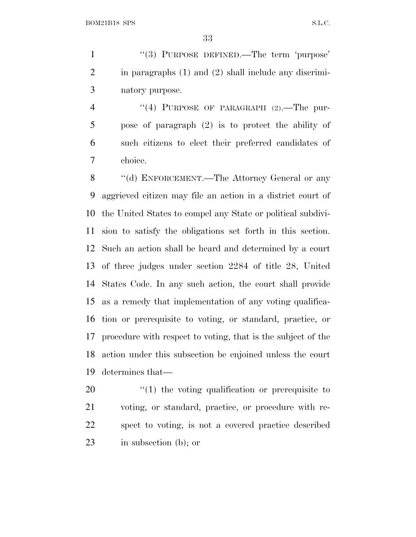1 "(3) PURPOSE DEFINED.—The term 'purpose' in paragraphs (1) and (2) shall include any discrimi-natory purpose.

4 "(4) PURPOSE OF PARAGRAPH (2). The pur- pose of paragraph (2) is to protect the ability of such citizens to elect their preferred candidates of choice.

8 "(d) ENFORCEMENT.—The Attorney General or any aggrieved citizen may file an action in a district court of the United States to compel any State or political subdivi- sion to satisfy the obligations set forth in this section. Such an action shall be heard and determined by a court of three judges under section 2284 of title 28, United States Code. In any such action, the court shall provide as a remedy that implementation of any voting qualifica- tion or prerequisite to voting, or standard, practice, or procedure with respect to voting, that is the subject of the action under this subsection be enjoined unless the court determines that—

 $\frac{1}{20}$  the voting qualification or prerequisite to voting, or standard, practice, or procedure with re- spect to voting, is not a covered practice described in subsection (b); or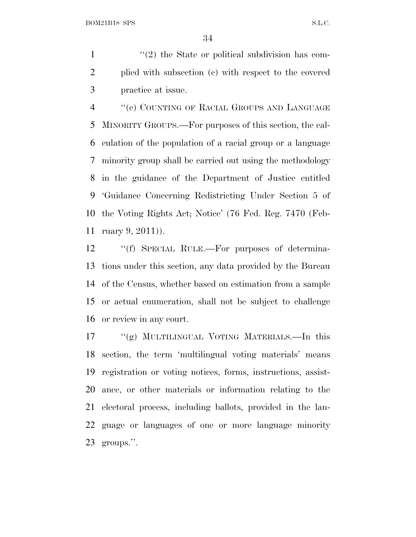$\frac{1}{2}$  <sup>(1</sup>(2) the State or political subdivision has com- plied with subsection (c) with respect to the covered practice at issue.

 ''(e) COUNTING OF RACIAL GROUPS AND LANGUAGE MINORITY GROUPS.—For purposes of this section, the cal- culation of the population of a racial group or a language minority group shall be carried out using the methodology in the guidance of the Department of Justice entitled 'Guidance Concerning Redistricting Under Section 5 of the Voting Rights Act; Notice' (76 Fed. Reg. 7470 (Feb-ruary 9, 2011)).

 ''(f) SPECIAL RULE.—For purposes of determina- tions under this section, any data provided by the Bureau of the Census, whether based on estimation from a sample or actual enumeration, shall not be subject to challenge or review in any court.

 ''(g) MULTILINGUAL VOTING MATERIALS.—In this section, the term 'multilingual voting materials' means registration or voting notices, forms, instructions, assist- ance, or other materials or information relating to the electoral process, including ballots, provided in the lan- guage or languages of one or more language minority groups.''.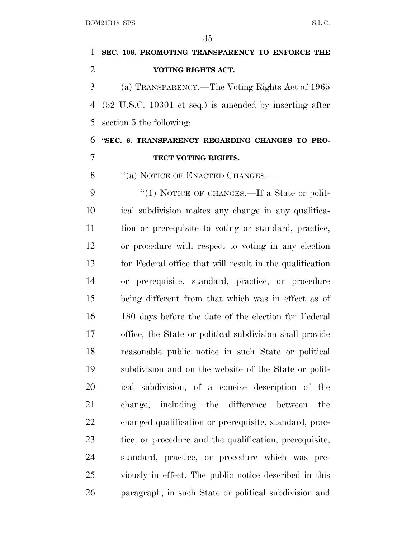# **SEC. 106. PROMOTING TRANSPARENCY TO ENFORCE THE VOTING RIGHTS ACT.** (a) TRANSPARENCY.—The Voting Rights Act of 1965 (52 U.S.C. 10301 et seq.) is amended by inserting after section 5 the following: **''SEC. 6. TRANSPARENCY REGARDING CHANGES TO PRO- TECT VOTING RIGHTS.** 8 "(a) NOTICE OF ENACTED CHANGES.— 9 "(1) NOTICE OF CHANGES.—If a State or polit- ical subdivision makes any change in any qualifica-tion or prerequisite to voting or standard, practice,

 or procedure with respect to voting in any election for Federal office that will result in the qualification or prerequisite, standard, practice, or procedure being different from that which was in effect as of 180 days before the date of the election for Federal office, the State or political subdivision shall provide reasonable public notice in such State or political subdivision and on the website of the State or polit- ical subdivision, of a concise description of the change, including the difference between the changed qualification or prerequisite, standard, prac- tice, or procedure and the qualification, prerequisite, standard, practice, or procedure which was pre- viously in effect. The public notice described in this paragraph, in such State or political subdivision and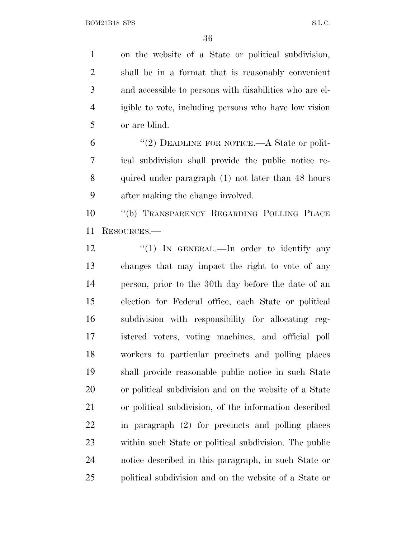on the website of a State or political subdivision, shall be in a format that is reasonably convenient and accessible to persons with disabilities who are el- igible to vote, including persons who have low vision or are blind.

 $(2)$  DEADLINE FOR NOTICE.—A State or polit- ical subdivision shall provide the public notice re- quired under paragraph (1) not later than 48 hours after making the change involved.

 ''(b) TRANSPARENCY REGARDING POLLING PLACE RESOURCES.—

12 "(1) In GENERAL.—In order to identify any changes that may impact the right to vote of any person, prior to the 30th day before the date of an election for Federal office, each State or political subdivision with responsibility for allocating reg- istered voters, voting machines, and official poll workers to particular precincts and polling places shall provide reasonable public notice in such State or political subdivision and on the website of a State or political subdivision, of the information described in paragraph (2) for precincts and polling places within such State or political subdivision. The public notice described in this paragraph, in such State or political subdivision and on the website of a State or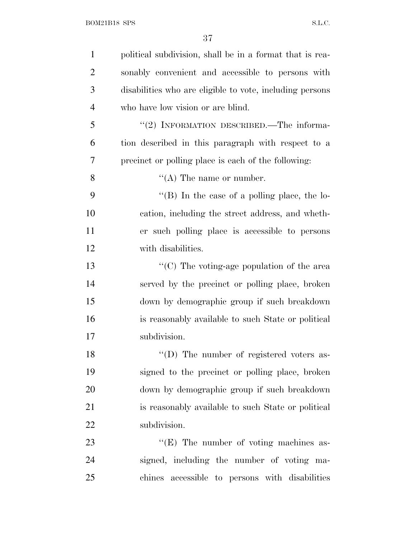| $\mathbf{1}$   | political subdivision, shall be in a format that is rea- |
|----------------|----------------------------------------------------------|
| $\overline{2}$ | sonably convenient and accessible to persons with        |
| 3              | disabilities who are eligible to vote, including persons |
| $\overline{4}$ | who have low vision or are blind.                        |
| 5              | "(2) INFORMATION DESCRIBED.—The informa-                 |
| 6              | tion described in this paragraph with respect to a       |
| 7              | precinct or polling place is each of the following:      |
| 8              | $\lq\lq$ (A) The name or number.                         |
| 9              | "(B) In the case of a polling place, the lo-             |
| 10             | cation, including the street address, and wheth-         |
| 11             | er such polling place is accessible to persons           |
| 12             | with disabilities.                                       |
| 13             | $\lq\lq$ (C) The voting-age population of the area       |
| 14             | served by the precinct or polling place, broken          |
| 15             | down by demographic group if such breakdown              |
| 16             | is reasonably available to such State or political       |
| 17             | subdivision.                                             |
| 18             | "(D) The number of registered voters as-                 |
| 19             | signed to the precinct or polling place, broken          |
| 20             | down by demographic group if such breakdown              |
| 21             | is reasonably available to such State or political       |
| 22             | subdivision.                                             |
| 23             | $\lq\lq(E)$ The number of voting machines as-            |
| 24             | signed, including the number of voting ma-               |
| 25             | chines accessible to persons with disabilities           |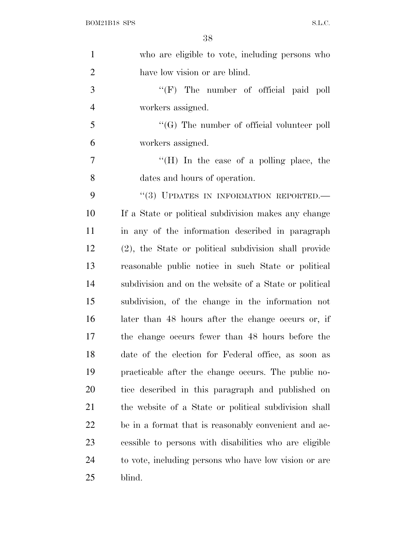| $\mathbf{1}$   | who are eligible to vote, including persons who        |
|----------------|--------------------------------------------------------|
| $\overline{2}$ | have low vision or are blind.                          |
| 3              | $\lq\lq(F)$ The number of official paid poll           |
| $\overline{4}$ | workers assigned.                                      |
| 5              | $\lq\lq (G)$ The number of official volunteer poll     |
| 6              | workers assigned.                                      |
| $\overline{7}$ | "(H) In the case of a polling place, the               |
| 8              | dates and hours of operation.                          |
| 9              | "(3) UPDATES IN INFORMATION REPORTED.-                 |
| 10             | If a State or political subdivision makes any change   |
| 11             | in any of the information described in paragraph       |
| 12             | (2), the State or political subdivision shall provide  |
| 13             | reasonable public notice in such State or political    |
| 14             | subdivision and on the website of a State or political |
| 15             | subdivision, of the change in the information not      |
| 16             | later than 48 hours after the change occurs or, if     |
| 17             | the change occurs fewer than 48 hours before the       |
| 18             | date of the election for Federal office, as soon as    |
| 19             | practicable after the change occurs. The public no-    |
| 20             | tice described in this paragraph and published on      |
| 21             | the website of a State or political subdivision shall  |
| 22             | be in a format that is reasonably convenient and ac-   |
| 23             | cessible to persons with disabilities who are eligible |
| 24             | to vote, including persons who have low vision or are  |
| 25             | blind.                                                 |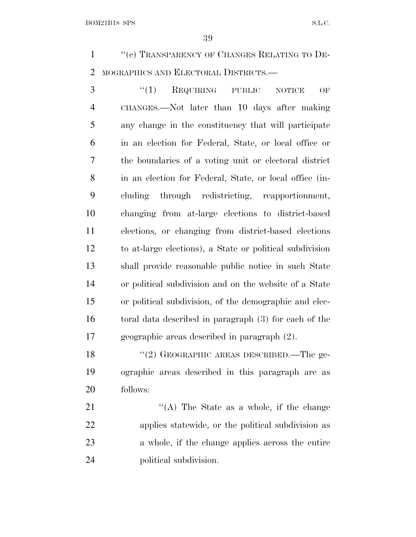1 "(c) TRANSPARENCY OF CHANGES RELATING TO DE-MOGRAPHICS AND ELECTORAL DISTRICTS.—

3 "(1) REQUIRING PUBLIC NOTICE OF CHANGES.—Not later than 10 days after making any change in the constituency that will participate in an election for Federal, State, or local office or the boundaries of a voting unit or electoral district in an election for Federal, State, or local office (in- cluding through redistricting, reapportionment, changing from at-large elections to district-based elections, or changing from district-based elections to at-large elections), a State or political subdivision shall provide reasonable public notice in such State or political subdivision and on the website of a State or political subdivision, of the demographic and elec- toral data described in paragraph (3) for each of the geographic areas described in paragraph (2).

18 "(2) GEOGRAPHIC AREAS DESCRIBED.—The ge- ographic areas described in this paragraph are as follows:

21 "'(A) The State as a whole, if the change applies statewide, or the political subdivision as a whole, if the change applies across the entire political subdivision.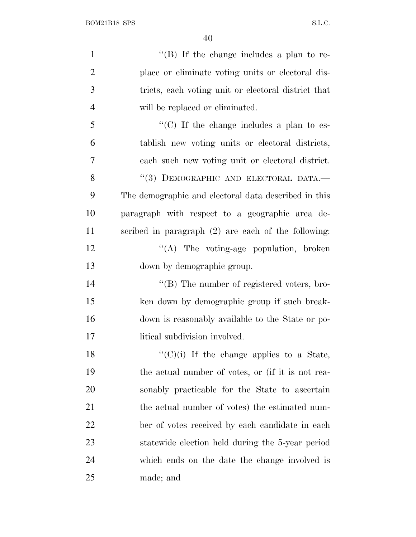| $\mathbf{1}$   | "(B) If the change includes a plan to re-             |
|----------------|-------------------------------------------------------|
| $\overline{2}$ | place or eliminate voting units or electoral dis-     |
| 3              | tricts, each voting unit or electoral district that   |
| $\overline{4}$ | will be replaced or eliminated.                       |
| 5              | "(C) If the change includes a plan to es-             |
| 6              | tablish new voting units or electoral districts,      |
| $\overline{7}$ | each such new voting unit or electoral district.      |
| 8              | "(3) DEMOGRAPHIC AND ELECTORAL DATA.-                 |
| 9              | The demographic and electoral data described in this  |
| 10             | paragraph with respect to a geographic area de-       |
| 11             | scribed in paragraph $(2)$ are each of the following: |
| 12             | "(A) The voting-age population, broken                |
| 13             | down by demographic group.                            |
| 14             | $\lq\lq (B)$ The number of registered voters, bro-    |
| 15             | ken down by demographic group if such break-          |
| 16             | down is reasonably available to the State or po-      |
| 17             | litical subdivision involved.                         |
| 18             | $``(C)(i)$ If the change applies to a State,          |
| 19             | the actual number of votes, or (if it is not rea-     |
| 20             | sonably practicable for the State to ascertain        |
| 21             | the actual number of votes) the estimated num-        |
| 22             | ber of votes received by each candidate in each       |
| 23             | statewide election held during the 5-year period      |
| 24             | which ends on the date the change involved is         |
| 25             | made; and                                             |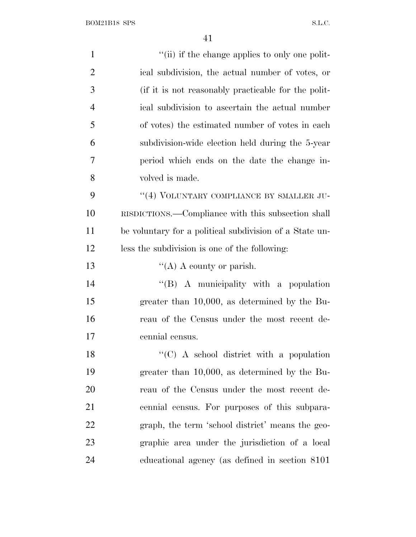| $\mathbf{1}$   | "(ii) if the change applies to only one polit-          |
|----------------|---------------------------------------------------------|
| $\overline{2}$ | ical subdivision, the actual number of votes, or        |
| 3              | (if it is not reasonably practicable for the polit-     |
| $\overline{4}$ | ical subdivision to ascertain the actual number         |
| 5              | of votes) the estimated number of votes in each         |
| 6              | subdivision-wide election held during the 5-year        |
| 7              | period which ends on the date the change in-            |
| 8              | volved is made.                                         |
| 9              | "(4) VOLUNTARY COMPLIANCE BY SMALLER JU-                |
| 10             | RISDICTIONS.—Compliance with this subsection shall      |
| 11             | be voluntary for a political subdivision of a State un- |
| 12             | less the subdivision is one of the following:           |
| 13             | "(A) A county or parish.                                |
| 14             | "(B) A municipality with a population                   |
| 15             | greater than $10,000$ , as determined by the Bu-        |
| 16             | reau of the Census under the most recent de-            |
| 17             | cennial census.                                         |
| 18             | " $(C)$ A school district with a population             |
| 19             | greater than $10,000$ , as determined by the Bu-        |
| 20             | reau of the Census under the most recent de-            |
| 21             | cennial census. For purposes of this subpara-           |
| <u>22</u>      | graph, the term 'school district' means the geo-        |
| 23             | graphic area under the jurisdiction of a local          |
| 24             | educational agency (as defined in section 8101)         |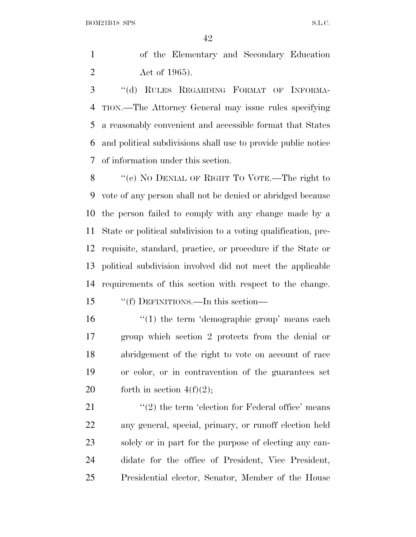of the Elementary and Secondary Education Act of 1965).

 ''(d) RULES REGARDING FORMAT OF INFORMA- TION.—The Attorney General may issue rules specifying a reasonably convenient and accessible format that States and political subdivisions shall use to provide public notice of information under this section.

 ''(e) N<sup>O</sup> DENIAL OF RIGHT T<sup>O</sup> VOTE.—The right to vote of any person shall not be denied or abridged because the person failed to comply with any change made by a State or political subdivision to a voting qualification, pre- requisite, standard, practice, or procedure if the State or political subdivision involved did not meet the applicable requirements of this section with respect to the change.

''(f) DEFINITIONS.—In this section—

16 '(1) the term 'demographic group' means each group which section 2 protects from the denial or abridgement of the right to vote on account of race or color, or in contravention of the guarantees set 20 forth in section  $4(f)(2)$ ;

 $\langle \langle 2 \rangle$  the term 'election for Federal office' means any general, special, primary, or runoff election held solely or in part for the purpose of electing any can- didate for the office of President, Vice President, Presidential elector, Senator, Member of the House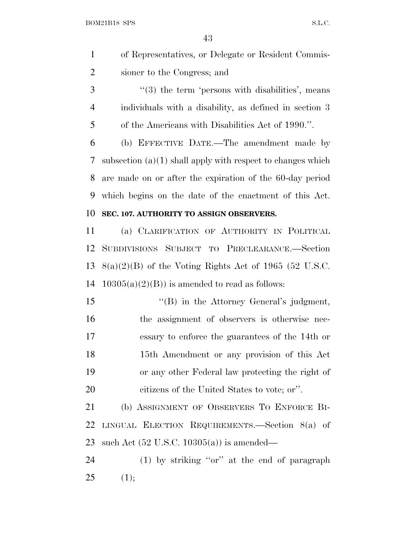- of Representatives, or Delegate or Resident Commis-sioner to the Congress; and
- 3 "(3) the term 'persons with disabilities', means individuals with a disability, as defined in section 3 of the Americans with Disabilities Act of 1990.''.

 (b) EFFECTIVE DATE.—The amendment made by subsection (a)(1) shall apply with respect to changes which are made on or after the expiration of the 60-day period which begins on the date of the enactment of this Act. **SEC. 107. AUTHORITY TO ASSIGN OBSERVERS.**

## (a) CLARIFICATION OF AUTHORITY IN POLITICAL SUBDIVISIONS SUBJECT TO PRECLEARANCE.—Section 13  $8(a)(2)(B)$  of the Voting Rights Act of 1965 (52 U.S.C. 14  $10305(a)(2)(B)$  is amended to read as follows:

15 "(B) in the Attorney General's judgment, the assignment of observers is otherwise nec- essary to enforce the guarantees of the 14th or 15th Amendment or any provision of this Act or any other Federal law protecting the right of citizens of the United States to vote; or''.

 (b) ASSIGNMENT OF OBSERVERS T<sup>O</sup> ENFORCE BI- LINGUAL ELECTION REQUIREMENTS.—Section 8(a) of such Act (52 U.S.C. 10305(a)) is amended—

 (1) by striking ''or'' at the end of paragraph (1);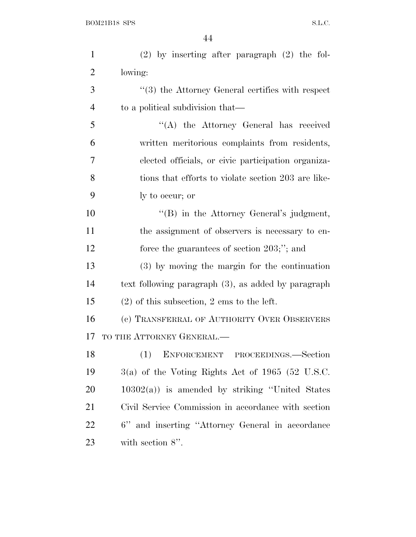| $\mathbf{1}$   | $(2)$ by inserting after paragraph $(2)$ the fol-    |
|----------------|------------------------------------------------------|
| $\overline{2}$ | lowing:                                              |
| 3              | $\lq(3)$ the Attorney General certifies with respect |
| $\overline{4}$ | to a political subdivision that—                     |
| 5              | "(A) the Attorney General has received               |
| 6              | written meritorious complaints from residents,       |
| 7              | elected officials, or civic participation organiza-  |
| 8              | tions that efforts to violate section 203 are like-  |
| 9              | ly to occur; or                                      |
| 10             | $\lq\lq (B)$ in the Attorney General's judgment,     |
| 11             | the assignment of observers is necessary to en-      |
| 12             | force the guarantees of section $203;$ "; and        |
| 13             | (3) by moving the margin for the continuation        |
| 14             | text following paragraph (3), as added by paragraph  |
| 15             | $(2)$ of this subsection, 2 ems to the left.         |
| 16             | (c) TRANSFERRAL OF AUTHORITY OVER OBSERVERS          |
| 17             | TO THE ATTORNEY GENERAL.-                            |
| 18             | ENFORCEMENT PROCEEDINGS.-Section                     |
| 19             | $3(a)$ of the Voting Rights Act of 1965 (52 U.S.C.   |
| <b>20</b>      | $10302(a)$ is amended by striking "United States"    |
| 21             | Civil Service Commission in accordance with section  |
| 22             | 6" and inserting "Attorney General in accordance     |
| 23             | with section $8$ ".                                  |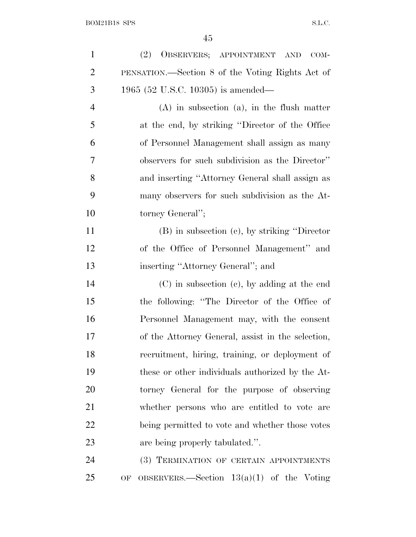| $\mathbf{1}$   | OBSERVERS; APPOINTMENT AND<br>(2)<br>COM-         |
|----------------|---------------------------------------------------|
| $\overline{2}$ | PENSATION.—Section 8 of the Voting Rights Act of  |
| 3              | 1965 (52 U.S.C. 10305) is amended—                |
| $\overline{4}$ | $(A)$ in subsection $(a)$ , in the flush matter   |
| 5              | at the end, by striking "Director of the Office"  |
| 6              | of Personnel Management shall assign as many      |
| 7              | observers for such subdivision as the Director"   |
| 8              | and inserting "Attorney General shall assign as   |
| 9              | many observers for such subdivision as the At-    |
| 10             | torney General";                                  |
| 11             | (B) in subsection (c), by striking "Director      |
| 12             | of the Office of Personnel Management" and        |
| 13             | inserting "Attorney General"; and                 |
| 14             | $(C)$ in subsection $(e)$ , by adding at the end  |
| 15             | the following: "The Director of the Office of     |
| 16             | Personnel Management may, with the consent        |
| 17             | of the Attorney General, assist in the selection, |
| 18             | recruitment, hiring, training, or deployment of   |
| 19             | these or other individuals authorized by the At-  |
| 20             | torney General for the purpose of observing       |
| 21             | whether persons who are entitled to vote are      |
| 22             | being permitted to vote and whether those votes   |
| 23             | are being properly tabulated.".                   |
| 24             | (3) TERMINATION OF CERTAIN APPOINTMENTS           |
| 25             | OF OBSERVERS.—Section $13(a)(1)$ of the Voting    |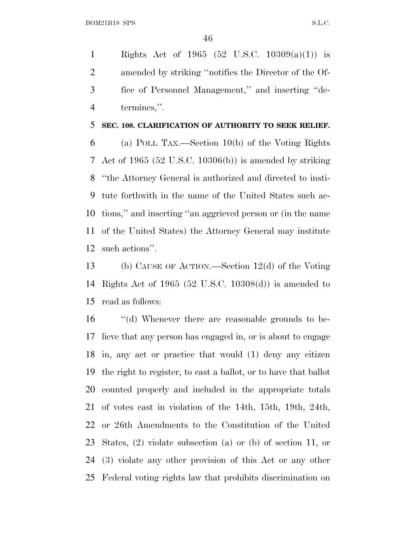Rights Act of 1965 (52 U.S.C. 10309(a)(1)) is amended by striking ''notifies the Director of the Of- fice of Personnel Management,'' and inserting ''de-termines,''.

#### **SEC. 108. CLARIFICATION OF AUTHORITY TO SEEK RELIEF.**

 (a) POLL TAX.—Section 10(b) of the Voting Rights Act of 1965 (52 U.S.C. 10306(b)) is amended by striking ''the Attorney General is authorized and directed to insti- tute forthwith in the name of the United States such ac- tions,'' and inserting ''an aggrieved person or (in the name of the United States) the Attorney General may institute such actions''.

 (b) CAUSE OF ACTION.—Section 12(d) of the Voting Rights Act of 1965 (52 U.S.C. 10308(d)) is amended to read as follows:

 ''(d) Whenever there are reasonable grounds to be- lieve that any person has engaged in, or is about to engage in, any act or practice that would (1) deny any citizen the right to register, to cast a ballot, or to have that ballot counted properly and included in the appropriate totals of votes cast in violation of the 14th, 15th, 19th, 24th, or 26th Amendments to the Constitution of the United States, (2) violate subsection (a) or (b) of section 11, or (3) violate any other provision of this Act or any other Federal voting rights law that prohibits discrimination on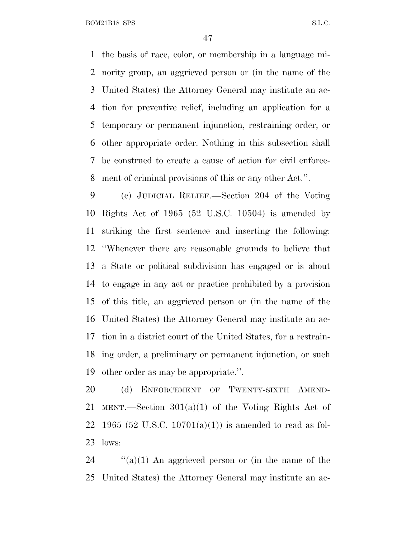the basis of race, color, or membership in a language mi- nority group, an aggrieved person or (in the name of the United States) the Attorney General may institute an ac- tion for preventive relief, including an application for a temporary or permanent injunction, restraining order, or other appropriate order. Nothing in this subsection shall be construed to create a cause of action for civil enforce-ment of criminal provisions of this or any other Act.''.

 (c) JUDICIAL RELIEF.—Section 204 of the Voting Rights Act of 1965 (52 U.S.C. 10504) is amended by striking the first sentence and inserting the following: ''Whenever there are reasonable grounds to believe that a State or political subdivision has engaged or is about to engage in any act or practice prohibited by a provision of this title, an aggrieved person or (in the name of the United States) the Attorney General may institute an ac- tion in a district court of the United States, for a restrain- ing order, a preliminary or permanent injunction, or such other order as may be appropriate.''.

 (d) ENFORCEMENT OF TWENTY-SIXTH AMEND- MENT.—Section 301(a)(1) of the Voting Rights Act of 22 1965 (52 U.S.C. 10701(a)(1)) is amended to read as fol-lows:

24  $\cdot$  (a)(1) An aggrieved person or (in the name of the United States) the Attorney General may institute an ac-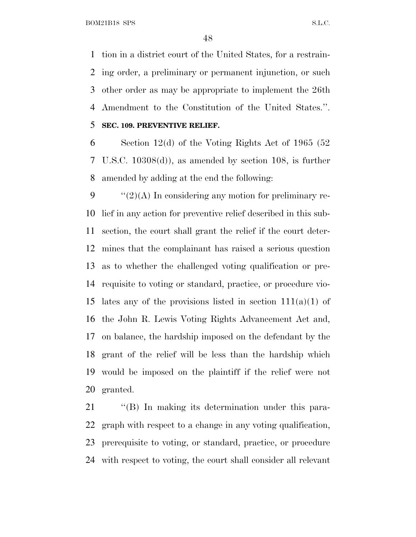tion in a district court of the United States, for a restrain- ing order, a preliminary or permanent injunction, or such other order as may be appropriate to implement the 26th Amendment to the Constitution of the United States.''. **SEC. 109. PREVENTIVE RELIEF.**

 Section 12(d) of the Voting Rights Act of 1965 (52 U.S.C. 10308(d)), as amended by section 108, is further amended by adding at the end the following:

 $\frac{1}{2}(2)$ (A) In considering any motion for preliminary re- lief in any action for preventive relief described in this sub- section, the court shall grant the relief if the court deter- mines that the complainant has raised a serious question as to whether the challenged voting qualification or pre- requisite to voting or standard, practice, or procedure vio-15 lates any of the provisions listed in section  $111(a)(1)$  of the John R. Lewis Voting Rights Advancement Act and, on balance, the hardship imposed on the defendant by the grant of the relief will be less than the hardship which would be imposed on the plaintiff if the relief were not granted.

21 "(B) In making its determination under this para- graph with respect to a change in any voting qualification, prerequisite to voting, or standard, practice, or procedure with respect to voting, the court shall consider all relevant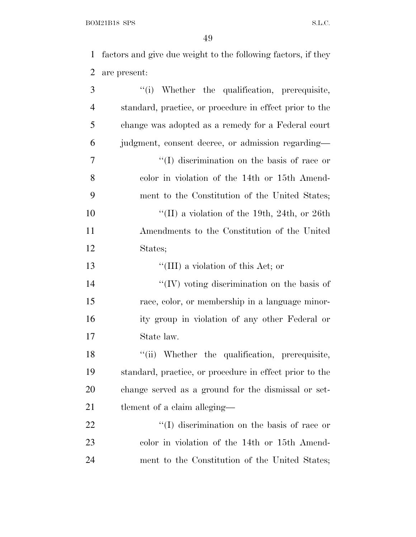$\begin{minipage}{.4\linewidth} \textbf{BOM21B18 SPS} \end{minipage}$ 

 factors and give due weight to the following factors, if they are present:

| 3              | "(i) Whether the qualification, prerequisite,           |
|----------------|---------------------------------------------------------|
| $\overline{4}$ | standard, practice, or procedure in effect prior to the |
| 5              | change was adopted as a remedy for a Federal court      |
| 6              | judgment, consent decree, or admission regarding—       |
| 7              | $\lq\lq$ discrimination on the basis of race or         |
| 8              | color in violation of the 14th or 15th Amend-           |
| 9              | ment to the Constitution of the United States;          |
| 10             | "(II) a violation of the 19th, 24th, or 26th            |
| <sup>11</sup>  | Amendments to the Constitution of the United            |
| 12             | States;                                                 |
| 13             | "(III) a violation of this Act; or                      |
| 14             | "(IV) voting discrimination on the basis of             |
| 15             | race, color, or membership in a language minor-         |
| 16             | ity group in violation of any other Federal or          |
| 17             | State law.                                              |
| 18             | "(ii) Whether the qualification, prerequisite,          |
| 19             | standard, practice, or procedure in effect prior to the |
| 20             | change served as a ground for the dismissal or set-     |
| 21             | tlement of a claim alleging—                            |
| <u>22</u>      | "(I) discrimination on the basis of race or             |
| 23             | color in violation of the 14th or 15th Amend-           |
| 24             | ment to the Constitution of the United States;          |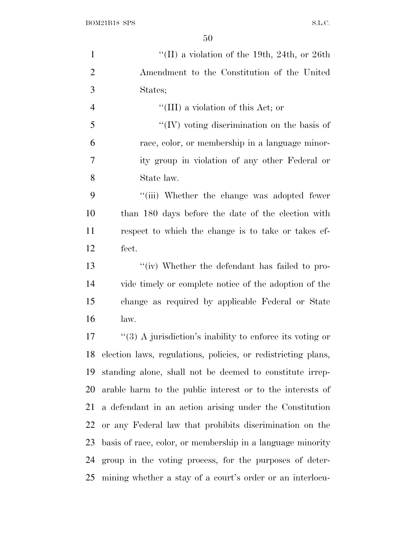| $\mathbf{1}$   | "(II) a violation of the 19th, 24th, or 26th                  |
|----------------|---------------------------------------------------------------|
| $\overline{2}$ | Amendment to the Constitution of the United                   |
| 3              | States;                                                       |
| $\overline{4}$ | "(III) a violation of this Act; or                            |
| 5              | "(IV) voting discrimination on the basis of                   |
| 6              | race, color, or membership in a language minor-               |
| $\overline{7}$ | ity group in violation of any other Federal or                |
| 8              | State law.                                                    |
| 9              | "(iii) Whether the change was adopted fewer                   |
| 10             | than 180 days before the date of the election with            |
| 11             | respect to which the change is to take or takes ef-           |
| 12             | fect.                                                         |
| 13             | "(iv) Whether the defendant has failed to pro-                |
| 14             | vide timely or complete notice of the adoption of the         |
| 15             | change as required by applicable Federal or State             |
| 16             | law.                                                          |
| 17             | "(3) A jurisdiction's inability to enforce its voting or      |
| 18             | election laws, regulations, policies, or redistricting plans, |
| 19             | standing alone, shall not be deemed to constitute irrep-      |
| 20             | arable harm to the public interest or to the interests of     |
| 21             | a defendant in an action arising under the Constitution       |
| 22             | or any Federal law that prohibits discrimination on the       |
| 23             | basis of race, color, or membership in a language minority    |
| 24             | group in the voting process, for the purposes of deter-       |
| 25             | mining whether a stay of a court's order or an interlocu-     |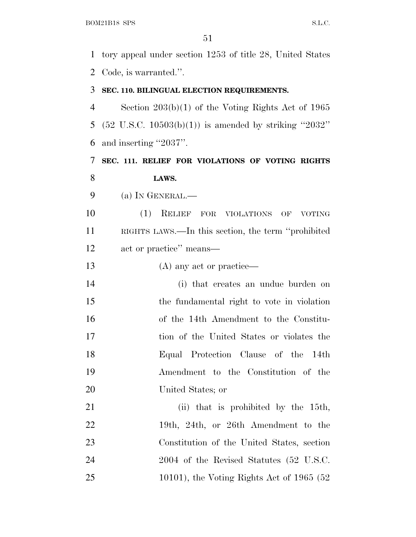tory appeal under section 1253 of title 28, United States Code, is warranted.''.

#### **SEC. 110. BILINGUAL ELECTION REQUIREMENTS.**

 Section 203(b)(1) of the Voting Rights Act of 1965 (52 U.S.C. 10503(b)(1)) is amended by striking ''2032'' and inserting ''2037''.

 **SEC. 111. RELIEF FOR VIOLATIONS OF VOTING RIGHTS LAWS.**

(a) I<sup>N</sup> GENERAL.—

 (1) RELIEF FOR VIOLATIONS OF VOTING RIGHTS LAWS.—In this section, the term ''prohibited act or practice'' means—

13 (A) any act or practice—

 (i) that creates an undue burden on the fundamental right to vote in violation of the 14th Amendment to the Constitu- tion of the United States or violates the Equal Protection Clause of the 14th Amendment to the Constitution of the United States; or

21 (ii) that is prohibited by the 15th, 22 19th, 24th, or 26th Amendment to the Constitution of the United States, section 24 2004 of the Revised Statutes (52 U.S.C. 10101), the Voting Rights Act of 1965 (52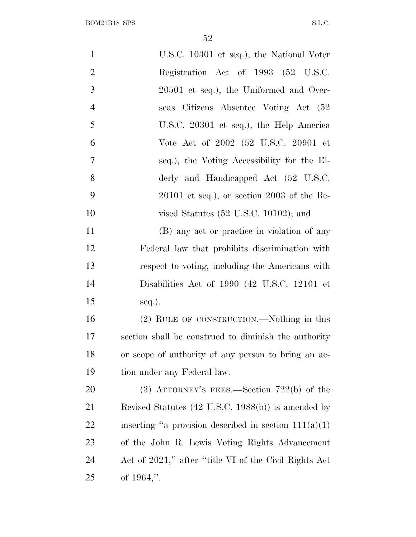| $\mathbf{1}$   | U.S.C. 10301 et seq.), the National Voter               |
|----------------|---------------------------------------------------------|
| $\overline{2}$ | Registration Act of 1993 (52 U.S.C.                     |
| 3              | $20501$ et seq.), the Uniformed and Over-               |
| $\overline{4}$ | seas Citizens Absentee Voting Act (52                   |
| 5              | U.S.C. 20301 et seq.), the Help America                 |
| 6              | Vote Act of 2002 (52 U.S.C. 20901 et                    |
| 7              | seq.), the Voting Accessibility for the El-             |
| 8              | derly and Handicapped Act (52 U.S.C.                    |
| 9              | $20101$ et seq.), or section $2003$ of the Re-          |
| 10             | vised Statutes $(52 \text{ U.S.C. } 10102)$ ; and       |
| 11             | (B) any act or practice in violation of any             |
| 12             | Federal law that prohibits discrimination with          |
| 13             | respect to voting, including the Americans with         |
| 14             | Disabilities Act of 1990 (42 U.S.C. 12101 et            |
| 15             | $seq.$ ).                                               |
| 16             | (2) RULE OF CONSTRUCTION.—Nothing in this               |
| 17             | section shall be construed to diminish the authority    |
| 18             | or scope of authority of any person to bring an ac-     |
| 19             | tion under any Federal law.                             |
| 20             | (3) ATTORNEY'S FEES.—Section $722(b)$ of the            |
| 21             | Revised Statutes (42 U.S.C. 1988(b)) is amended by      |
| 22             | inserting "a provision described in section $111(a)(1)$ |
| 23             | of the John R. Lewis Voting Rights Advancement          |
| 24             | Act of 2021," after "title VI of the Civil Rights Act   |
| 25             | of $1964$ ,".                                           |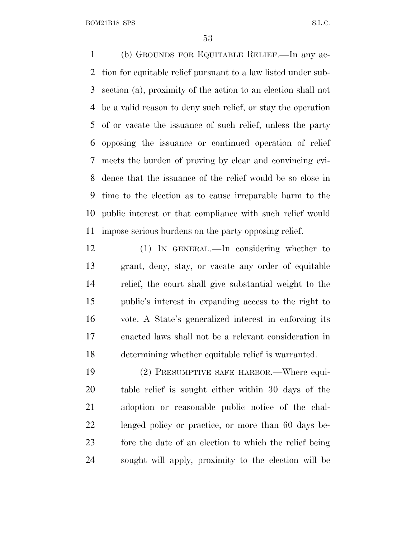(b) GROUNDS FOR EQUITABLE RELIEF.—In any ac- tion for equitable relief pursuant to a law listed under sub- section (a), proximity of the action to an election shall not be a valid reason to deny such relief, or stay the operation of or vacate the issuance of such relief, unless the party opposing the issuance or continued operation of relief meets the burden of proving by clear and convincing evi- dence that the issuance of the relief would be so close in time to the election as to cause irreparable harm to the public interest or that compliance with such relief would impose serious burdens on the party opposing relief.

 (1) IN GENERAL.—In considering whether to grant, deny, stay, or vacate any order of equitable relief, the court shall give substantial weight to the public's interest in expanding access to the right to vote. A State's generalized interest in enforcing its enacted laws shall not be a relevant consideration in determining whether equitable relief is warranted.

 (2) PRESUMPTIVE SAFE HARBOR.—Where equi- table relief is sought either within 30 days of the adoption or reasonable public notice of the chal- lenged policy or practice, or more than 60 days be- fore the date of an election to which the relief being sought will apply, proximity to the election will be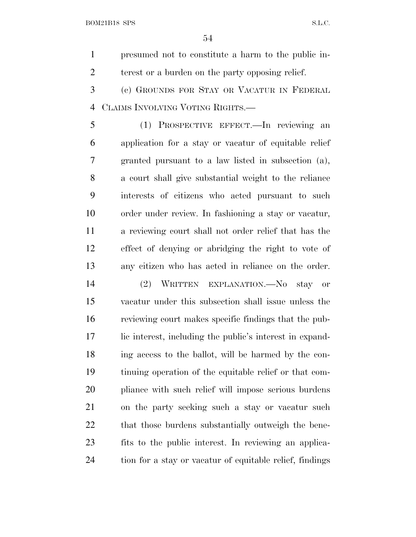presumed not to constitute a harm to the public in-terest or a burden on the party opposing relief.

 (c) GROUNDS FOR STAY OR VACATUR IN FEDERAL CLAIMS INVOLVING VOTING RIGHTS.—

 (1) PROSPECTIVE EFFECT.—In reviewing an application for a stay or vacatur of equitable relief granted pursuant to a law listed in subsection (a), a court shall give substantial weight to the reliance interests of citizens who acted pursuant to such order under review. In fashioning a stay or vacatur, a reviewing court shall not order relief that has the effect of denying or abridging the right to vote of any citizen who has acted in reliance on the order.

 (2) WRITTEN EXPLANATION.—No stay or vacatur under this subsection shall issue unless the reviewing court makes specific findings that the pub- lic interest, including the public's interest in expand- ing access to the ballot, will be harmed by the con- tinuing operation of the equitable relief or that com- pliance with such relief will impose serious burdens on the party seeking such a stay or vacatur such 22 that those burdens substantially outweigh the bene- fits to the public interest. In reviewing an applica-tion for a stay or vacatur of equitable relief, findings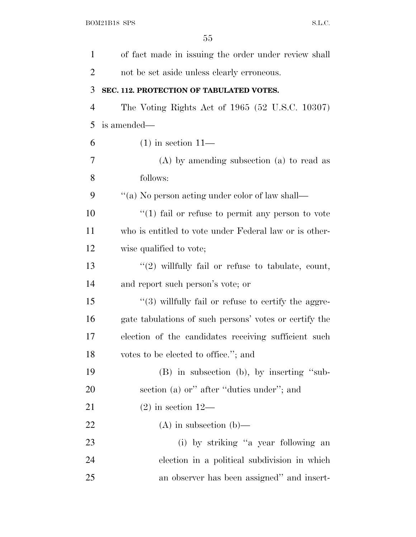| $\mathbf{1}$   | of fact made in issuing the order under review shall    |
|----------------|---------------------------------------------------------|
| $\overline{2}$ | not be set aside unless clearly erroneous.              |
| 3              | SEC. 112. PROTECTION OF TABULATED VOTES.                |
| $\overline{4}$ | The Voting Rights Act of 1965 (52 U.S.C. 10307)         |
| 5              | is amended—                                             |
| 6              | $(1)$ in section $11-$                                  |
| 7              | $(A)$ by amending subsection $(a)$ to read as           |
| 8              | follows:                                                |
| 9              | "(a) No person acting under color of law shall—         |
| 10             | $\lq(1)$ fail or refuse to permit any person to vote    |
| 11             | who is entitled to vote under Federal law or is other-  |
| 12             | wise qualified to vote;                                 |
| 13             | $\lq(2)$ willfully fail or refuse to tabulate, count,   |
| 14             | and report such person's vote; or                       |
| 15             | $\lq(3)$ willfully fail or refuse to certify the aggre- |
| 16             | gate tabulations of such persons' votes or certify the  |
| 17             | election of the candidates receiving sufficient such    |
| 18             | votes to be elected to office."; and                    |
| 19             | (B) in subsection (b), by inserting "sub-               |
| 20             | section (a) or" after "duties under"; and               |
| 21             | $(2)$ in section 12—                                    |
| 22             | $(A)$ in subsection $(b)$ —                             |
| 23             | (i) by striking "a year following an                    |
| 24             | election in a political subdivision in which            |
| 25             | an observer has been assigned" and insert-              |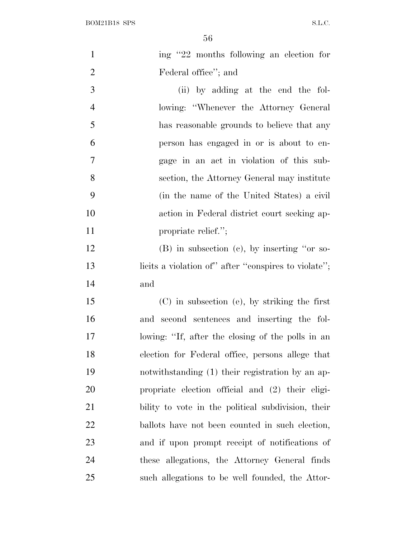| $\mathbf{1}$   | ing "22 months following an election for             |
|----------------|------------------------------------------------------|
| $\overline{2}$ | Federal office"; and                                 |
| 3              | (ii) by adding at the end the fol-                   |
| $\overline{4}$ | lowing: "Whenever the Attorney General"              |
| 5              | has reasonable grounds to believe that any           |
| 6              | person has engaged in or is about to en-             |
| $\overline{7}$ | gage in an act in violation of this sub-             |
| 8              | section, the Attorney General may institute          |
| 9              | (in the name of the United States) a civil           |
| 10             | action in Federal district court seeking ap-         |
| 11             | propriate relief.";                                  |
| 12             | $(B)$ in subsection $(c)$ , by inserting "or so-     |
| 13             | licits a violation of" after "conspires to violate"; |
| 14             | and                                                  |
| 15             | $(C)$ in subsection (e), by striking the first       |
| 16             | and second sentences and inserting the fol-          |
| 17             | lowing: "If, after the closing of the polls in an    |
| 18             | election for Federal office, persons allege that     |
| 19             | notwithstanding (1) their registration by an ap-     |
| 20             | propriate election official and (2) their eligi-     |
| 21             | bility to vote in the political subdivision, their   |
| 22             | ballots have not been counted in such election,      |
| 23             | and if upon prompt receipt of notifications of       |
| 24             | these allegations, the Attorney General finds        |
| 25             | such allegations to be well founded, the Attor-      |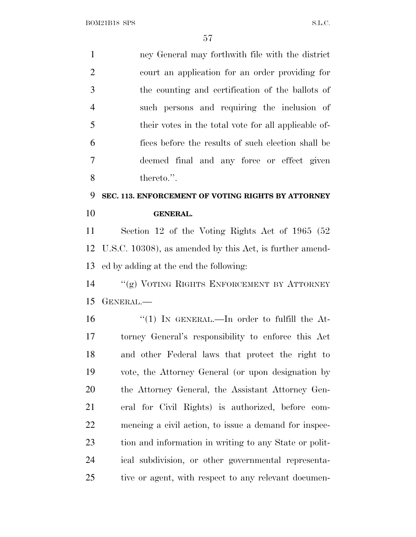ney General may forthwith file with the district court an application for an order providing for the counting and certification of the ballots of such persons and requiring the inclusion of their votes in the total vote for all applicable of- fices before the results of such election shall be deemed final and any force or effect given thereto.''. **SEC. 113. ENFORCEMENT OF VOTING RIGHTS BY ATTORNEY**

**GENERAL.**

 Section 12 of the Voting Rights Act of 1965 (52 U.S.C. 10308), as amended by this Act, is further amend-ed by adding at the end the following:

 ''(g) VOTING RIGHTS ENFORCEMENT BY ATTORNEY GENERAL.—

 $\frac{1}{1}$  In GENERAL.—In order to fulfill the At- torney General's responsibility to enforce this Act and other Federal laws that protect the right to vote, the Attorney General (or upon designation by the Attorney General, the Assistant Attorney Gen- eral for Civil Rights) is authorized, before com- mencing a civil action, to issue a demand for inspec- tion and information in writing to any State or polit- ical subdivision, or other governmental representa-25 tive or agent, with respect to any relevant documen-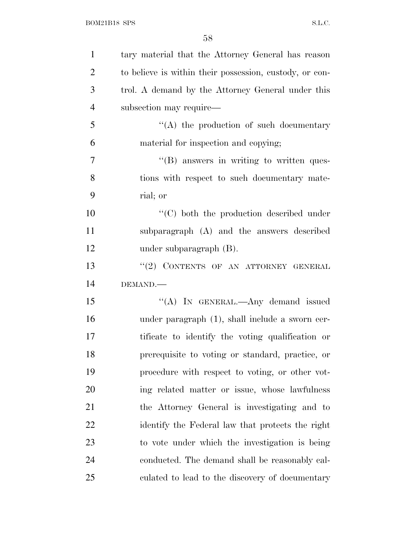| $\mathbf{1}$   | tary material that the Attorney General has reason      |
|----------------|---------------------------------------------------------|
| $\overline{2}$ | to believe is within their possession, custody, or con- |
| 3              | trol. A demand by the Attorney General under this       |
| $\overline{4}$ | subsection may require—                                 |
| 5              | $\lq\lq$ the production of such documentary             |
| 6              | material for inspection and copying;                    |
| $\overline{7}$ | $\lq\lq$ (B) answers in writing to written ques-        |
| 8              | tions with respect to such documentary mate-            |
| 9              | rial; or                                                |
| 10             | $\lq\lq$ (C) both the production described under        |
| 11             | subparagraph (A) and the answers described              |
| 12             | under subparagraph $(B)$ .                              |
| 13             | "(2) CONTENTS OF AN ATTORNEY GENERAL                    |
| 14             | DEMAND.                                                 |
| 15             | "(A) IN GENERAL.—Any demand issued                      |
| 16             | under paragraph (1), shall include a sworn cer-         |
| 17             | tificate to identify the voting qualification or        |
| 18             | prerequisite to voting or standard, practice, or        |
| 19             | procedure with respect to voting, or other vot-         |
| 20             | ing related matter or issue, whose lawfulness           |
| 21             | the Attorney General is investigating and to            |
| 22             | identify the Federal law that protects the right        |
| 23             | to vote under which the investigation is being          |
| 24             | conducted. The demand shall be reasonably cal-          |
| 25             | culated to lead to the discovery of documentary         |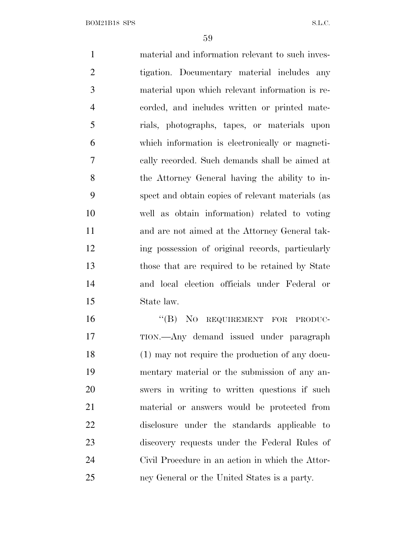material and information relevant to such inves- tigation. Documentary material includes any material upon which relevant information is re- corded, and includes written or printed mate- rials, photographs, tapes, or materials upon which information is electronically or magneti- cally recorded. Such demands shall be aimed at the Attorney General having the ability to in- spect and obtain copies of relevant materials (as well as obtain information) related to voting and are not aimed at the Attorney General tak- ing possession of original records, particularly those that are required to be retained by State and local election officials under Federal or State law. 16 "(B) NO REQUIREMENT FOR PRODUC- TION.—Any demand issued under paragraph (1) may not require the production of any docu- mentary material or the submission of any an- swers in writing to written questions if such material or answers would be protected from disclosure under the standards applicable to discovery requests under the Federal Rules of Civil Procedure in an action in which the Attor-

ney General or the United States is a party.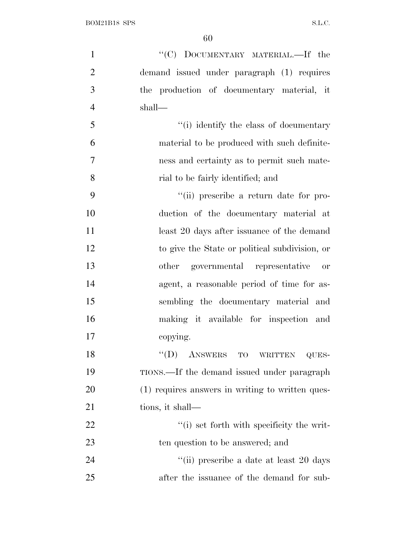| $\mathbf{1}$   | "(C) DOCUMENTARY MATERIAL.—If the                |
|----------------|--------------------------------------------------|
| $\overline{2}$ | demand issued under paragraph (1) requires       |
| 3              | the production of documentary material, it       |
| $\overline{4}$ | shall—                                           |
| 5              | "(i) identify the class of documentary           |
| 6              | material to be produced with such definite-      |
| $\overline{7}$ | ness and certainty as to permit such mate-       |
| 8              | rial to be fairly identified; and                |
| 9              | "(ii) prescribe a return date for pro-           |
| 10             | duction of the documentary material at           |
| 11             | least 20 days after issuance of the demand       |
| 12             | to give the State or political subdivision, or   |
| 13             | other governmental representative or             |
| 14             | agent, a reasonable period of time for as-       |
| 15             | sembling the documentary material and            |
| 16             | making it available for inspection and           |
| 17             | copying.                                         |
| 18             | ``(D)<br>ANSWERS TO WRITTEN<br>QUES-             |
| 19             | TIONS.—If the demand issued under paragraph      |
| 20             | (1) requires answers in writing to written ques- |
| 21             | tions, it shall—                                 |
| 22             | "(i) set forth with specificity the writ-        |
| 23             | ten question to be answered; and                 |
| 24             | "(ii) prescribe a date at least 20 days          |
| 25             | after the issuance of the demand for sub-        |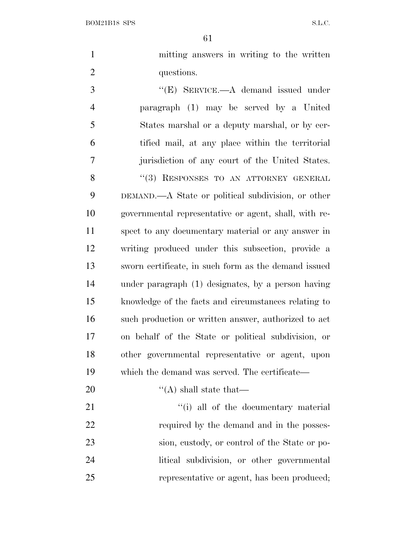mitting answers in writing to the written 2 questions.

 ''(E) SERVICE.—A demand issued under paragraph (1) may be served by a United States marshal or a deputy marshal, or by cer- tified mail, at any place within the territorial jurisdiction of any court of the United States. 8 "(3) RESPONSES TO AN ATTORNEY GENERAL DEMAND.—A State or political subdivision, or other governmental representative or agent, shall, with re- spect to any documentary material or any answer in writing produced under this subsection, provide a sworn certificate, in such form as the demand issued under paragraph (1) designates, by a person having knowledge of the facts and circumstances relating to such production or written answer, authorized to act on behalf of the State or political subdivision, or other governmental representative or agent, upon which the demand was served. The certificate—

20  $\text{``(A) shall state that}$ 

21 ''(i) all of the documentary material 22 required by the demand and in the posses- sion, custody, or control of the State or po- litical subdivision, or other governmental representative or agent, has been produced;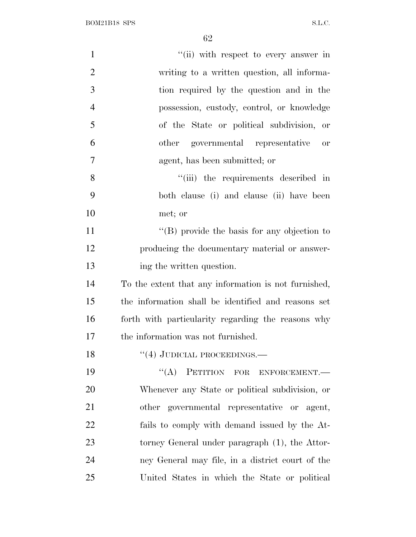$\begin{minipage}{.4\linewidth} \textbf{BOM21B18} \textbf{SPS} \end{minipage}$ 

| $\mathbf{1}$   | "(ii) with respect to every answer in                      |
|----------------|------------------------------------------------------------|
| $\overline{2}$ | writing to a written question, all informa-                |
| 3              | tion required by the question and in the                   |
| $\overline{4}$ | possession, custody, control, or knowledge                 |
| 5              | of the State or political subdivision, or                  |
| 6              | other governmental representative<br>$\hbox{or}\hskip 2mm$ |
| $\tau$         | agent, has been submitted; or                              |
| 8              | "(iii) the requirements described in                       |
| 9              | both clause (i) and clause (ii) have been                  |
| 10             | met; or                                                    |
| 11             | "(B) provide the basis for any objection to                |
| 12             | producing the documentary material or answer-              |
| 13             | ing the written question.                                  |
| 14             | To the extent that any information is not furnished,       |
| 15             | the information shall be identified and reasons set        |
| 16             | forth with particularity regarding the reasons why         |
| 17             | the information was not furnished.                         |
| 18             | $``(4)$ JUDICIAL PROCEEDINGS.—                             |
| 19             | "(A) PETITION FOR ENFORCEMENT.-                            |
| 20             | Whenever any State or political subdivision, or            |
| 21             | other governmental representative or agent,                |
| 22             | fails to comply with demand issued by the At-              |
| 23             | torney General under paragraph (1), the Attor-             |
| 24             | ney General may file, in a district court of the           |
| 25             | United States in which the State or political              |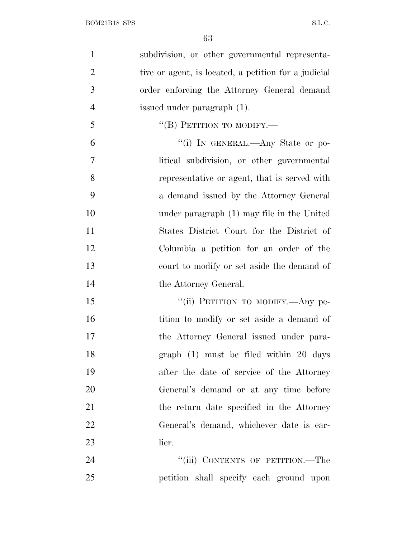| $\mathbf{1}$   | subdivision, or other governmental representa-       |
|----------------|------------------------------------------------------|
| $\overline{2}$ | tive or agent, is located, a petition for a judicial |
| 3              | order enforcing the Attorney General demand          |
| $\overline{4}$ | issued under paragraph (1).                          |
| 5              | "(B) PETITION TO MODIFY.—                            |
| 6              | "(i) IN GENERAL.—Any State or po-                    |
| $\overline{7}$ | litical subdivision, or other governmental           |
| 8              | representative or agent, that is served with         |
| 9              | a demand issued by the Attorney General              |
| 10             | under paragraph (1) may file in the United           |
| 11             | States District Court for the District of            |
| 12             | Columbia a petition for an order of the              |
| 13             | court to modify or set aside the demand of           |
| 14             | the Attorney General.                                |
| 15             | "(ii) PETITION TO MODIFY.—Any pe-                    |
| 16             | tition to modify or set aside a demand of            |
| 17             | the Attorney General issued under para-              |
| 18             | graph $(1)$ must be filed within 20 days             |
| 19             | after the date of service of the Attorney            |
| 20             | General's demand or at any time before               |
| 21             | the return date specified in the Attorney            |
| 22             | General's demand, whichever date is ear-             |
| 23             | lier.                                                |
| 24             | "(iii) CONTENTS OF PETITION.—The                     |
| 25             | petition shall specify each ground upon              |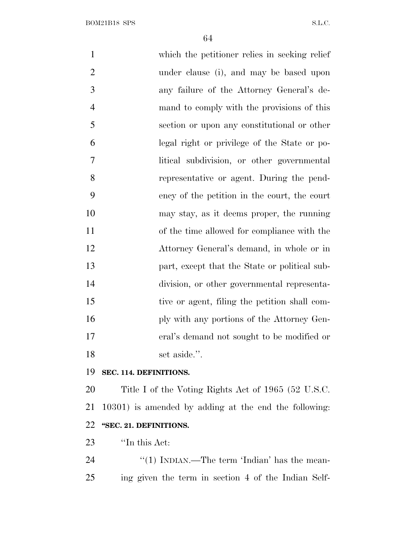which the petitioner relies in seeking relief under clause (i), and may be based upon any failure of the Attorney General's de- mand to comply with the provisions of this section or upon any constitutional or other legal right or privilege of the State or po- litical subdivision, or other governmental representative or agent. During the pend- ency of the petition in the court, the court may stay, as it deems proper, the running of the time allowed for compliance with the Attorney General's demand, in whole or in part, except that the State or political sub- division, or other governmental representa- tive or agent, filing the petition shall com-16 ply with any portions of the Attorney Gen- eral's demand not sought to be modified or 18 set aside.".

#### **SEC. 114. DEFINITIONS.**

 Title I of the Voting Rights Act of 1965 (52 U.S.C. 10301) is amended by adding at the end the following: **''SEC. 21. DEFINITIONS.**

*''*In this Act:

24 ''(1) INDIAN.—The term 'Indian' has the mean-ing given the term in section 4 of the Indian Self-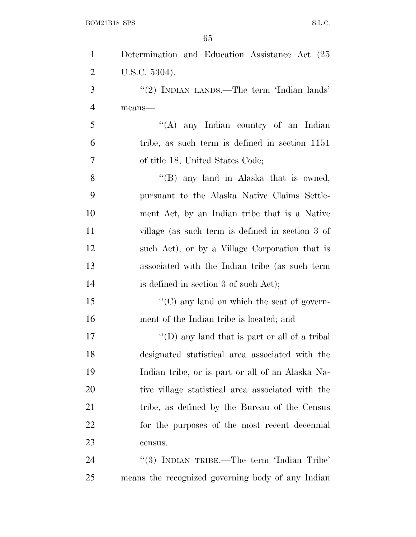| $\mathbf{1}$   | Determination and Education Assistance Act (25    |
|----------------|---------------------------------------------------|
| $\overline{2}$ | U.S.C. 5304).                                     |
| 3              | "(2) INDIAN LANDS.—The term 'Indian lands'        |
| $\overline{4}$ | means-                                            |
| 5              | "(A) any Indian country of an Indian              |
| 6              | tribe, as such term is defined in section 1151    |
| 7              | of title 18, United States Code;                  |
| 8              | "(B) any land in Alaska that is owned,            |
| 9              | pursuant to the Alaska Native Claims Settle-      |
| 10             | ment Act, by an Indian tribe that is a Native     |
| 11             | village (as such term is defined in section 3 of  |
| 12             | such Act), or by a Village Corporation that is    |
| 13             | associated with the Indian tribe (as such term    |
| 14             | is defined in section 3 of such Act);             |
| 15             | "(C) any land on which the seat of govern-        |
| 16             | ment of the Indian tribe is located; and          |
| 17             | "(D) any land that is part or all of a tribal     |
| 18             | designated statistical area associated with the   |
| 19             | Indian tribe, or is part or all of an Alaska Na-  |
| 20             | tive village statistical area associated with the |
| 21             | tribe, as defined by the Bureau of the Census     |
| 22             | for the purposes of the most recent decennial     |
| 23             | census.                                           |
| 24             | "(3) INDIAN TRIBE.—The term 'Indian Tribe'        |
| 25             | means the recognized governing body of any Indian |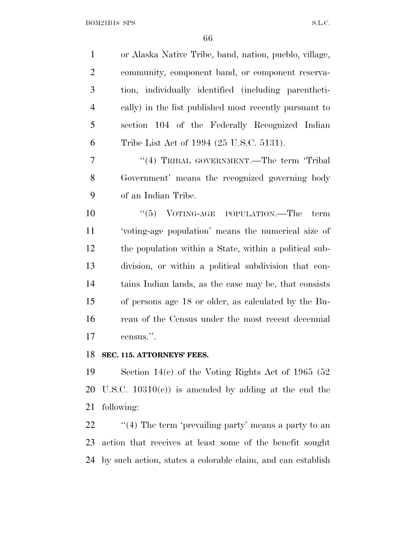| $\mathbf{1}$   | or Alaska Native Tribe, band, nation, pueblo, village, |
|----------------|--------------------------------------------------------|
| $\overline{2}$ | community, component band, or component reserva-       |
| 3              | tion, individually identified (including parentheti-   |
| $\overline{4}$ | cally) in the list published most recently pursuant to |
| 5              | section 104 of the Federally Recognized Indian         |
| 6              | Tribe List Act of 1994 (25 U.S.C. 5131).               |
| 7              | "(4) TRIBAL GOVERNMENT.—The term 'Tribal               |
| $8\,$          | Government' means the recognized governing body        |
| 9              | of an Indian Tribe.                                    |
| 10             | "(5) VOTING-AGE POPULATION.—The term                   |
| 11             | 'voting-age population' means the numerical size of    |
| 12             | the population within a State, within a political sub- |
| 13             | division, or within a political subdivision that con-  |
| 14             | tains Indian lands, as the case may be, that consists  |
| 15             | of persons age 18 or older, as calculated by the Bu-   |
| 16             | reau of the Census under the most recent decennial     |
| 17             | census.".                                              |
| 10             |                                                        |

#### **SEC. 115. ATTORNEYS' FEES.**

 Section 14(c) of the Voting Rights Act of 1965 (52 U.S.C. 10310(c)) is amended by adding at the end the following:

22 ''(4) The term 'prevailing party' means a party to an action that receives at least some of the benefit sought by such action, states a colorable claim, and can establish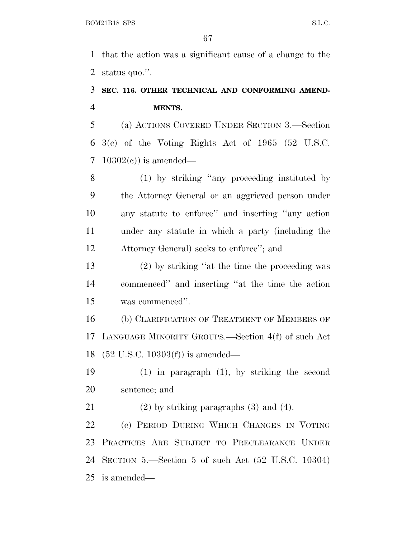that the action was a significant cause of a change to the status quo.''.

### **SEC. 116. OTHER TECHNICAL AND CONFORMING AMEND-MENTS.**

 (a) ACTIONS COVERED UNDER SECTION 3.—Section 3(c) of the Voting Rights Act of 1965 (52 U.S.C. 7 10302(c)) is amended—

 (1) by striking ''any proceeding instituted by the Attorney General or an aggrieved person under any statute to enforce'' and inserting ''any action under any statute in which a party (including the Attorney General) seeks to enforce''; and

 (2) by striking ''at the time the proceeding was commenced'' and inserting ''at the time the action was commenced''.

 (b) CLARIFICATION OF TREATMENT OF MEMBERS OF LANGUAGE MINORITY GROUPS.—Section 4(f) of such Act (52 U.S.C. 10303(f)) is amended—

 (1) in paragraph (1), by striking the second sentence; and

21 (2) by striking paragraphs  $(3)$  and  $(4)$ .

 (c) PERIOD DURING WHICH CHANGES IN VOTING PRACTICES ARE SUBJECT TO PRECLEARANCE UNDER SECTION 5.—Section 5 of such Act (52 U.S.C. 10304) is amended—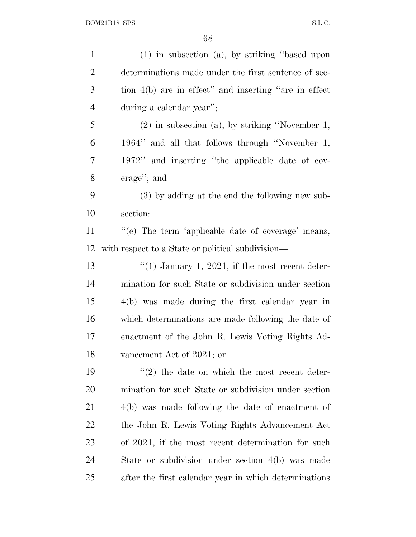| $\mathbf{1}$   | $(1)$ in subsection $(a)$ , by striking "based upon   |
|----------------|-------------------------------------------------------|
| $\overline{2}$ | determinations made under the first sentence of sec-  |
| 3              | tion 4(b) are in effect" and inserting "are in effect |
| $\overline{4}$ | during a calendar year";                              |
| 5              | $(2)$ in subsection $(a)$ , by striking "November 1,  |
| 6              | 1964" and all that follows through "November 1,       |
| 7              | 1972" and inserting "the applicable date of cov-      |
| 8              | erage"; and                                           |
| 9              | $(3)$ by adding at the end the following new sub-     |
| 10             | section:                                              |
| 11             | "(e) The term 'applicable date of coverage' means,    |
| 12             | with respect to a State or political subdivision—     |
| 13             | "(1) January 1, 2021, if the most recent deter-       |
| 14             | mination for such State or subdivision under section  |
| 15             | 4(b) was made during the first calendar year in       |
| 16             | which determinations are made following the date of   |
| 17             | enactment of the John R. Lewis Voting Rights Ad-      |
| 18             | vancement Act of 2021; or                             |
| 19             | $\lq(2)$ the date on which the most recent deter-     |
| 20             | mination for such State or subdivision under section  |
| 21             | $4(b)$ was made following the date of enactment of    |
| 22             | the John R. Lewis Voting Rights Advancement Act       |
| 23             | of 2021, if the most recent determination for such    |
| 24             | State or subdivision under section 4(b) was made      |
| 25             | after the first calendar year in which determinations |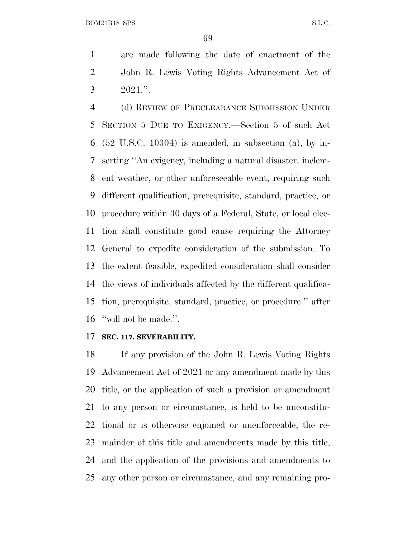are made following the date of enactment of the John R. Lewis Voting Rights Advancement Act of  $3 \t 2021$ .".

 (d) REVIEW OF PRECLEARANCE SUBMISSION UNDER SECTION 5 DUE TO EXIGENCY.—Section 5 of such Act (52 U.S.C. 10304) is amended, in subsection (a), by in- serting ''An exigency, including a natural disaster, inclem- ent weather, or other unforeseeable event, requiring such different qualification, prerequisite, standard, practice, or procedure within 30 days of a Federal, State, or local elec- tion shall constitute good cause requiring the Attorney General to expedite consideration of the submission. To the extent feasible, expedited consideration shall consider the views of individuals affected by the different qualifica- tion, prerequisite, standard, practice, or procedure.'' after 16 "will not be made.".

#### **SEC. 117. SEVERABILITY.**

 If any provision of the John R. Lewis Voting Rights Advancement Act of 2021 or any amendment made by this title, or the application of such a provision or amendment to any person or circumstance, is held to be unconstitu- tional or is otherwise enjoined or unenforceable, the re- mainder of this title and amendments made by this title, and the application of the provisions and amendments to any other person or circumstance, and any remaining pro-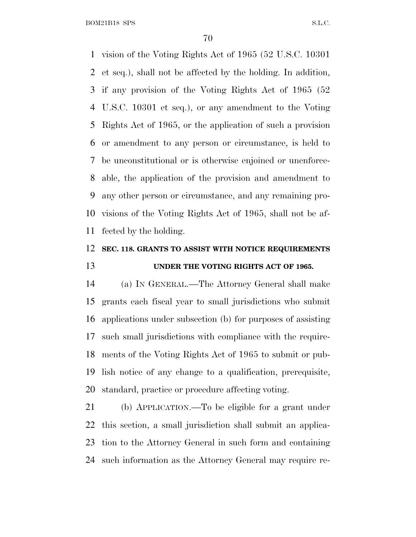vision of the Voting Rights Act of 1965 (52 U.S.C. 10301 et seq.), shall not be affected by the holding. In addition, if any provision of the Voting Rights Act of 1965 (52 U.S.C. 10301 et seq.), or any amendment to the Voting Rights Act of 1965, or the application of such a provision or amendment to any person or circumstance, is held to be unconstitutional or is otherwise enjoined or unenforce- able, the application of the provision and amendment to any other person or circumstance, and any remaining pro- visions of the Voting Rights Act of 1965, shall not be af-fected by the holding.

### **SEC. 118. GRANTS TO ASSIST WITH NOTICE REQUIREMENTS UNDER THE VOTING RIGHTS ACT OF 1965.**

 (a) I<sup>N</sup> GENERAL.—The Attorney General shall make grants each fiscal year to small jurisdictions who submit applications under subsection (b) for purposes of assisting such small jurisdictions with compliance with the require- ments of the Voting Rights Act of 1965 to submit or pub- lish notice of any change to a qualification, prerequisite, standard, practice or procedure affecting voting.

 (b) APPLICATION.—To be eligible for a grant under this section, a small jurisdiction shall submit an applica- tion to the Attorney General in such form and containing such information as the Attorney General may require re-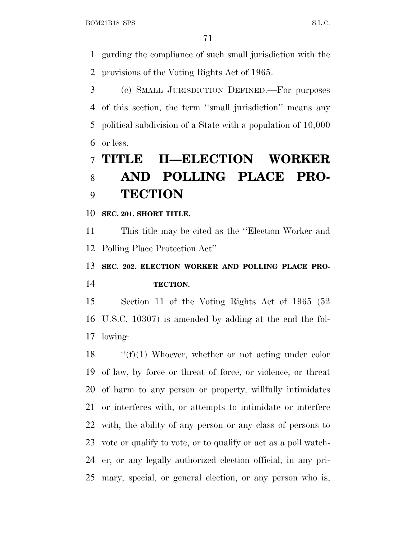garding the compliance of such small jurisdiction with the provisions of the Voting Rights Act of 1965.

 (c) SMALL JURISDICTION DEFINED.—For purposes of this section, the term ''small jurisdiction'' means any political subdivision of a State with a population of 10,000 or less.

# **TITLE II—ELECTION WORKER AND POLLING PLACE PRO-TECTION**

**SEC. 201. SHORT TITLE.**

 This title may be cited as the ''Election Worker and Polling Place Protection Act''.

 **SEC. 202. ELECTION WORKER AND POLLING PLACE PRO-TECTION.**

 Section 11 of the Voting Rights Act of 1965 (52 U.S.C. 10307) is amended by adding at the end the fol-lowing:

 $\langle f'(f)(1)$  Whoever, whether or not acting under color of law, by force or threat of force, or violence, or threat of harm to any person or property, willfully intimidates or interferes with, or attempts to intimidate or interfere with, the ability of any person or any class of persons to vote or qualify to vote, or to qualify or act as a poll watch- er, or any legally authorized election official, in any pri-mary, special, or general election, or any person who is,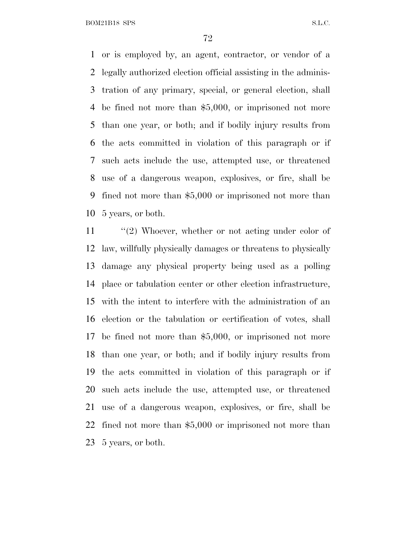or is employed by, an agent, contractor, or vendor of a legally authorized election official assisting in the adminis- tration of any primary, special, or general election, shall be fined not more than \$5,000, or imprisoned not more than one year, or both; and if bodily injury results from the acts committed in violation of this paragraph or if such acts include the use, attempted use, or threatened use of a dangerous weapon, explosives, or fire, shall be fined not more than \$5,000 or imprisoned not more than 5 years, or both.

11 ''(2) Whoever, whether or not acting under color of law, willfully physically damages or threatens to physically damage any physical property being used as a polling place or tabulation center or other election infrastructure, with the intent to interfere with the administration of an election or the tabulation or certification of votes, shall be fined not more than \$5,000, or imprisoned not more than one year, or both; and if bodily injury results from the acts committed in violation of this paragraph or if such acts include the use, attempted use, or threatened use of a dangerous weapon, explosives, or fire, shall be fined not more than \$5,000 or imprisoned not more than 5 years, or both.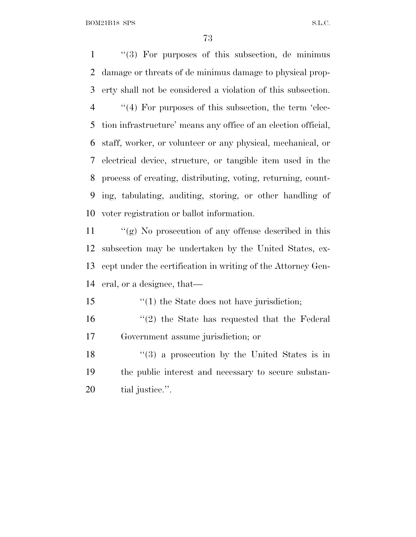BOM21B18 SPS S.L.C.

 ''(3) For purposes of this subsection, de minimus damage or threats of de minimus damage to physical prop- erty shall not be considered a violation of this subsection. ''(4) For purposes of this subsection, the term 'elec- tion infrastructure' means any office of an election official, staff, worker, or volunteer or any physical, mechanical, or electrical device, structure, or tangible item used in the process of creating, distributing, voting, returning, count- ing, tabulating, auditing, storing, or other handling of voter registration or ballot information.

 ''(g) No prosecution of any offense described in this subsection may be undertaken by the United States, ex- cept under the certification in writing of the Attorney Gen-eral, or a designee, that—

- 15 '(1) the State does not have jurisdiction;
- 16 ''(2) the State has requested that the Federal Government assume jurisdiction; or
- 18 ''(3) a prosecution by the United States is in the public interest and necessary to secure substan-tial justice.''.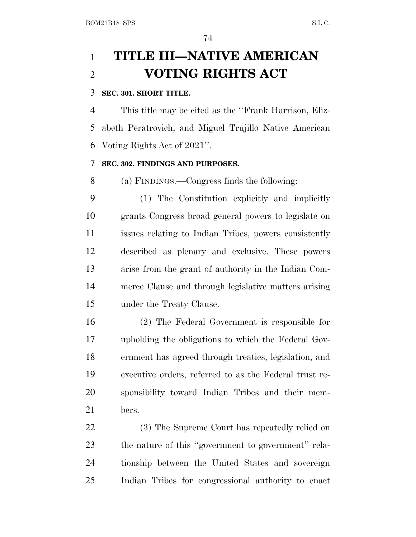# **TITLE III—NATIVE AMERICAN VOTING RIGHTS ACT**

### **SEC. 301. SHORT TITLE.**

 This title may be cited as the ''Frank Harrison, Eliz- abeth Peratrovich, and Miguel Trujillo Native American Voting Rights Act of 2021''.

### **SEC. 302. FINDINGS AND PURPOSES.**

(a) FINDINGS.—Congress finds the following:

 (1) The Constitution explicitly and implicitly grants Congress broad general powers to legislate on issues relating to Indian Tribes, powers consistently described as plenary and exclusive. These powers arise from the grant of authority in the Indian Com- merce Clause and through legislative matters arising under the Treaty Clause.

 (2) The Federal Government is responsible for upholding the obligations to which the Federal Gov- ernment has agreed through treaties, legislation, and executive orders, referred to as the Federal trust re- sponsibility toward Indian Tribes and their mem-bers.

 (3) The Supreme Court has repeatedly relied on the nature of this ''government to government'' rela- tionship between the United States and sovereign Indian Tribes for congressional authority to enact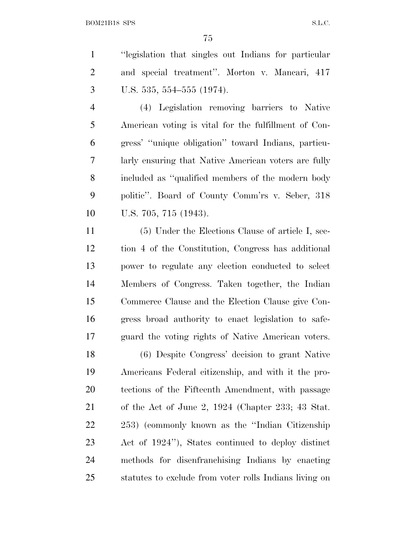''legislation that singles out Indians for particular and special treatment''. Morton v. Mancari, 417 U.S. 535, 554–555 (1974).

 (4) Legislation removing barriers to Native American voting is vital for the fulfillment of Con- gress' ''unique obligation'' toward Indians, particu- larly ensuring that Native American voters are fully included as ''qualified members of the modern body politic''. Board of County Comm'rs v. Seber, 318 U.S. 705, 715 (1943).

 (5) Under the Elections Clause of article I, sec- tion 4 of the Constitution, Congress has additional power to regulate any election conducted to select Members of Congress. Taken together, the Indian Commerce Clause and the Election Clause give Con- gress broad authority to enact legislation to safe-guard the voting rights of Native American voters.

 (6) Despite Congress' decision to grant Native Americans Federal citizenship, and with it the pro- tections of the Fifteenth Amendment, with passage of the Act of June 2, 1924 (Chapter 233; 43 Stat. 253) (commonly known as the ''Indian Citizenship Act of 1924''), States continued to deploy distinct methods for disenfranchising Indians by enacting statutes to exclude from voter rolls Indians living on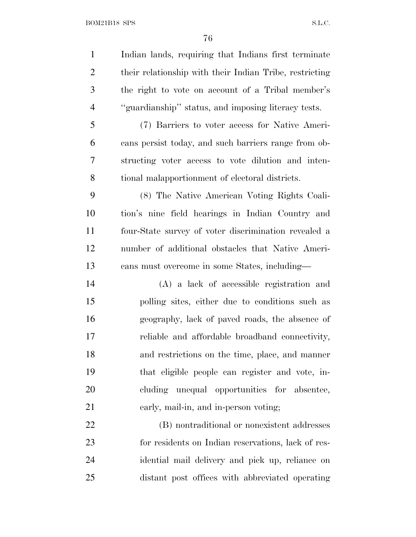Indian lands, requiring that Indians first terminate their relationship with their Indian Tribe, restricting the right to vote on account of a Tribal member's ''guardianship'' status, and imposing literacy tests. (7) Barriers to voter access for Native Ameri- cans persist today, and such barriers range from ob- structing voter access to vote dilution and inten- tional malapportionment of electoral districts. (8) The Native American Voting Rights Coali- tion's nine field hearings in Indian Country and four-State survey of voter discrimination revealed a number of additional obstacles that Native Ameri- cans must overcome in some States, including— (A) a lack of accessible registration and polling sites, either due to conditions such as geography, lack of paved roads, the absence of reliable and affordable broadband connectivity, and restrictions on the time, place, and manner that eligible people can register and vote, in- cluding unequal opportunities for absentee, early, mail-in, and in-person voting; (B) nontraditional or nonexistent addresses for residents on Indian reservations, lack of res-idential mail delivery and pick up, reliance on

- 
- distant post offices with abbreviated operating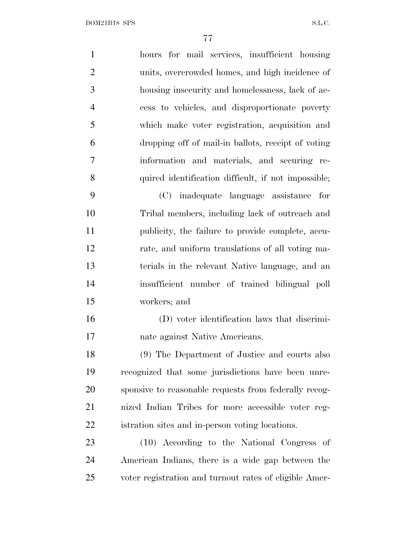hours for mail services, insufficient housing units, overcrowded homes, and high incidence of housing insecurity and homelessness, lack of ac- cess to vehicles, and disproportionate poverty which make voter registration, acquisition and dropping off of mail-in ballots, receipt of voting information and materials, and securing re- quired identification difficult, if not impossible; (C) inadequate language assistance for Tribal members, including lack of outreach and publicity, the failure to provide complete, accu- rate, and uniform translations of all voting ma- terials in the relevant Native language, and an insufficient number of trained bilingual poll workers; and (D) voter identification laws that discrimi- nate against Native Americans. (9) The Department of Justice and courts also recognized that some jurisdictions have been unre- sponsive to reasonable requests from federally recog- nized Indian Tribes for more accessible voter reg- istration sites and in-person voting locations. (10) According to the National Congress of American Indians, there is a wide gap between the voter registration and turnout rates of eligible Amer-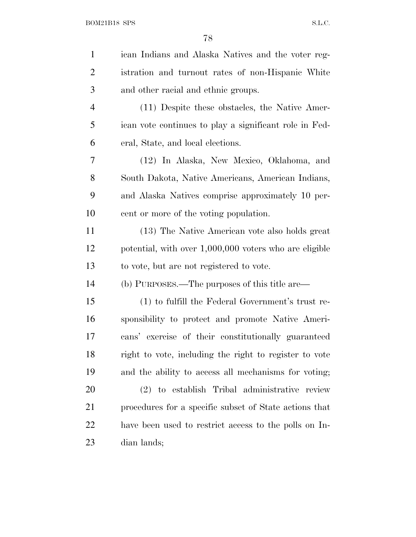| $\mathbf{1}$   | ican Indians and Alaska Natives and the voter reg-     |
|----------------|--------------------------------------------------------|
| $\overline{2}$ | istration and turnout rates of non-Hispanic White      |
| 3              | and other racial and ethnic groups.                    |
| $\overline{4}$ | (11) Despite these obstacles, the Native Amer-         |
| 5              | ican vote continues to play a significant role in Fed- |
| 6              | eral, State, and local elections.                      |
| 7              | (12) In Alaska, New Mexico, Oklahoma, and              |
| 8              | South Dakota, Native Americans, American Indians,      |
| 9              | and Alaska Natives comprise approximately 10 per-      |
| 10             | cent or more of the voting population.                 |
| 11             | (13) The Native American vote also holds great         |
| 12             | potential, with over 1,000,000 voters who are eligible |
| 13             | to vote, but are not registered to vote.               |
| 14             | (b) PURPOSES.—The purposes of this title are—          |
| 15             | (1) to fulfill the Federal Government's trust re-      |
| 16             | sponsibility to protect and promote Native Ameri-      |
| 17             | cans' exercise of their constitutionally guaranteed    |
| 18             | right to vote, including the right to register to vote |
| 19             | and the ability to access all mechanisms for voting;   |
| <b>20</b>      | (2) to establish Tribal administrative review          |
| 21             | procedures for a specific subset of State actions that |
| <u>22</u>      | have been used to restrict access to the polls on In-  |
| 23             | dian lands;                                            |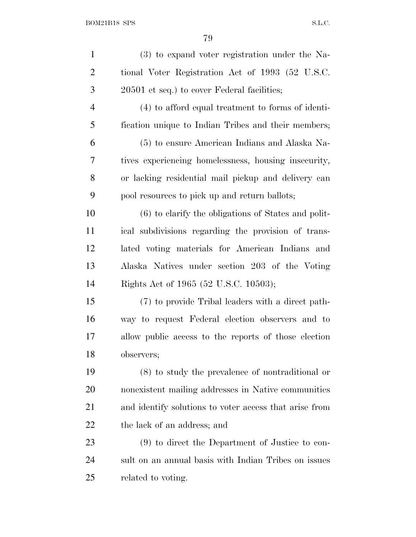| $\mathbf{1}$   | (3) to expand voter registration under the Na-         |
|----------------|--------------------------------------------------------|
| $\overline{2}$ | tional Voter Registration Act of 1993 (52 U.S.C.       |
| 3              | 20501 et seq.) to cover Federal facilities;            |
| 4              | (4) to afford equal treatment to forms of identi-      |
| 5              | fication unique to Indian Tribes and their members;    |
| 6              | (5) to ensure American Indians and Alaska Na-          |
| 7              | tives experiencing homelessness, housing insecurity,   |
| 8              | or lacking residential mail pickup and delivery can    |
| 9              | pool resources to pick up and return ballots;          |
| 10             | $(6)$ to clarify the obligations of States and polit-  |
| 11             | ical subdivisions regarding the provision of trans-    |
| 12             | lated voting materials for American Indians and        |
| 13             | Alaska Natives under section 203 of the Voting         |
| 14             | Rights Act of 1965 (52 U.S.C. 10503);                  |
| 15             | (7) to provide Tribal leaders with a direct path-      |
| 16             | way to request Federal election observers and to       |
| 17             | allow public access to the reports of those election   |
| 18             | observers;                                             |
| 19             | $(8)$ to study the prevalence of nontraditional or     |
| 20             | nonexistent mailing addresses in Native communities    |
| 21             | and identify solutions to voter access that arise from |
| 22             | the lack of an address; and                            |
| 23             | (9) to direct the Department of Justice to con-        |
| 24             | sult on an annual basis with Indian Tribes on issues   |
| 25             | related to voting.                                     |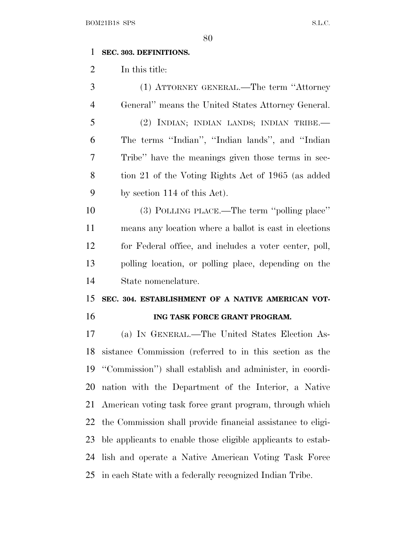#### **SEC. 303. DEFINITIONS.**

In this title:

 (1) ATTORNEY GENERAL.—The term ''Attorney General'' means the United States Attorney General. (2) INDIAN; INDIAN LANDS; INDIAN TRIBE.— The terms ''Indian'', ''Indian lands'', and ''Indian Tribe'' have the meanings given those terms in sec- tion 21 of the Voting Rights Act of 1965 (as added by section 114 of this Act).

 (3) POLLING PLACE.—The term ''polling place'' means any location where a ballot is cast in elections for Federal office, and includes a voter center, poll, polling location, or polling place, depending on the State nomenclature.

# **SEC. 304. ESTABLISHMENT OF A NATIVE AMERICAN VOT-ING TASK FORCE GRANT PROGRAM.**

 (a) I<sup>N</sup> GENERAL.—The United States Election As- sistance Commission (referred to in this section as the ''Commission'') shall establish and administer, in coordi- nation with the Department of the Interior, a Native American voting task force grant program, through which the Commission shall provide financial assistance to eligi- ble applicants to enable those eligible applicants to estab- lish and operate a Native American Voting Task Force in each State with a federally recognized Indian Tribe.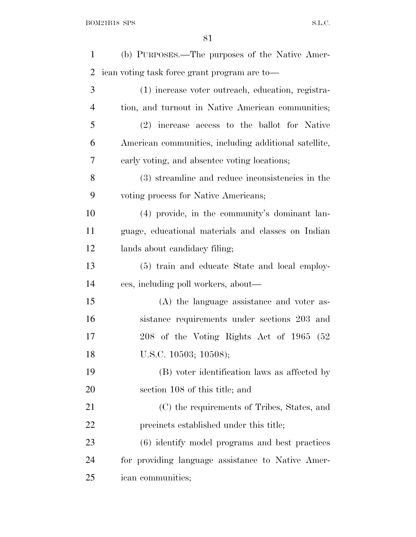| $\mathbf{1}$   | (b) PURPOSES.—The purposes of the Native Amer-        |
|----------------|-------------------------------------------------------|
| $\overline{2}$ | ican voting task force grant program are to-          |
| 3              | (1) increase voter outreach, education, registra-     |
| $\overline{4}$ | tion, and turnout in Native American communities;     |
| 5              | (2) increase access to the ballot for Native          |
| 6              | American communities, including additional satellite, |
| 7              | early voting, and absentee voting locations;          |
| 8              | (3) streamline and reduce inconsistencies in the      |
| 9              | voting process for Native Americans;                  |
| 10             | (4) provide, in the community's dominant lan-         |
| 11             | guage, educational materials and classes on Indian    |
| 12             | lands about candidacy filing;                         |
| 13             | (5) train and educate State and local employ-         |
| 14             | ees, including poll workers, about—                   |
| 15             | (A) the language assistance and voter as-             |
| 16             | sistance requirements under sections 203 and          |
| 17             | 208 of the Voting Rights Act of 1965 (52              |
| 18             | U.S.C. 10503; 10508);                                 |
| 19             | (B) voter identification laws as affected by          |
| 20             | section 108 of this title; and                        |
| 21             | (C) the requirements of Tribes, States, and           |
| 22             | precincts established under this title;               |
| 23             | (6) identify model programs and best practices        |
| 24             | for providing language assistance to Native Amer-     |
| 25             | ican communities;                                     |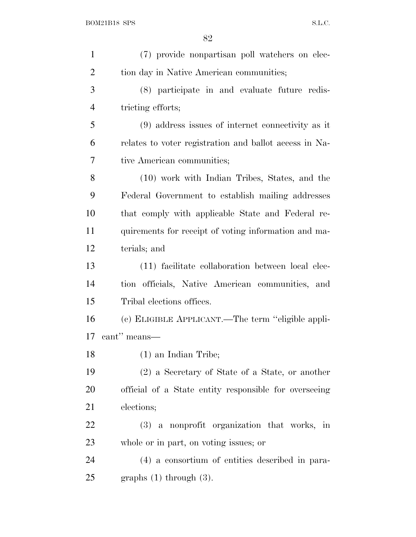| $\mathbf{1}$   | (7) provide nonpartisan poll watchers on elec-         |
|----------------|--------------------------------------------------------|
| $\overline{2}$ | tion day in Native American communities;               |
| 3              | (8) participate in and evaluate future redis-          |
| $\overline{4}$ | tricting efforts;                                      |
| 5              | $(9)$ address issues of internet connectivity as it    |
| 6              | relates to voter registration and ballot access in Na- |
| 7              | tive American communities;                             |
| 8              | (10) work with Indian Tribes, States, and the          |
| 9              | Federal Government to establish mailing addresses      |
| 10             | that comply with applicable State and Federal re-      |
| 11             | quirements for receipt of voting information and ma-   |
| 12             | terials; and                                           |
| 13             | (11) facilitate collaboration between local elec-      |
| 14             | tion officials, Native American communities, and       |
| 15             | Tribal elections offices.                              |
| 16             | (c) ELIGIBLE APPLICANT.—The term "eligible appli-      |
| 17             | cant" means—                                           |
| 18             | $(1)$ an Indian Tribe;                                 |
| 19             | (2) a Secretary of State of a State, or another        |
| 20             | official of a State entity responsible for overseeing  |
| 21             | elections;                                             |
| <u>22</u>      | (3) a nonprofit organization that works, in            |
| 23             | whole or in part, on voting issues; or                 |
| 24             | (4) a consortium of entities described in para-        |
| 25             | graphs $(1)$ through $(3)$ .                           |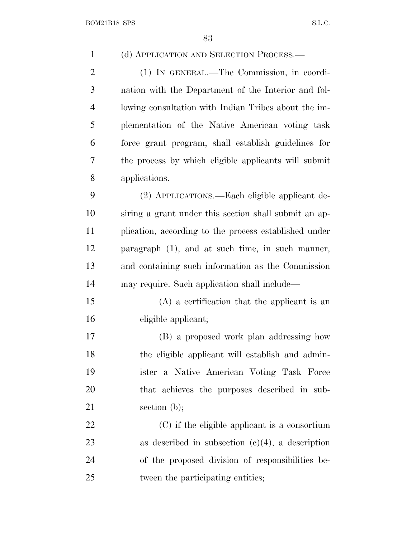| $\mathbf{1}$   | (d) APPLICATION AND SELECTION PROCESS.—               |
|----------------|-------------------------------------------------------|
| $\overline{2}$ | (1) IN GENERAL.-The Commission, in coordi-            |
| 3              | nation with the Department of the Interior and fol-   |
| $\overline{4}$ | lowing consultation with Indian Tribes about the im-  |
| 5              | plementation of the Native American voting task       |
| 6              | force grant program, shall establish guidelines for   |
| 7              | the process by which eligible applicants will submit  |
| 8              | applications.                                         |
| 9              | (2) APPLICATIONS.—Each eligible applicant de-         |
| 10             | siring a grant under this section shall submit an ap- |
| 11             | plication, according to the process established under |
| 12             | paragraph (1), and at such time, in such manner,      |
| 13             | and containing such information as the Commission     |
| 14             | may require. Such application shall include—          |
| 15             | $(A)$ a certification that the applicant is an        |
| 16             | eligible applicant;                                   |
| 17             | (B) a proposed work plan addressing how               |
| 18             | the eligible applicant will establish and admin-      |
| 19             | ister a Native American Voting Task Force             |
| 20             | that achieves the purposes described in sub-          |
| 21             | section $(b)$ ;                                       |
| 22             | $(C)$ if the eligible applicant is a consortium       |
| 23             | as described in subsection $(c)(4)$ , a description   |
| 24             | of the proposed division of responsibilities be-      |
| 25             | tween the participating entities;                     |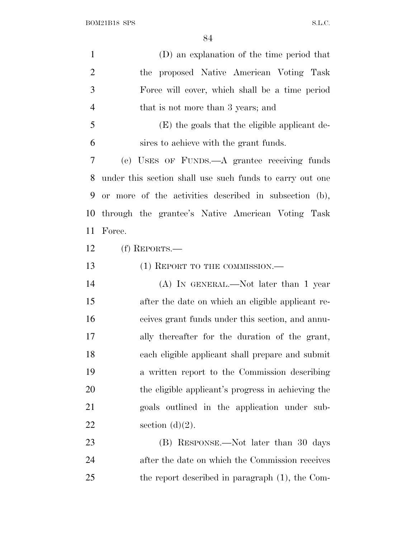| $\mathbf{1}$   | (D) an explanation of the time period that               |
|----------------|----------------------------------------------------------|
| $\overline{2}$ | the proposed Native American Voting Task                 |
| 3              | Force will cover, which shall be a time period           |
| $\overline{4}$ | that is not more than 3 years; and                       |
| 5              | (E) the goals that the eligible applicant de-            |
| 6              | sires to achieve with the grant funds.                   |
| 7              | (e) USES OF FUNDS.—A grantee receiving funds             |
| 8              | under this section shall use such funds to carry out one |
| 9              | or more of the activities described in subsection (b),   |
| 10             | through the grantee's Native American Voting Task        |
| 11             | Force.                                                   |
| 12             | $(f)$ REPORTS.—                                          |
| 13             | $(1)$ REPORT TO THE COMMISSION.—                         |
| 14             | $(A)$ In GENERAL.—Not later than 1 year                  |
| 15             | after the date on which an eligible applicant re-        |
| 16             | ceives grant funds under this section, and annu-         |
| 17             | ally thereafter for the duration of the grant,           |
| 18             | each eligible applicant shall prepare and submit         |
| 19             | a written report to the Commission describing            |
| 20             | the eligible applicant's progress in achieving the       |
| 21             | goals outlined in the application under sub-             |
| 22             | section $(d)(2)$ .                                       |
| 23             | (B) RESPONSE.—Not later than 30 days                     |
| 24             | after the date on which the Commission receives          |
| 25             | the report described in paragraph (1), the Com-          |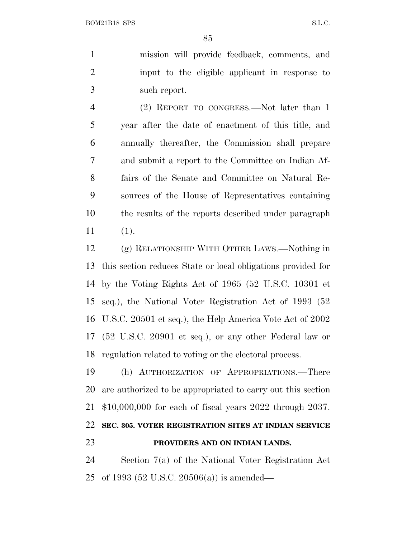mission will provide feedback, comments, and input to the eligible applicant in response to such report.

 (2) REPORT TO CONGRESS.—Not later than 1 year after the date of enactment of this title, and annually thereafter, the Commission shall prepare and submit a report to the Committee on Indian Af- fairs of the Senate and Committee on Natural Re- sources of the House of Representatives containing the results of the reports described under paragraph (1).

 (g) RELATIONSHIP WITH OTHER LAWS.—Nothing in this section reduces State or local obligations provided for by the Voting Rights Act of 1965 (52 U.S.C. 10301 et seq.), the National Voter Registration Act of 1993 (52 U.S.C. 20501 et seq.), the Help America Vote Act of 2002 (52 U.S.C. 20901 et seq.), or any other Federal law or regulation related to voting or the electoral process.

 (h) AUTHORIZATION OF APPROPRIATIONS.—There are authorized to be appropriated to carry out this section \$10,000,000 for each of fiscal years 2022 through 2037. **SEC. 305. VOTER REGISTRATION SITES AT INDIAN SERVICE PROVIDERS AND ON INDIAN LANDS.**

 Section 7(a) of the National Voter Registration Act of 1993 (52 U.S.C. 20506(a)) is amended—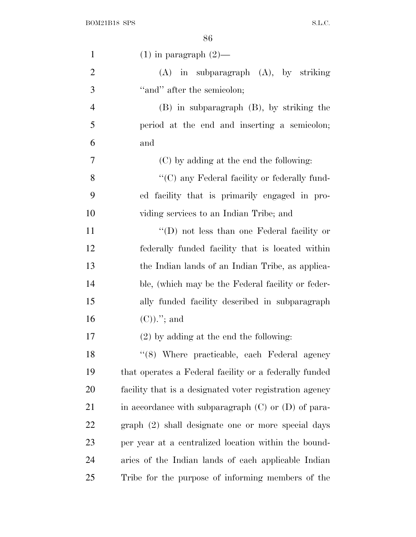| $\mathbf{1}$   | $(1)$ in paragraph $(2)$ —                              |
|----------------|---------------------------------------------------------|
| $\overline{2}$ | $(A)$ in subparagraph $(A)$ , by striking               |
| 3              | "and" after the semicolon;                              |
| $\overline{4}$ | $(B)$ in subparagraph $(B)$ , by striking the           |
| 5              | period at the end and inserting a semicolon;            |
| 6              | and                                                     |
| 7              | (C) by adding at the end the following:                 |
| 8              | "(C) any Federal facility or federally fund-            |
| 9              | ed facility that is primarily engaged in pro-           |
| 10             | viding services to an Indian Tribe; and                 |
| 11             | "(D) not less than one Federal facility or              |
| 12             | federally funded facility that is located within        |
| 13             | the Indian lands of an Indian Tribe, as applica-        |
| 14             | ble, (which may be the Federal facility or feder-       |
| 15             | ally funded facility described in subparagraph          |
| 16             | $(C)$ .''; and                                          |
| 17             | $(2)$ by adding at the end the following:               |
| 18             | "(8) Where practicable, each Federal agency             |
| 19             | that operates a Federal facility or a federally funded  |
| 20             | facility that is a designated voter registration agency |
| 21             | in accordance with subparagraph $(C)$ or $(D)$ of para- |
| 22             | graph (2) shall designate one or more special days      |
| 23             | per year at a centralized location within the bound-    |
| 24             | aries of the Indian lands of each applicable Indian     |
| 25             | Tribe for the purpose of informing members of the       |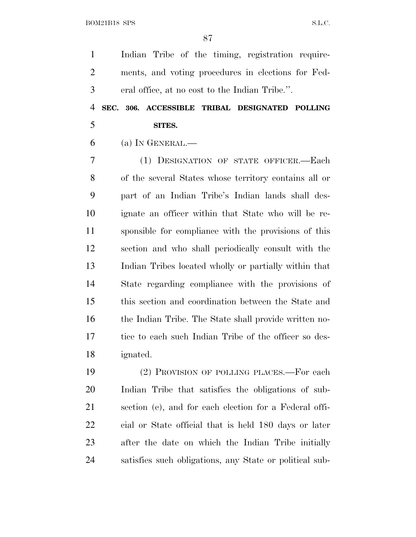BOM21B18 SPS S.L.C.

 Indian Tribe of the timing, registration require- ments, and voting procedures in elections for Fed-eral office, at no cost to the Indian Tribe.''.

# **SEC. 306. ACCESSIBLE TRIBAL DESIGNATED POLLING SITES.**

(a) I<sup>N</sup> GENERAL.—

 (1) DESIGNATION OF STATE OFFICER.—Each of the several States whose territory contains all or part of an Indian Tribe's Indian lands shall des- ignate an officer within that State who will be re- sponsible for compliance with the provisions of this section and who shall periodically consult with the Indian Tribes located wholly or partially within that State regarding compliance with the provisions of this section and coordination between the State and the Indian Tribe. The State shall provide written no- tice to each such Indian Tribe of the officer so des-ignated.

 (2) PROVISION OF POLLING PLACES.—For each Indian Tribe that satisfies the obligations of sub- section (c), and for each election for a Federal offi- cial or State official that is held 180 days or later after the date on which the Indian Tribe initially satisfies such obligations, any State or political sub-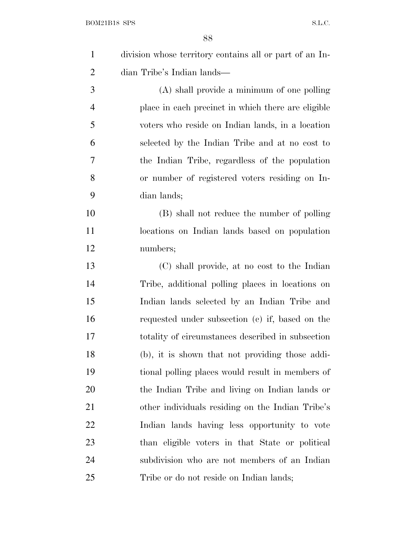| $\mathbf{1}$   | division whose territory contains all or part of an In- |
|----------------|---------------------------------------------------------|
| $\overline{2}$ | dian Tribe's Indian lands—                              |
| 3              | $(A)$ shall provide a minimum of one polling            |
| $\overline{4}$ | place in each precinct in which there are eligible      |
| 5              | voters who reside on Indian lands, in a location        |
| 6              | selected by the Indian Tribe and at no cost to          |
| 7              | the Indian Tribe, regardless of the population          |
| 8              | or number of registered voters residing on In-          |
| 9              | dian lands;                                             |
| 10             | (B) shall not reduce the number of polling              |
| 11             | locations on Indian lands based on population           |
| 12             | numbers;                                                |
| 13             | (C) shall provide, at no cost to the Indian             |
| 14             | Tribe, additional polling places in locations on        |
| 15             | Indian lands selected by an Indian Tribe and            |
| 16             | requested under subsection (c) if, based on the         |
| 17             | totality of circumstances described in subsection       |
| 18             | (b), it is shown that not providing those addi-         |
| 19             | tional polling places would result in members of        |
| 20             | the Indian Tribe and living on Indian lands or          |
| 21             | other individuals residing on the Indian Tribe's        |
| 22             | Indian lands having less opportunity to vote            |
| 23             | than eligible voters in that State or political         |
| 24             | subdivision who are not members of an Indian            |
| 25             | Tribe or do not reside on Indian lands;                 |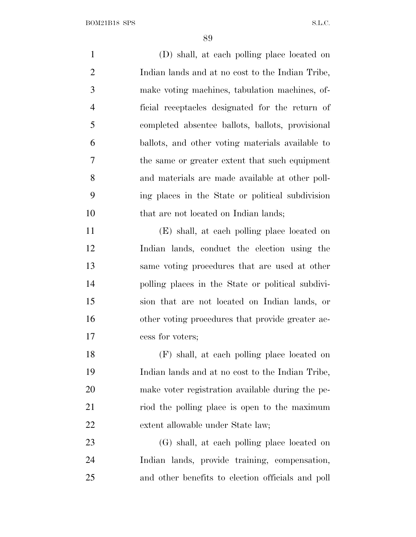| $\mathbf{1}$   | (D) shall, at each polling place located on       |
|----------------|---------------------------------------------------|
| $\overline{2}$ | Indian lands and at no cost to the Indian Tribe,  |
| 3              | make voting machines, tabulation machines, of-    |
| $\overline{4}$ | ficial receptacles designated for the return of   |
| 5              | completed absentee ballots, ballots, provisional  |
| 6              | ballots, and other voting materials available to  |
| $\tau$         | the same or greater extent that such equipment    |
| 8              | and materials are made available at other poll-   |
| 9              | ing places in the State or political subdivision  |
| 10             | that are not located on Indian lands;             |
| 11             | (E) shall, at each polling place located on       |
| 12             | Indian lands, conduct the election using the      |
| 13             | same voting procedures that are used at other     |
| 14             | polling places in the State or political subdivi- |
| 15             | sion that are not located on Indian lands, or     |
| 16             | other voting procedures that provide greater ac-  |
| 17             | cess for voters;                                  |
| 18             | (F) shall, at each polling place located on       |
| 19             | Indian lands and at no cost to the Indian Tribe,  |
| 20             | make voter registration available during the pe-  |
| 21             | riod the polling place is open to the maximum     |
| 22             | extent allowable under State law;                 |
| 23             | (G) shall, at each polling place located on       |
| 24             | Indian lands, provide training, compensation,     |
| 25             | and other benefits to election officials and poll |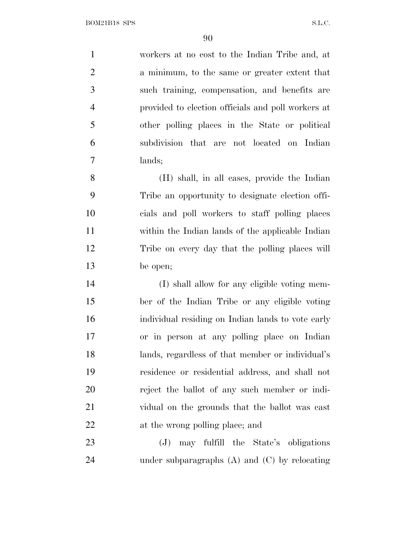workers at no cost to the Indian Tribe and, at a minimum, to the same or greater extent that such training, compensation, and benefits are provided to election officials and poll workers at other polling places in the State or political subdivision that are not located on Indian lands;

 (H) shall, in all cases, provide the Indian Tribe an opportunity to designate election offi- cials and poll workers to staff polling places within the Indian lands of the applicable Indian Tribe on every day that the polling places will be open;

 (I) shall allow for any eligible voting mem- ber of the Indian Tribe or any eligible voting individual residing on Indian lands to vote early or in person at any polling place on Indian lands, regardless of that member or individual's residence or residential address, and shall not reject the ballot of any such member or indi- vidual on the grounds that the ballot was cast at the wrong polling place; and

 (J) may fulfill the State's obligations under subparagraphs (A) and (C) by relocating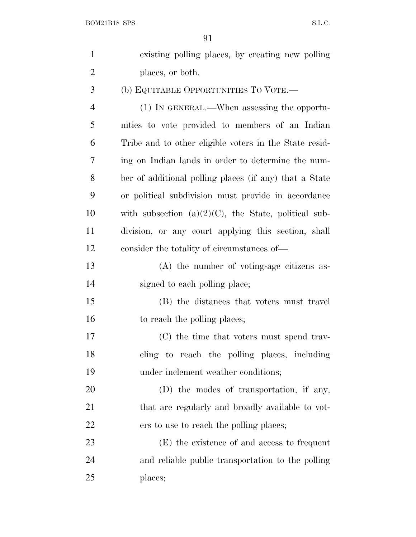| $\mathbf{1}$   | existing polling places, by creating new polling        |
|----------------|---------------------------------------------------------|
| $\overline{2}$ | places, or both.                                        |
| 3              | (b) EQUITABLE OPPORTUNITIES TO VOTE.—                   |
| $\overline{4}$ | (1) IN GENERAL.—When assessing the opportu-             |
| 5              | nities to vote provided to members of an Indian         |
| 6              | Tribe and to other eligible voters in the State resid-  |
| 7              | ing on Indian lands in order to determine the num-      |
| 8              | ber of additional polling places (if any) that a State  |
| 9              | or political subdivision must provide in accordance     |
| 10             | with subsection $(a)(2)(C)$ , the State, political sub- |
| 11             | division, or any court applying this section, shall     |
| 12             | consider the totality of circumstances of—              |
| 13             | $(A)$ the number of voting-age citizens as-             |
| 14             | signed to each polling place;                           |
| 15             | (B) the distances that voters must travel               |
| 16             | to reach the polling places;                            |
| 17             | (C) the time that voters must spend trav-               |
| 18             | eling to reach the polling places, including            |
| 19             | under inclement weather conditions;                     |
| 20             | (D) the modes of transportation, if any,                |
| 21             | that are regularly and broadly available to vot-        |
| 22             | ers to use to reach the polling places;                 |
| 23             | (E) the existence of and access to frequent             |
| 24             | and reliable public transportation to the polling       |
| 25             | places;                                                 |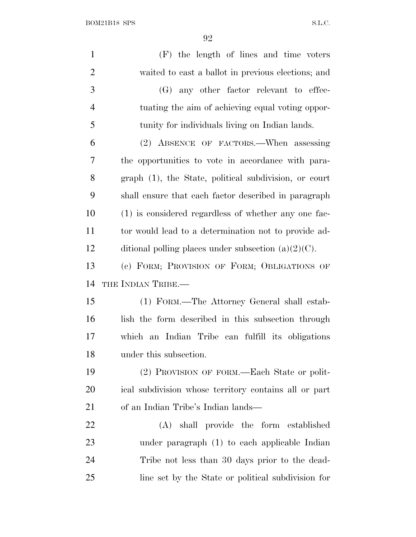$\begin{minipage}{.4\linewidth} \textbf{BOM21B18 SPS} \end{minipage}$ 

| $\mathbf{1}$   | (F) the length of lines and time voters                |
|----------------|--------------------------------------------------------|
| $\overline{2}$ | waited to cast a ballot in previous elections; and     |
| 3              | (G) any other factor relevant to effec-                |
| $\overline{4}$ | tuating the aim of achieving equal voting oppor-       |
| 5              | tunity for individuals living on Indian lands.         |
| 6              | (2) ABSENCE OF FACTORS.—When assessing                 |
| 7              | the opportunities to vote in accordance with para-     |
| 8              | graph (1), the State, political subdivision, or court  |
| 9              | shall ensure that each factor described in paragraph   |
| 10             | (1) is considered regardless of whether any one fac-   |
| 11             | tor would lead to a determination not to provide ad-   |
| 12             | ditional polling places under subsection $(a)(2)(C)$ . |
| 13             | (c) FORM; PROVISION OF FORM; OBLIGATIONS OF            |
| 14             | THE INDIAN TRIBE.—                                     |
| 15             | (1) FORM.—The Attorney General shall estab-            |
| 16             | lish the form described in this subsection through     |
| 17             | which an Indian Tribe can fulfill its obligations      |
| 18             | under this subsection.                                 |
| 19             | (2) PROVISION OF FORM.—Each State or polit-            |
| 20             | ical subdivision whose territory contains all or part  |
| 21             | of an Indian Tribe's Indian lands—                     |
| 22             | (A) shall provide the form established                 |
| 23             | under paragraph (1) to each applicable Indian          |
| 24             | Tribe not less than 30 days prior to the dead-         |
| 25             | line set by the State or political subdivision for     |
|                |                                                        |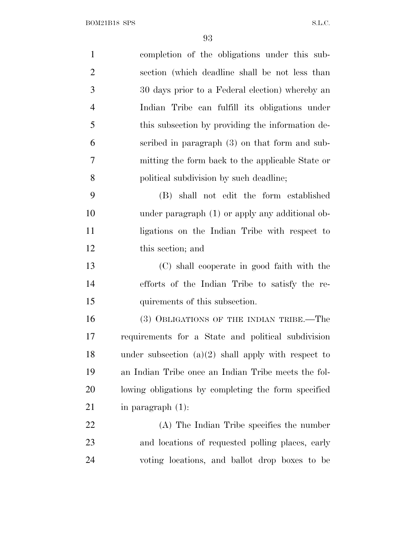| $\mathbf{1}$   | completion of the obligations under this sub-         |
|----------------|-------------------------------------------------------|
|                |                                                       |
| $\overline{2}$ | section (which deadline shall be not less than        |
| 3              | 30 days prior to a Federal election) whereby an       |
| $\overline{4}$ | Indian Tribe can fulfill its obligations under        |
| 5              | this subsection by providing the information de-      |
| 6              | scribed in paragraph (3) on that form and sub-        |
| 7              | mitting the form back to the applicable State or      |
| 8              | political subdivision by such deadline;               |
| 9              | (B) shall not edit the form established               |
| 10             | under paragraph (1) or apply any additional ob-       |
| 11             | ligations on the Indian Tribe with respect to         |
| 12             | this section; and                                     |
| 13             | (C) shall cooperate in good faith with the            |
| 14             | efforts of the Indian Tribe to satisfy the re-        |
| 15             | quirements of this subsection.                        |
| 16             | (3) OBLIGATIONS OF THE INDIAN TRIBE.—The              |
| 17             | requirements for a State and political subdivision    |
| 18             | under subsection $(a)(2)$ shall apply with respect to |
| 19             | an Indian Tribe once an Indian Tribe meets the fol-   |
| 20             | lowing obligations by completing the form specified   |
| 21             | in paragraph $(1)$ :                                  |
| 22             | (A) The Indian Tribe specifies the number             |
| 23             | and locations of requested polling places, early      |
| 24             | voting locations, and ballot drop boxes to be         |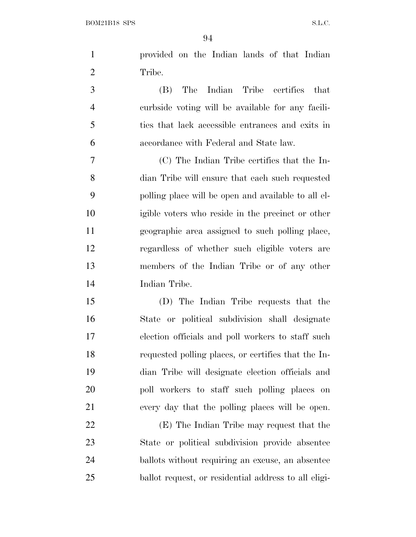| provided on the Indian lands of that Indian |  |
|---------------------------------------------|--|
| Tribe.                                      |  |
|                                             |  |

 (B) The Indian Tribe certifies that curbside voting will be available for any facili- ties that lack accessible entrances and exits in accordance with Federal and State law.

 (C) The Indian Tribe certifies that the In- dian Tribe will ensure that each such requested polling place will be open and available to all el- igible voters who reside in the precinct or other geographic area assigned to such polling place, regardless of whether such eligible voters are members of the Indian Tribe or of any other Indian Tribe.

 (D) The Indian Tribe requests that the State or political subdivision shall designate election officials and poll workers to staff such requested polling places, or certifies that the In- dian Tribe will designate election officials and poll workers to staff such polling places on every day that the polling places will be open.

 (E) The Indian Tribe may request that the State or political subdivision provide absentee ballots without requiring an excuse, an absentee ballot request, or residential address to all eligi-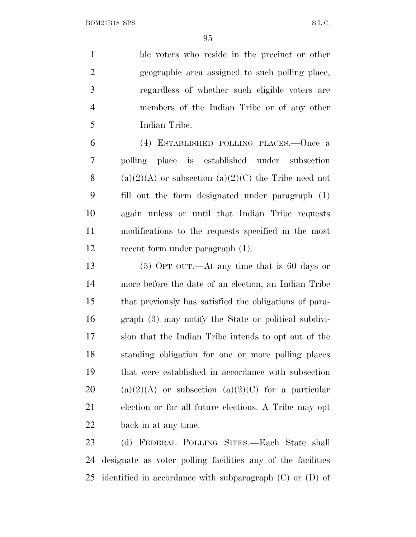ble voters who reside in the precinct or other geographic area assigned to such polling place, regardless of whether such eligible voters are members of the Indian Tribe or of any other Indian Tribe.

 (4) ESTABLISHED POLLING PLACES.—Once a polling place is established under subsection 8 (a)(2)(A) or subsection (a)(2)(C) the Tribe need not fill out the form designated under paragraph (1) again unless or until that Indian Tribe requests modifications to the requests specified in the most recent form under paragraph (1).

 (5) OPT OUT.—At any time that is 60 days or more before the date of an election, an Indian Tribe that previously has satisfied the obligations of para- graph (3) may notify the State or political subdivi- sion that the Indian Tribe intends to opt out of the standing obligation for one or more polling places that were established in accordance with subsection 20 (a)(2)(A) or subsection (a)(2)(C) for a particular election or for all future elections. A Tribe may opt back in at any time.

 (d) FEDERAL POLLING SITES.—Each State shall designate as voter polling facilities any of the facilities identified in accordance with subparagraph (C) or (D) of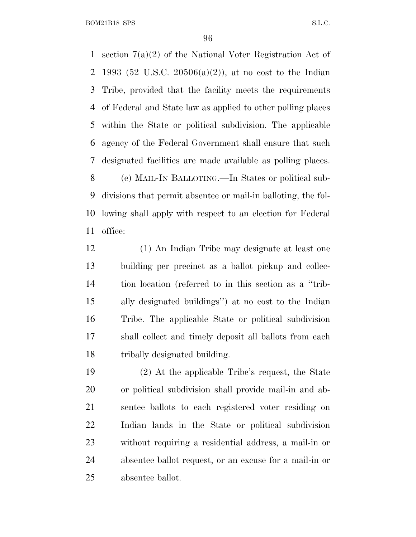BOM21B18 SPS S.L.C.

 section 7(a)(2) of the National Voter Registration Act of 1993 (52 U.S.C. 20506(a)(2)), at no cost to the Indian Tribe, provided that the facility meets the requirements of Federal and State law as applied to other polling places within the State or political subdivision. The applicable agency of the Federal Government shall ensure that such designated facilities are made available as polling places. (e) MAIL-I<sup>N</sup> BALLOTING.—In States or political sub- divisions that permit absentee or mail-in balloting, the fol- lowing shall apply with respect to an election for Federal office:

 (1) An Indian Tribe may designate at least one building per precinct as a ballot pickup and collec- tion location (referred to in this section as a ''trib- ally designated buildings'') at no cost to the Indian Tribe. The applicable State or political subdivision shall collect and timely deposit all ballots from each tribally designated building.

 (2) At the applicable Tribe's request, the State or political subdivision shall provide mail-in and ab- sentee ballots to each registered voter residing on Indian lands in the State or political subdivision without requiring a residential address, a mail-in or absentee ballot request, or an excuse for a mail-in or absentee ballot.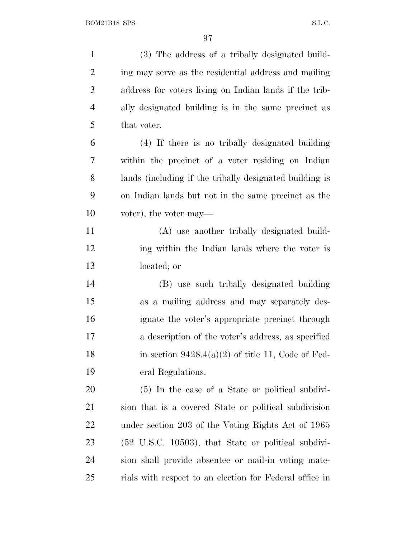(3) The address of a tribally designated build- ing may serve as the residential address and mailing address for voters living on Indian lands if the trib- ally designated building is in the same precinct as that voter. (4) If there is no tribally designated building within the precinct of a voter residing on Indian lands (including if the tribally designated building is on Indian lands but not in the same precinct as the voter), the voter may— (A) use another tribally designated build-12 ing within the Indian lands where the voter is located; or (B) use such tribally designated building as a mailing address and may separately des- ignate the voter's appropriate precinct through a description of the voter's address, as specified 18 in section  $9428.4(a)(2)$  of title 11, Code of Fed- eral Regulations. (5) In the case of a State or political subdivi- sion that is a covered State or political subdivision under section 203 of the Voting Rights Act of 1965 (52 U.S.C. 10503), that State or political subdivi- sion shall provide absentee or mail-in voting mate-rials with respect to an election for Federal office in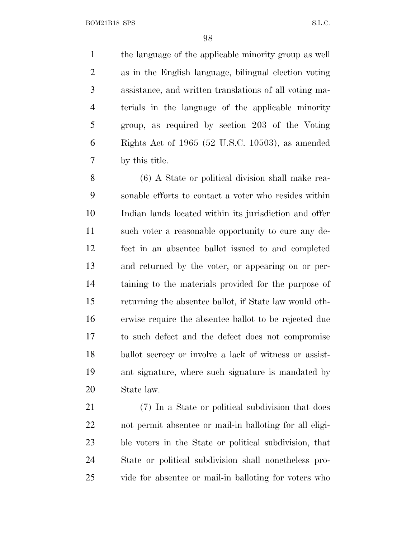BOM21B18 SPS S.L.C.

 the language of the applicable minority group as well as in the English language, bilingual election voting assistance, and written translations of all voting ma- terials in the language of the applicable minority group, as required by section 203 of the Voting Rights Act of 1965 (52 U.S.C. 10503), as amended by this title.

 (6) A State or political division shall make rea- sonable efforts to contact a voter who resides within Indian lands located within its jurisdiction and offer such voter a reasonable opportunity to cure any de- fect in an absentee ballot issued to and completed and returned by the voter, or appearing on or per- taining to the materials provided for the purpose of returning the absentee ballot, if State law would oth- erwise require the absentee ballot to be rejected due to such defect and the defect does not compromise ballot secrecy or involve a lack of witness or assist- ant signature, where such signature is mandated by State law.

 (7) In a State or political subdivision that does not permit absentee or mail-in balloting for all eligi- ble voters in the State or political subdivision, that State or political subdivision shall nonetheless pro-vide for absentee or mail-in balloting for voters who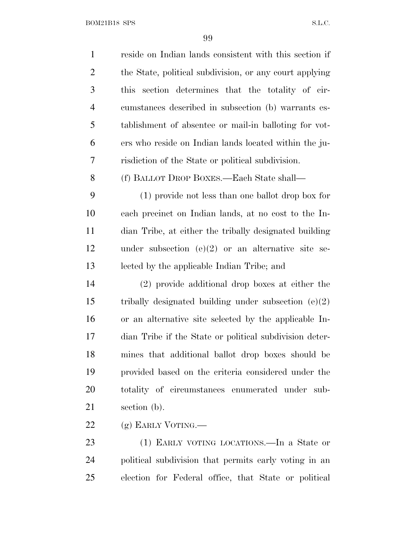$\begin{minipage}{.4\linewidth} \textbf{BOM21B18} \textbf{SPS} \end{minipage}$ 

| $\mathbf{1}$   | reside on Indian lands consistent with this section if  |
|----------------|---------------------------------------------------------|
| $\overline{2}$ | the State, political subdivision, or any court applying |
| 3              | section determines that the totality of cir-<br>this    |
| $\overline{4}$ | cumstances described in subsection (b) warrants es-     |
| 5              | tablishment of absentee or mail-in balloting for vot-   |
| 6              | ers who reside on Indian lands located within the ju-   |
| 7              | risdiction of the State or political subdivision.       |
| 8              | (f) BALLOT DROP BOXES.—Each State shall—                |
| 9              | (1) provide not less than one ballot drop box for       |
| 10             | each precinct on Indian lands, at no cost to the In-    |
| 11             | dian Tribe, at either the tribally designated building  |
| 12             | under subsection (e)(2) or an alternative site se-      |
| 13             | lected by the applicable Indian Tribe; and              |
| 14             | (2) provide additional drop boxes at either the         |
| 15             | tribally designated building under subsection $(e)(2)$  |
| 16             | or an alternative site selected by the applicable In-   |
| 17             | dian Tribe if the State or political subdivision deter- |
| 18             | mines that additional ballot drop boxes should be       |
| 19             | provided based on the criteria considered under the     |
| 20             | totality of circumstances enumerated under sub-         |
| 21             | section (b).                                            |
| 22             | (g) EARLY VOTING.                                       |
| 23             | (1) EARLY VOTING LOCATIONS.—In a State or               |
| 24             | political subdivision that permits early voting in an   |

election for Federal office, that State or political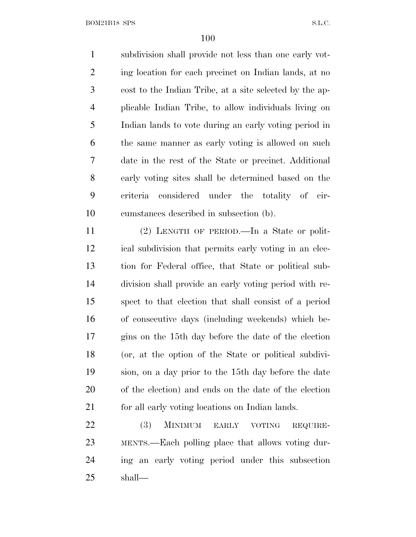BOM21B18 SPS S.L.C.

 subdivision shall provide not less than one early vot-2 ing location for each precinct on Indian lands, at no cost to the Indian Tribe, at a site selected by the ap- plicable Indian Tribe, to allow individuals living on Indian lands to vote during an early voting period in the same manner as early voting is allowed on such date in the rest of the State or precinct. Additional early voting sites shall be determined based on the criteria considered under the totality of cir-cumstances described in subsection (b).

 (2) LENGTH OF PERIOD.—In a State or polit- ical subdivision that permits early voting in an elec- tion for Federal office, that State or political sub- division shall provide an early voting period with re- spect to that election that shall consist of a period of consecutive days (including weekends) which be- gins on the 15th day before the date of the election (or, at the option of the State or political subdivi- sion, on a day prior to the 15th day before the date of the election) and ends on the date of the election 21 for all early voting locations on Indian lands.

 (3) MINIMUM EARLY VOTING REQUIRE- MENTS.—Each polling place that allows voting dur- ing an early voting period under this subsection shall—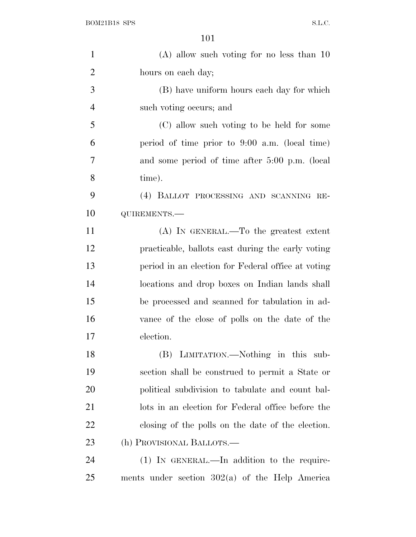| $\mathbf{1}$   | $(A)$ allow such voting for no less than 10        |
|----------------|----------------------------------------------------|
| $\overline{2}$ | hours on each day;                                 |
| 3              | (B) have uniform hours each day for which          |
| $\overline{4}$ | such voting occurs; and                            |
| 5              | (C) allow such voting to be held for some          |
| 6              | period of time prior to $9:00$ a.m. (local time)   |
| 7              | and some period of time after 5:00 p.m. (local     |
| 8              | time).                                             |
| 9              | (4) BALLOT PROCESSING AND SCANNING RE-             |
| 10             | QUIREMENTS.-                                       |
| 11             | $(A)$ In GENERAL.—To the greatest extent           |
| 12             | practicable, ballots cast during the early voting  |
| 13             | period in an election for Federal office at voting |
| 14             | locations and drop boxes on Indian lands shall     |
| 15             | be processed and scanned for tabulation in ad-     |
| 16             | vance of the close of polls on the date of the     |
| 17             | election.                                          |
| 18             | (B) LIMITATION.—Nothing in this sub-               |
| 19             | section shall be construed to permit a State or    |
| 20             | political subdivision to tabulate and count bal-   |
| 21             | lots in an election for Federal office before the  |
| 22             | closing of the polls on the date of the election.  |
| 23             | (h) PROVISIONAL BALLOTS.—                          |
| 24             | (1) IN GENERAL.—In addition to the require-        |
| 25             | ments under section $302(a)$ of the Help America   |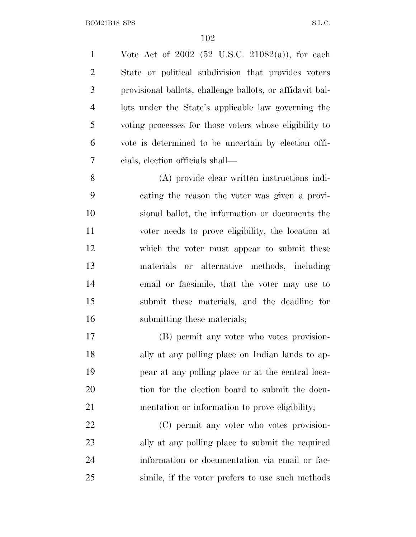Vote Act of 2002 (52 U.S.C. 21082(a)), for each State or political subdivision that provides voters provisional ballots, challenge ballots, or affidavit bal- lots under the State's applicable law governing the voting processes for those voters whose eligibility to vote is determined to be uncertain by election offi-cials, election officials shall—

 (A) provide clear written instructions indi- cating the reason the voter was given a provi- sional ballot, the information or documents the voter needs to prove eligibility, the location at which the voter must appear to submit these materials or alternative methods, including email or facsimile, that the voter may use to submit these materials, and the deadline for submitting these materials;

 (B) permit any voter who votes provision- ally at any polling place on Indian lands to ap- pear at any polling place or at the central loca- tion for the election board to submit the docu-mentation or information to prove eligibility;

 (C) permit any voter who votes provision- ally at any polling place to submit the required information or documentation via email or fac-simile, if the voter prefers to use such methods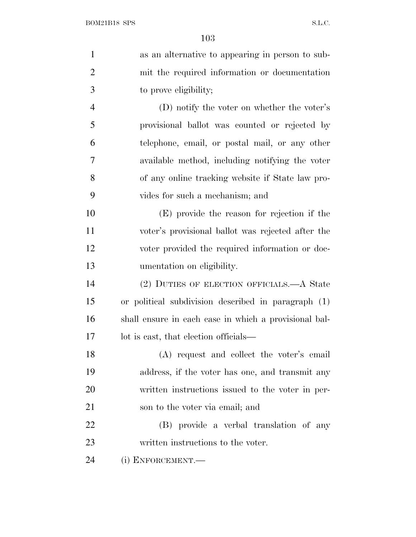| $\mathbf{1}$   | as an alternative to appearing in person to sub-      |
|----------------|-------------------------------------------------------|
| $\overline{2}$ | mit the required information or documentation         |
| 3              | to prove eligibility;                                 |
| $\overline{4}$ | (D) notify the voter on whether the voter's           |
| 5              | provisional ballot was counted or rejected by         |
| 6              | telephone, email, or postal mail, or any other        |
| 7              | available method, including notifying the voter       |
| 8              | of any online tracking website if State law pro-      |
| 9              | vides for such a mechanism; and                       |
| 10             | (E) provide the reason for rejection if the           |
| 11             | voter's provisional ballot was rejected after the     |
| 12             | voter provided the required information or doc-       |
| 13             | umentation on eligibility.                            |
| 14             | (2) DUTIES OF ELECTION OFFICIALS.—A State             |
| 15             | or political subdivision described in paragraph (1)   |
| 16             | shall ensure in each case in which a provisional bal- |
| 17             | lot is east, that election officials—                 |
| 18             | (A) request and collect the voter's email             |
| 19             | address, if the voter has one, and transmit any       |
| 20             | written instructions issued to the voter in per-      |
| 21             | son to the voter via email; and                       |
| 22             | (B) provide a verbal translation of any               |
| 23             | written instructions to the voter.                    |
| 24             | (i) ENFORCEMENT.—                                     |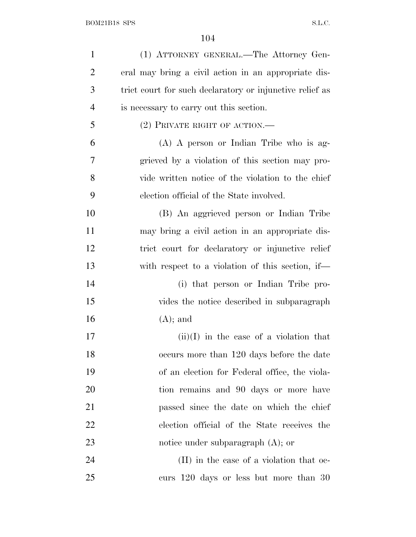| $\mathbf{1}$   | (1) ATTORNEY GENERAL.—The Attorney Gen-                  |
|----------------|----------------------------------------------------------|
| $\overline{2}$ | eral may bring a civil action in an appropriate dis-     |
| 3              | trict court for such declaratory or injunctive relief as |
| $\overline{4}$ | is necessary to carry out this section.                  |
| 5              | $(2)$ PRIVATE RIGHT OF ACTION.—                          |
| 6              | $(A)$ A person or Indian Tribe who is ag-                |
| 7              | grieved by a violation of this section may pro-          |
| 8              | vide written notice of the violation to the chief        |
| 9              | election official of the State involved.                 |
| 10             | (B) An aggrieved person or Indian Tribe                  |
| 11             | may bring a civil action in an appropriate dis-          |
| 12             | trict court for declaratory or injunctive relief         |
| 13             | with respect to a violation of this section, if—         |
| 14             | (i) that person or Indian Tribe pro-                     |
| 15             | vides the notice described in subparagraph               |
| 16             | $(A);$ and                                               |
| 17             | $(ii)(I)$ in the case of a violation that                |
| 18             | occurs more than 120 days before the date                |
| 19             | of an election for Federal office, the viola-            |
| 20             | tion remains and 90 days or more have                    |
| 21             | passed since the date on which the chief                 |
| 22             | election official of the State receives the              |
| 23             | notice under subparagraph $(A)$ ; or                     |
| 24             | (II) in the case of a violation that oc-                 |
| 25             | curs 120 days or less but more than 30                   |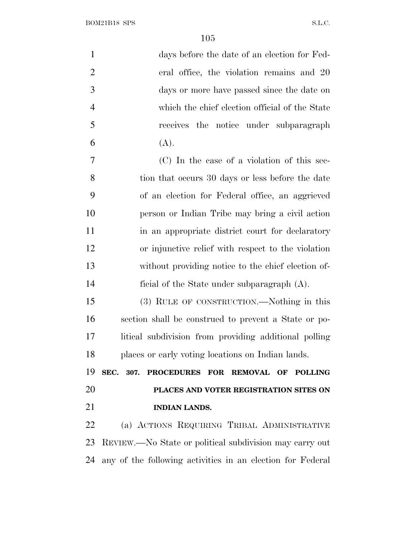$\begin{minipage}{.4\linewidth} \textbf{BOM21B18} \textbf{SPS} \end{minipage}$ 

| $\mathbf{1}$   | days before the date of an election for Fed-               |
|----------------|------------------------------------------------------------|
| $\overline{2}$ | eral office, the violation remains and 20                  |
| 3              | days or more have passed since the date on                 |
| $\overline{4}$ | which the chief election official of the State             |
| 5              | receives the notice under subparagraph                     |
| 6              | (A).                                                       |
| 7              | (C) In the case of a violation of this sec-                |
| 8              | tion that occurs 30 days or less before the date           |
| 9              | of an election for Federal office, an aggrieved            |
| 10             | person or Indian Tribe may bring a civil action            |
| 11             | in an appropriate district court for declaratory           |
| 12             | or injunctive relief with respect to the violation         |
| 13             | without providing notice to the chief election of-         |
| 14             | ficial of the State under subparagraph $(A)$ .             |
| 15             | (3) RULE OF CONSTRUCTION.—Nothing in this                  |
| 16             | section shall be construed to prevent a State or po-       |
| 17             | litical subdivision from providing additional polling      |
| 18             | places or early voting locations on Indian lands.          |
| 19             | SEC. 307. PROCEDURES FOR REMOVAL OF POLLING                |
| 20             | PLACES AND VOTER REGISTRATION SITES ON                     |
| 21             | <b>INDIAN LANDS.</b>                                       |
| 22             | (a) ACTIONS REQUIRING TRIBAL ADMINISTRATIVE                |
| 23             | REVIEW.—No State or political subdivision may carry out    |
| 24             | any of the following activities in an election for Federal |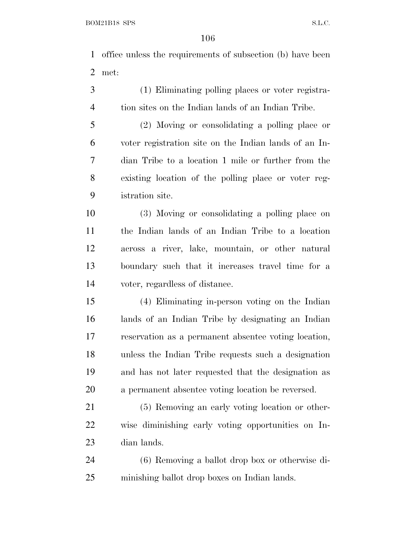office unless the requirements of subsection (b) have been met:

 (1) Eliminating polling places or voter registra-tion sites on the Indian lands of an Indian Tribe.

 (2) Moving or consolidating a polling place or voter registration site on the Indian lands of an In- dian Tribe to a location 1 mile or further from the existing location of the polling place or voter reg-istration site.

 (3) Moving or consolidating a polling place on the Indian lands of an Indian Tribe to a location across a river, lake, mountain, or other natural boundary such that it increases travel time for a voter, regardless of distance.

 (4) Eliminating in-person voting on the Indian lands of an Indian Tribe by designating an Indian reservation as a permanent absentee voting location, unless the Indian Tribe requests such a designation and has not later requested that the designation as a permanent absentee voting location be reversed.

 (5) Removing an early voting location or other- wise diminishing early voting opportunities on In-dian lands.

 (6) Removing a ballot drop box or otherwise di-minishing ballot drop boxes on Indian lands.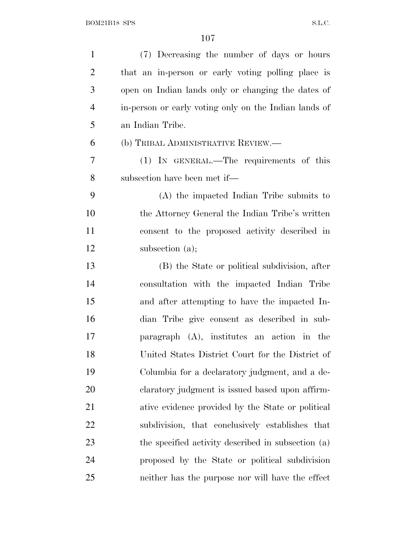| $\mathbf{1}$   | (7) Decreasing the number of days or hours            |
|----------------|-------------------------------------------------------|
| $\overline{2}$ | that an in-person or early voting polling place is    |
| 3              | open on Indian lands only or changing the dates of    |
| $\overline{4}$ | in-person or early voting only on the Indian lands of |
| 5              | an Indian Tribe.                                      |
| 6              | (b) TRIBAL ADMINISTRATIVE REVIEW.—                    |
| 7              | (1) IN GENERAL.—The requirements of this              |
| 8              | subsection have been met if—                          |
| 9              | (A) the impacted Indian Tribe submits to              |
| 10             | the Attorney General the Indian Tribe's written       |
| 11             | consent to the proposed activity described in         |
| 12             | subsection $(a)$ ;                                    |
| 13             | (B) the State or political subdivision, after         |
| 14             | consultation with the impacted Indian Tribe           |
| 15             | and after attempting to have the impacted In-         |
| 16             | dian Tribe give consent as described in sub-          |
| 17             | paragraph (A), institutes an action in the            |
| 18             | United States District Court for the District of      |
| 19             | Columbia for a declaratory judgment, and a de-        |
| <b>20</b>      | claratory judgment is issued based upon affirm-       |
| 21             | ative evidence provided by the State or political     |
| 22             | subdivision, that conclusively establishes that       |
| 23             | the specified activity described in subsection (a)    |
| 24             | proposed by the State or political subdivision        |
| 25             | neither has the purpose nor will have the effect      |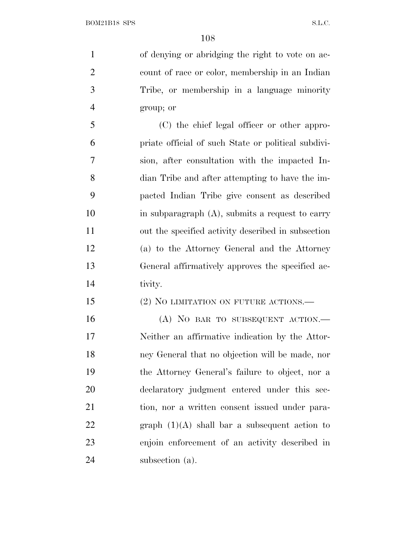of denying or abridging the right to vote on ac- count of race or color, membership in an Indian Tribe, or membership in a language minority group; or

 (C) the chief legal officer or other appro- priate official of such State or political subdivi- sion, after consultation with the impacted In- dian Tribe and after attempting to have the im- pacted Indian Tribe give consent as described in subparagraph (A), submits a request to carry out the specified activity described in subsection (a) to the Attorney General and the Attorney General affirmatively approves the specified ac-tivity.

## 15 (2) NO LIMITATION ON FUTURE ACTIONS.—

16 (A) NO BAR TO SUBSEQUENT ACTION.— Neither an affirmative indication by the Attor- ney General that no objection will be made, nor the Attorney General's failure to object, nor a declaratory judgment entered under this sec- tion, nor a written consent issued under para-22 graph  $(1)(A)$  shall bar a subsequent action to enjoin enforcement of an activity described in 24 subsection (a).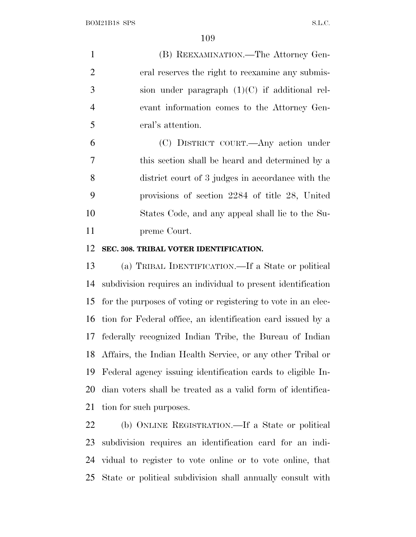(B) REEXAMINATION.—The Attorney Gen- eral reserves the right to reexamine any submis- sion under paragraph (1)(C) if additional rel- evant information comes to the Attorney Gen-eral's attention.

 (C) DISTRICT COURT.—Any action under this section shall be heard and determined by a district court of 3 judges in accordance with the provisions of section 2284 of title 28, United States Code, and any appeal shall lie to the Su-preme Court.

#### **SEC. 308. TRIBAL VOTER IDENTIFICATION.**

 (a) TRIBAL IDENTIFICATION.—If a State or political subdivision requires an individual to present identification for the purposes of voting or registering to vote in an elec- tion for Federal office, an identification card issued by a federally recognized Indian Tribe, the Bureau of Indian Affairs, the Indian Health Service, or any other Tribal or Federal agency issuing identification cards to eligible In- dian voters shall be treated as a valid form of identifica-tion for such purposes.

 (b) ONLINE REGISTRATION.—If a State or political subdivision requires an identification card for an indi- vidual to register to vote online or to vote online, that State or political subdivision shall annually consult with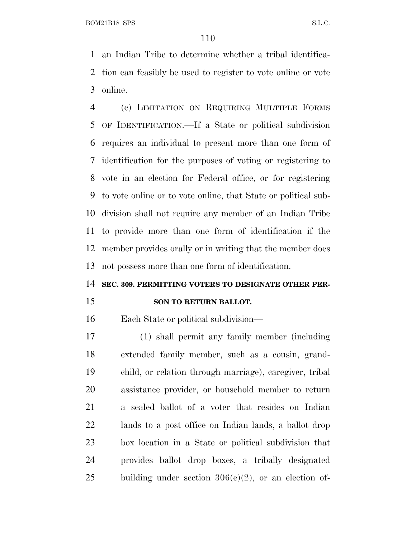BOM21B18 SPS S.L.C.

 an Indian Tribe to determine whether a tribal identifica- tion can feasibly be used to register to vote online or vote online.

 (c) LIMITATION ON REQUIRING MULTIPLE FORMS OF IDENTIFICATION.—If a State or political subdivision requires an individual to present more than one form of identification for the purposes of voting or registering to vote in an election for Federal office, or for registering to vote online or to vote online, that State or political sub- division shall not require any member of an Indian Tribe to provide more than one form of identification if the member provides orally or in writing that the member does not possess more than one form of identification.

#### **SEC. 309. PERMITTING VOTERS TO DESIGNATE OTHER PER-**

#### **SON TO RETURN BALLOT.**

Each State or political subdivision—

 (1) shall permit any family member (including extended family member, such as a cousin, grand- child, or relation through marriage), caregiver, tribal assistance provider, or household member to return a sealed ballot of a voter that resides on Indian lands to a post office on Indian lands, a ballot drop box location in a State or political subdivision that provides ballot drop boxes, a tribally designated 25 building under section  $306(e)(2)$ , or an election of-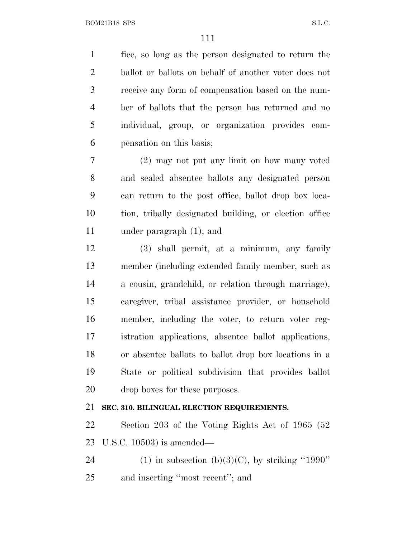fice, so long as the person designated to return the ballot or ballots on behalf of another voter does not receive any form of compensation based on the num- ber of ballots that the person has returned and no individual, group, or organization provides com-pensation on this basis;

 (2) may not put any limit on how many voted and sealed absentee ballots any designated person can return to the post office, ballot drop box loca- tion, tribally designated building, or election office under paragraph (1); and

 (3) shall permit, at a minimum, any family member (including extended family member, such as a cousin, grandchild, or relation through marriage), caregiver, tribal assistance provider, or household member, including the voter, to return voter reg- istration applications, absentee ballot applications, or absentee ballots to ballot drop box locations in a State or political subdivision that provides ballot drop boxes for these purposes.

### **SEC. 310. BILINGUAL ELECTION REQUIREMENTS.**

 Section 203 of the Voting Rights Act of 1965 (52 U.S.C. 10503) is amended—

24 (1) in subsection (b)(3)(C), by striking "1990" and inserting ''most recent''; and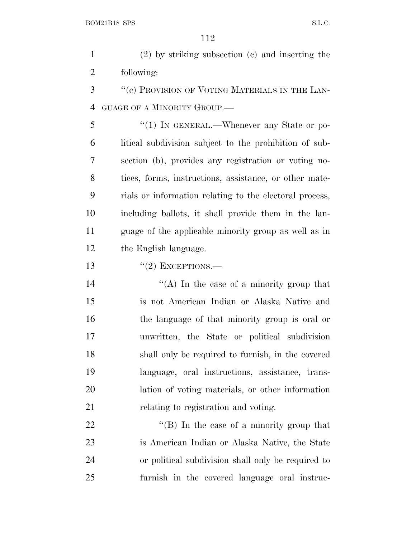(2) by striking subsection (c) and inserting the following:

3 "(c) PROVISION OF VOTING MATERIALS IN THE LAN-GUAGE OF A MINORITY GROUP.—

5 "(1) IN GENERAL.—Whenever any State or po- litical subdivision subject to the prohibition of sub- section (b), provides any registration or voting no- tices, forms, instructions, assistance, or other mate- rials or information relating to the electoral process, including ballots, it shall provide them in the lan- guage of the applicable minority group as well as in the English language.

13  $\frac{13}{2}$  EXCEPTIONS.

 $\langle (A) \rangle$  In the case of a minority group that is not American Indian or Alaska Native and the language of that minority group is oral or unwritten, the State or political subdivision shall only be required to furnish, in the covered language, oral instructions, assistance, trans- lation of voting materials, or other information 21 relating to registration and voting.

 $\text{``(B)}$  In the case of a minority group that is American Indian or Alaska Native, the State or political subdivision shall only be required to furnish in the covered language oral instruc-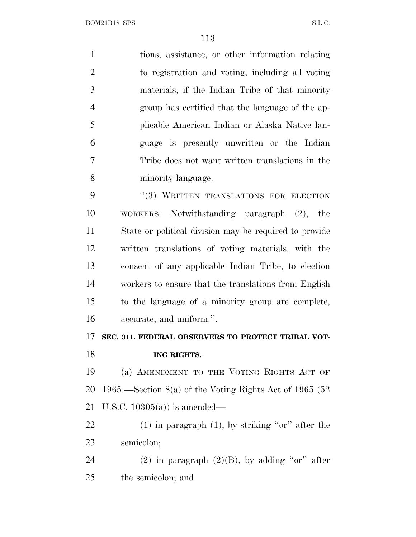tions, assistance, or other information relating to registration and voting, including all voting materials, if the Indian Tribe of that minority group has certified that the language of the ap- plicable American Indian or Alaska Native lan- guage is presently unwritten or the Indian Tribe does not want written translations in the minority language. 9 "(3) WRITTEN TRANSLATIONS FOR ELECTION

 WORKERS.—Notwithstanding paragraph (2), the State or political division may be required to provide written translations of voting materials, with the consent of any applicable Indian Tribe, to election workers to ensure that the translations from English to the language of a minority group are complete, accurate, and uniform.''.

# **SEC. 311. FEDERAL OBSERVERS TO PROTECT TRIBAL VOT-**

**ING RIGHTS.**

 (a) AMENDMENT TO THE VOTING RIGHTS ACT OF 1965.—Section 8(a) of the Voting Rights Act of 1965 (52 U.S.C. 10305(a)) is amended—

22  $(1)$  in paragraph  $(1)$ , by striking "or" after the semicolon;

24 (2) in paragraph  $(2)(B)$ , by adding "or" after the semicolon; and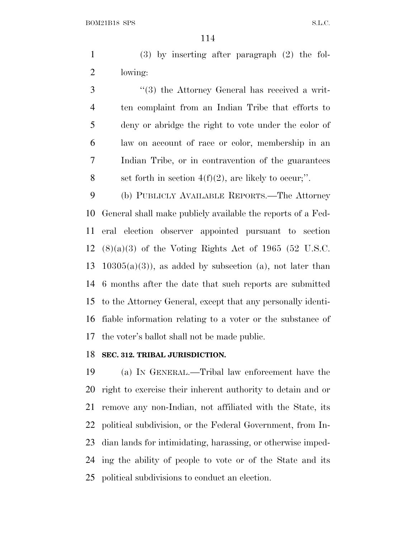(3) by inserting after paragraph (2) the fol-lowing:

3 (3) the Attorney General has received a writ- ten complaint from an Indian Tribe that efforts to deny or abridge the right to vote under the color of law on account of race or color, membership in an Indian Tribe, or in contravention of the guarantees 8 set forth in section  $4(f)(2)$ , are likely to occur;".

 (b) PUBLICLY AVAILABLE REPORTS.—The Attorney General shall make publicly available the reports of a Fed- eral election observer appointed pursuant to section (8)(a)(3) of the Voting Rights Act of 1965 (52 U.S.C. 13 10305(a)(3)), as added by subsection (a), not later than 6 months after the date that such reports are submitted to the Attorney General, except that any personally identi- fiable information relating to a voter or the substance of the voter's ballot shall not be made public.

#### **SEC. 312. TRIBAL JURISDICTION.**

 (a) I<sup>N</sup> GENERAL.—Tribal law enforcement have the right to exercise their inherent authority to detain and or remove any non-Indian, not affiliated with the State, its political subdivision, or the Federal Government, from In- dian lands for intimidating, harassing, or otherwise imped- ing the ability of people to vote or of the State and its political subdivisions to conduct an election.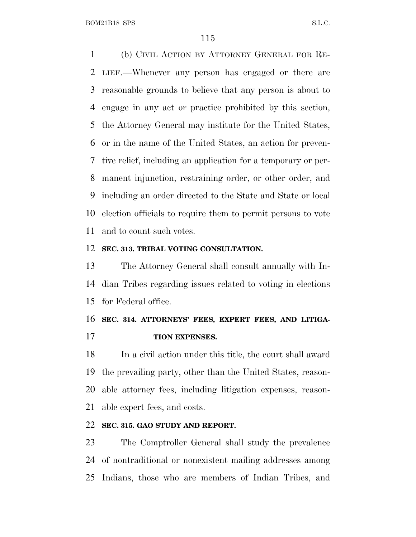(b) CIVIL ACTION BY ATTORNEY GENERAL FOR RE- LIEF.—Whenever any person has engaged or there are reasonable grounds to believe that any person is about to engage in any act or practice prohibited by this section, the Attorney General may institute for the United States, or in the name of the United States, an action for preven- tive relief, including an application for a temporary or per- manent injunction, restraining order, or other order, and including an order directed to the State and State or local election officials to require them to permit persons to vote and to count such votes.

#### **SEC. 313. TRIBAL VOTING CONSULTATION.**

 The Attorney General shall consult annually with In- dian Tribes regarding issues related to voting in elections for Federal office.

## **SEC. 314. ATTORNEYS' FEES, EXPERT FEES, AND LITIGA-TION EXPENSES.**

 In a civil action under this title, the court shall award the prevailing party, other than the United States, reason- able attorney fees, including litigation expenses, reason-able expert fees, and costs.

### **SEC. 315. GAO STUDY AND REPORT.**

 The Comptroller General shall study the prevalence of nontraditional or nonexistent mailing addresses among Indians, those who are members of Indian Tribes, and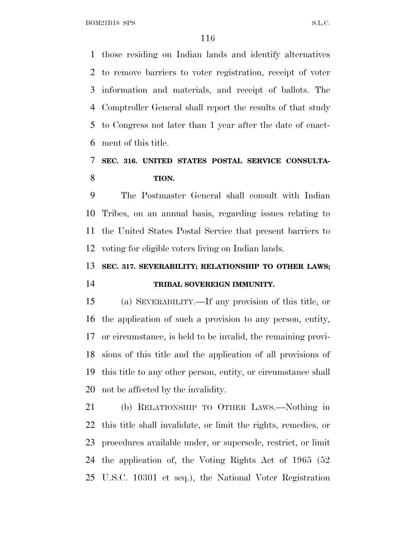BOM21B18 SPS S.L.C.

 those residing on Indian lands and identify alternatives to remove barriers to voter registration, receipt of voter information and materials, and receipt of ballots. The Comptroller General shall report the results of that study to Congress not later than 1 year after the date of enact-ment of this title.

# **SEC. 316. UNITED STATES POSTAL SERVICE CONSULTA-TION.**

 The Postmaster General shall consult with Indian Tribes, on an annual basis, regarding issues relating to the United States Postal Service that present barriers to voting for eligible voters living on Indian lands.

## **SEC. 317. SEVERABILITY; RELATIONSHIP TO OTHER LAWS; TRIBAL SOVEREIGN IMMUNITY.**

 (a) SEVERABILITY.—If any provision of this title, or the application of such a provision to any person, entity, or circumstance, is held to be invalid, the remaining provi- sions of this title and the application of all provisions of this title to any other person, entity, or circumstance shall not be affected by the invalidity.

 (b) RELATIONSHIP TO OTHER LAWS.—Nothing in this title shall invalidate, or limit the rights, remedies, or procedures available under, or supersede, restrict, or limit the application of, the Voting Rights Act of 1965 (52 U.S.C. 10301 et seq.), the National Voter Registration